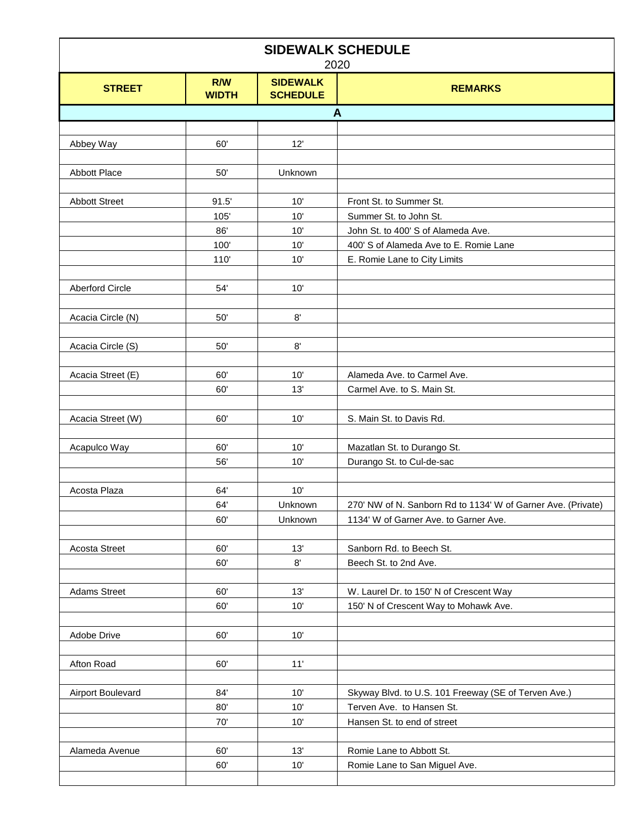| <b>SIDEWALK SCHEDULE</b><br>2020 |                            |                                    |                                                                        |
|----------------------------------|----------------------------|------------------------------------|------------------------------------------------------------------------|
| <b>STREET</b>                    | <b>R/W</b><br><b>WIDTH</b> | <b>SIDEWALK</b><br><b>SCHEDULE</b> | <b>REMARKS</b>                                                         |
|                                  |                            |                                    | A                                                                      |
|                                  |                            |                                    |                                                                        |
| Abbey Way                        | 60'                        | 12'                                |                                                                        |
|                                  |                            |                                    |                                                                        |
| <b>Abbott Place</b>              | 50'                        | Unknown                            |                                                                        |
|                                  |                            |                                    |                                                                        |
| <b>Abbott Street</b>             | 91.5'                      | 10'                                | Front St. to Summer St.                                                |
|                                  | 105'                       | 10'                                | Summer St. to John St.                                                 |
|                                  | 86'                        | 10'                                | John St. to 400' S of Alameda Ave.                                     |
|                                  | 100'<br>110'               | 10'<br>10'                         | 400' S of Alameda Ave to E. Romie Lane<br>E. Romie Lane to City Limits |
|                                  |                            |                                    |                                                                        |
| <b>Aberford Circle</b>           | 54'                        | 10'                                |                                                                        |
|                                  |                            |                                    |                                                                        |
| Acacia Circle (N)                | 50'                        | 8'                                 |                                                                        |
|                                  |                            |                                    |                                                                        |
| Acacia Circle (S)                | 50'                        | 8'                                 |                                                                        |
|                                  |                            |                                    |                                                                        |
| Acacia Street (E)                | 60'                        | 10'                                | Alameda Ave. to Carmel Ave.                                            |
|                                  | 60'                        | 13'                                | Carmel Ave. to S. Main St.                                             |
|                                  |                            |                                    |                                                                        |
| Acacia Street (W)                | 60'                        | 10'                                | S. Main St. to Davis Rd.                                               |
| Acapulco Way                     | 60'                        | 10'                                | Mazatlan St. to Durango St.                                            |
|                                  | 56'                        | 10'                                | Durango St. to Cul-de-sac                                              |
|                                  |                            |                                    |                                                                        |
| Acosta Plaza                     | 64'                        | 10'                                |                                                                        |
|                                  | 64'                        | Unknown                            | 270' NW of N. Sanborn Rd to 1134' W of Garner Ave. (Private)           |
|                                  | 60'                        | Unknown                            | 1134' W of Garner Ave. to Garner Ave.                                  |
|                                  |                            |                                    |                                                                        |
| <b>Acosta Street</b>             | 60'                        | 13'                                | Sanborn Rd. to Beech St.                                               |
|                                  | 60'                        | $8^\circ$                          | Beech St. to 2nd Ave.                                                  |
|                                  |                            |                                    |                                                                        |
| <b>Adams Street</b>              | 60'                        | 13'                                | W. Laurel Dr. to 150' N of Crescent Way                                |
|                                  | 60'                        | 10'                                | 150' N of Crescent Way to Mohawk Ave.                                  |
|                                  |                            |                                    |                                                                        |
| Adobe Drive                      | 60'                        | 10'                                |                                                                        |
| Afton Road                       | 60'                        | 11'                                |                                                                        |
|                                  |                            |                                    |                                                                        |
| Airport Boulevard                | 84'                        | 10'                                | Skyway Blvd. to U.S. 101 Freeway (SE of Terven Ave.)                   |
|                                  | 80'                        | 10'                                | Terven Ave. to Hansen St.                                              |
|                                  | 70'                        | 10'                                | Hansen St. to end of street                                            |
|                                  |                            |                                    |                                                                        |
| Alameda Avenue                   | 60'                        | 13'                                | Romie Lane to Abbott St.                                               |
|                                  | 60'                        | 10'                                | Romie Lane to San Miguel Ave.                                          |
|                                  |                            |                                    |                                                                        |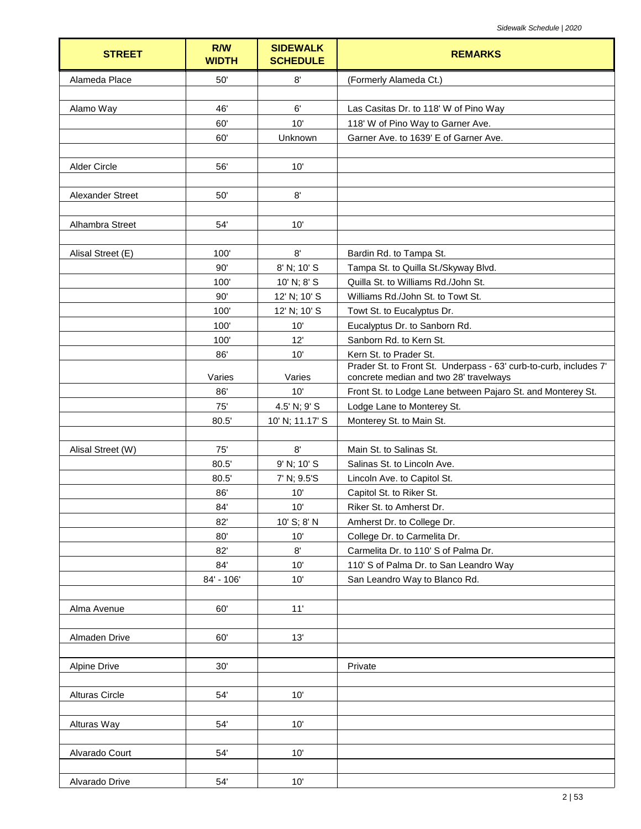| <b>STREET</b>           | R/W<br><b>WIDTH</b> | <b>SIDEWALK</b><br><b>SCHEDULE</b> | <b>REMARKS</b>                                                                                              |
|-------------------------|---------------------|------------------------------------|-------------------------------------------------------------------------------------------------------------|
| Alameda Place           | 50'                 | 8'                                 | (Formerly Alameda Ct.)                                                                                      |
|                         |                     |                                    |                                                                                                             |
| Alamo Way               | 46'                 | 6'                                 | Las Casitas Dr. to 118' W of Pino Way                                                                       |
|                         | 60'                 | 10'                                | 118' W of Pino Way to Garner Ave.                                                                           |
|                         | 60'                 | Unknown                            | Garner Ave. to 1639' E of Garner Ave.                                                                       |
|                         |                     |                                    |                                                                                                             |
| Alder Circle            | 56'                 | 10'                                |                                                                                                             |
|                         |                     |                                    |                                                                                                             |
| <b>Alexander Street</b> | 50'                 | 8'                                 |                                                                                                             |
| Alhambra Street         | 54'                 | 10'                                |                                                                                                             |
|                         |                     |                                    |                                                                                                             |
| Alisal Street (E)       | 100'                | 8'                                 | Bardin Rd. to Tampa St.                                                                                     |
|                         | 90'                 | 8' N; 10' S                        | Tampa St. to Quilla St./Skyway Blvd.                                                                        |
|                         | 100'                | 10' N; 8' S                        | Quilla St. to Williams Rd./John St.                                                                         |
|                         | 90'                 | 12' N; 10' S                       | Williams Rd./John St. to Towt St.                                                                           |
|                         | 100'                | 12' N; 10' S                       | Towt St. to Eucalyptus Dr.                                                                                  |
|                         | 100'                | 10'                                | Eucalyptus Dr. to Sanborn Rd.                                                                               |
|                         | 100'                | 12'                                | Sanborn Rd. to Kern St.                                                                                     |
|                         | 86'                 | 10'                                | Kern St. to Prader St.                                                                                      |
|                         | Varies              | Varies                             | Prader St. to Front St. Underpass - 63' curb-to-curb, includes 7'<br>concrete median and two 28' travelways |
|                         | 86'                 | 10'                                | Front St. to Lodge Lane between Pajaro St. and Monterey St.                                                 |
|                         | 75'                 | 4.5' N; 9' S                       | Lodge Lane to Monterey St.                                                                                  |
|                         | 80.5'               | 10' N; 11.17' S                    | Monterey St. to Main St.                                                                                    |
|                         |                     |                                    |                                                                                                             |
| Alisal Street (W)       | 75'                 | 8'                                 | Main St. to Salinas St.                                                                                     |
|                         | 80.5'               | 9' N; 10' S                        | Salinas St. to Lincoln Ave.                                                                                 |
|                         | 80.5'               | 7' N; 9.5'S                        | Lincoln Ave. to Capitol St.                                                                                 |
|                         | 86'                 | 10'                                | Capitol St. to Riker St.                                                                                    |
|                         | $84^\circ$          | $10'$                              | Riker St. to Amherst Dr.                                                                                    |
|                         | 82'                 | 10' S; 8' N                        | Amherst Dr. to College Dr.                                                                                  |
|                         | 80'                 | 10'                                | College Dr. to Carmelita Dr.                                                                                |
|                         | 82'                 | 8'                                 | Carmelita Dr. to 110' S of Palma Dr.                                                                        |
|                         | 84'                 | 10'                                | 110' S of Palma Dr. to San Leandro Way                                                                      |
|                         | 84' - 106'          | 10'                                | San Leandro Way to Blanco Rd.                                                                               |
| Alma Avenue             | 60'                 | 11'                                |                                                                                                             |
|                         |                     |                                    |                                                                                                             |
| Almaden Drive           | 60'                 | 13'                                |                                                                                                             |
|                         |                     |                                    |                                                                                                             |
| <b>Alpine Drive</b>     | 30'                 |                                    | Private                                                                                                     |
|                         |                     |                                    |                                                                                                             |
| <b>Alturas Circle</b>   | 54'                 | 10'                                |                                                                                                             |
|                         |                     |                                    |                                                                                                             |
| Alturas Way             | 54'                 | 10'                                |                                                                                                             |
|                         |                     |                                    |                                                                                                             |
| Alvarado Court          | 54'                 | 10'                                |                                                                                                             |
|                         |                     |                                    |                                                                                                             |
| Alvarado Drive          | 54'                 | 10'                                |                                                                                                             |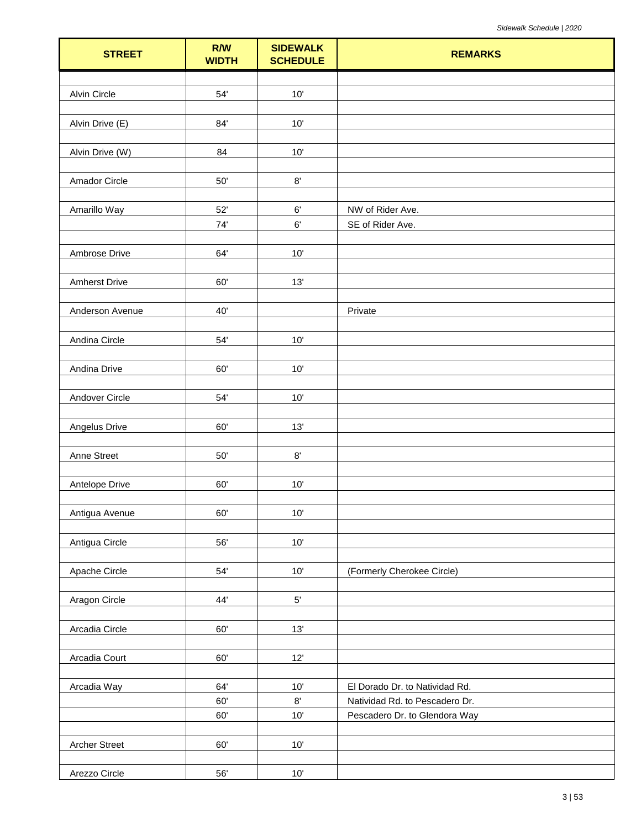| <b>STREET</b>        | R/W<br><b>WIDTH</b> | <b>SIDEWALK</b><br><b>SCHEDULE</b> | <b>REMARKS</b>                 |
|----------------------|---------------------|------------------------------------|--------------------------------|
|                      |                     |                                    |                                |
| <b>Alvin Circle</b>  | 54'                 | 10'                                |                                |
|                      |                     |                                    |                                |
| Alvin Drive (E)      | 84'                 | 10'                                |                                |
| Alvin Drive (W)      | 84                  | $10'$                              |                                |
|                      |                     |                                    |                                |
| Amador Circle        | $50^{\circ}$        | $8^\circ$                          |                                |
|                      |                     |                                    |                                |
| Amarillo Way         | 52'                 | 6'                                 | NW of Rider Ave.               |
|                      | 74'                 | $6^\circ$                          | SE of Rider Ave.               |
| Ambrose Drive        | 64'                 | 10'                                |                                |
|                      |                     |                                    |                                |
| <b>Amherst Drive</b> | 60'                 | 13'                                |                                |
|                      |                     |                                    |                                |
| Anderson Avenue      | 40'                 |                                    | Private                        |
|                      |                     |                                    |                                |
| Andina Circle        | 54'                 | 10'                                |                                |
| Andina Drive         | 60'                 | 10'                                |                                |
|                      |                     |                                    |                                |
| Andover Circle       | 54'                 | 10'                                |                                |
|                      |                     |                                    |                                |
| Angelus Drive        | 60'                 | 13'                                |                                |
|                      |                     |                                    |                                |
| Anne Street          | $50^{\circ}$        | $8^\circ$                          |                                |
| Antelope Drive       | 60'                 | 10'                                |                                |
|                      |                     |                                    |                                |
| Antigua Avenue       | 60'                 | $10'$                              |                                |
|                      |                     |                                    |                                |
| Antigua Circle       | 56'                 | $10'$                              |                                |
| Apache Circle        | 54'                 | $10'$                              | (Formerly Cherokee Circle)     |
|                      |                     |                                    |                                |
| Aragon Circle        | 44'                 | $5^\circ$                          |                                |
|                      |                     |                                    |                                |
| Arcadia Circle       | 60'                 | 13'                                |                                |
|                      |                     |                                    |                                |
| Arcadia Court        | 60'                 | $12'$                              |                                |
| Arcadia Way          | 64'                 | $10'$                              | El Dorado Dr. to Natividad Rd. |
|                      | 60'                 | $8^\circ$                          | Natividad Rd. to Pescadero Dr. |
|                      | 60'                 | 10'                                | Pescadero Dr. to Glendora Way  |
|                      |                     |                                    |                                |
| <b>Archer Street</b> | $60^\circ$          | $10'$                              |                                |
|                      |                     |                                    |                                |
| Arezzo Circle        | 56'                 | $10'$                              |                                |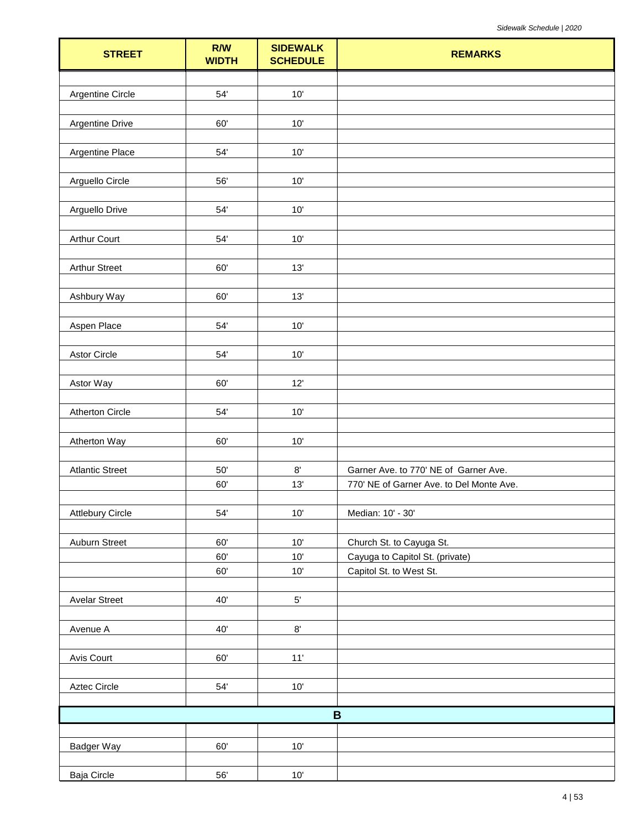| <b>STREET</b>           | R/W<br><b>WIDTH</b> | <b>SIDEWALK</b><br><b>SCHEDULE</b> | <b>REMARKS</b>                                             |
|-------------------------|---------------------|------------------------------------|------------------------------------------------------------|
|                         |                     |                                    |                                                            |
| <b>Argentine Circle</b> | 54'                 | 10'                                |                                                            |
|                         |                     |                                    |                                                            |
| <b>Argentine Drive</b>  | 60'                 | $10'$                              |                                                            |
|                         | 54'                 | 10'                                |                                                            |
| Argentine Place         |                     |                                    |                                                            |
| Arguello Circle         | 56'                 | 10'                                |                                                            |
|                         |                     |                                    |                                                            |
| Arguello Drive          | 54'                 | 10'                                |                                                            |
|                         |                     |                                    |                                                            |
| <b>Arthur Court</b>     | 54'                 | 10'                                |                                                            |
|                         |                     |                                    |                                                            |
| <b>Arthur Street</b>    | 60'                 | 13'                                |                                                            |
| Ashbury Way             | 60'                 | 13'                                |                                                            |
|                         |                     |                                    |                                                            |
| Aspen Place             | 54'                 | 10'                                |                                                            |
|                         |                     |                                    |                                                            |
| <b>Astor Circle</b>     | $54'$               | 10'                                |                                                            |
|                         |                     |                                    |                                                            |
| Astor Way               | 60'                 | 12'                                |                                                            |
|                         |                     |                                    |                                                            |
| <b>Atherton Circle</b>  | $54^\circ$          | $10'$                              |                                                            |
| Atherton Way            | 60'                 | 10'                                |                                                            |
|                         |                     |                                    |                                                            |
| <b>Atlantic Street</b>  | $50^\circ$          | $8^\circ$                          | Garner Ave. to 770' NE of Garner Ave.                      |
|                         | 60'                 | 13'                                | 770' NE of Garner Ave. to Del Monte Ave.                   |
|                         |                     |                                    |                                                            |
| <b>Attlebury Circle</b> | $54^\circ$          | $10'$                              | Median: 10' - 30'                                          |
|                         |                     |                                    |                                                            |
| Auburn Street           | 60'                 | $10'$                              | Church St. to Cayuga St.                                   |
|                         | 60'<br>60'          | $10'$<br>10'                       | Cayuga to Capitol St. (private)<br>Capitol St. to West St. |
|                         |                     |                                    |                                                            |
| <b>Avelar Street</b>    | 40'                 | $5^\circ$                          |                                                            |
|                         |                     |                                    |                                                            |
| Avenue A                | 40'                 | $8^\circ$                          |                                                            |
|                         |                     |                                    |                                                            |
| Avis Court              | 60'                 | 11'                                |                                                            |
|                         |                     |                                    |                                                            |
| Aztec Circle            | $54^\circ$          | $10'$                              |                                                            |
|                         |                     |                                    | $\, {\bf B}$                                               |
|                         |                     |                                    |                                                            |
| Badger Way              | $60^\circ$          | $10'$                              |                                                            |
|                         |                     |                                    |                                                            |
| Baja Circle             | $56^\circ$          | $10'$                              |                                                            |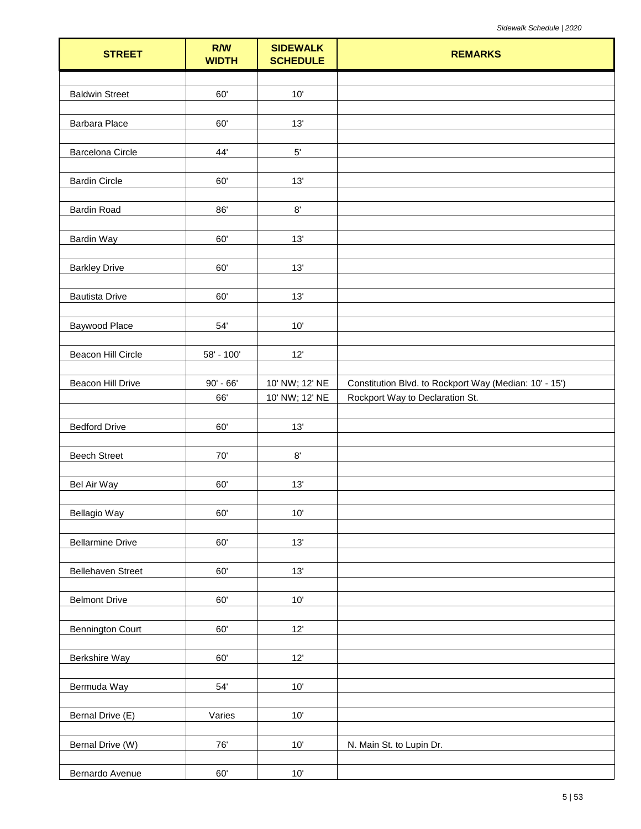| <b>STREET</b>            | R/W<br><b>WIDTH</b> | <b>SIDEWALK</b><br><b>SCHEDULE</b> | <b>REMARKS</b>                                         |
|--------------------------|---------------------|------------------------------------|--------------------------------------------------------|
|                          |                     |                                    |                                                        |
| <b>Baldwin Street</b>    | 60'                 | 10'                                |                                                        |
|                          |                     |                                    |                                                        |
| Barbara Place            | 60'                 | 13'                                |                                                        |
|                          | 44'                 |                                    |                                                        |
| <b>Barcelona Circle</b>  |                     | $5^{\prime}$                       |                                                        |
| <b>Bardin Circle</b>     | 60'                 | 13'                                |                                                        |
|                          |                     |                                    |                                                        |
| <b>Bardin Road</b>       | 86'                 | $8^\circ$                          |                                                        |
|                          |                     |                                    |                                                        |
| <b>Bardin Way</b>        | 60'                 | 13'                                |                                                        |
|                          |                     |                                    |                                                        |
| <b>Barkley Drive</b>     | 60'                 | 13'                                |                                                        |
| <b>Bautista Drive</b>    | 60'                 | 13'                                |                                                        |
|                          |                     |                                    |                                                        |
| Baywood Place            | 54'                 | 10'                                |                                                        |
|                          |                     |                                    |                                                        |
| Beacon Hill Circle       | 58' - 100'          | 12'                                |                                                        |
|                          |                     |                                    |                                                        |
| Beacon Hill Drive        | $90' - 66'$         | 10' NW; 12' NE                     | Constitution Blvd. to Rockport Way (Median: 10' - 15') |
|                          | 66'                 | 10' NW; 12' NE                     | Rockport Way to Declaration St.                        |
| <b>Bedford Drive</b>     | 60'                 | 13'                                |                                                        |
|                          |                     |                                    |                                                        |
| <b>Beech Street</b>      | $70'$               | $8^\circ$                          |                                                        |
|                          |                     |                                    |                                                        |
| <b>Bel Air Way</b>       | 60'                 | 13'                                |                                                        |
| Bellagio Way             | 60'                 | 10'                                |                                                        |
|                          |                     |                                    |                                                        |
| <b>Bellarmine Drive</b>  | 60'                 | 13'                                |                                                        |
|                          |                     |                                    |                                                        |
| <b>Bellehaven Street</b> | 60'                 | 13'                                |                                                        |
|                          |                     |                                    |                                                        |
| <b>Belmont Drive</b>     | $60^\circ$          | $10'$                              |                                                        |
| <b>Bennington Court</b>  | 60'                 | $12'$                              |                                                        |
|                          |                     |                                    |                                                        |
| Berkshire Way            | 60'                 | 12'                                |                                                        |
|                          |                     |                                    |                                                        |
| Bermuda Way              | $54^\circ$          | $10'$                              |                                                        |
|                          |                     |                                    |                                                        |
| Bernal Drive (E)         | Varies              | 10'                                |                                                        |
| Bernal Drive (W)         | 76'                 | $10'$                              |                                                        |
|                          |                     |                                    | N. Main St. to Lupin Dr.                               |
| Bernardo Avenue          | $60^\circ$          | 10'                                |                                                        |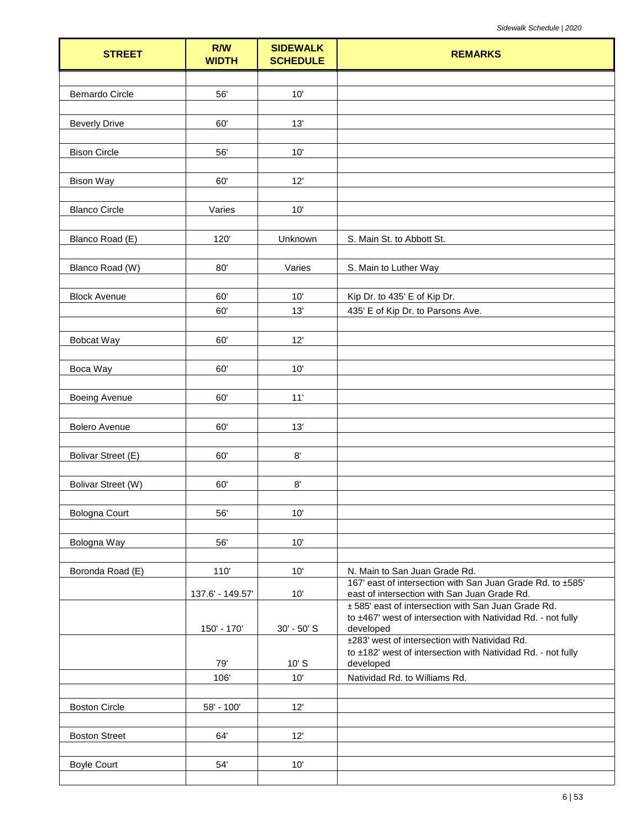| <b>STREET</b>             | <b>R/W</b><br><b>WIDTH</b> | <b>SIDEWALK</b><br><b>SCHEDULE</b> | <b>REMARKS</b>                                                                                                      |
|---------------------------|----------------------------|------------------------------------|---------------------------------------------------------------------------------------------------------------------|
|                           |                            |                                    |                                                                                                                     |
| <b>Bernardo Circle</b>    | 56'                        | 10'                                |                                                                                                                     |
|                           |                            |                                    |                                                                                                                     |
| <b>Beverly Drive</b>      | 60'                        | 13'                                |                                                                                                                     |
| <b>Bison Circle</b>       | 56'                        | 10'                                |                                                                                                                     |
|                           |                            |                                    |                                                                                                                     |
| <b>Bison Way</b>          | 60'                        | 12'                                |                                                                                                                     |
|                           |                            |                                    |                                                                                                                     |
| <b>Blanco Circle</b>      | Varies                     | 10'                                |                                                                                                                     |
|                           | 120'                       | Unknown                            | S. Main St. to Abbott St.                                                                                           |
| Blanco Road (E)           |                            |                                    |                                                                                                                     |
| Blanco Road (W)           | 80'                        | Varies                             | S. Main to Luther Way                                                                                               |
| <b>Block Avenue</b>       | 60'                        | 10'                                | Kip Dr. to 435' E of Kip Dr.                                                                                        |
|                           | 60'                        | 13'                                | 435' E of Kip Dr. to Parsons Ave.                                                                                   |
|                           |                            |                                    |                                                                                                                     |
| Bobcat Way                | 60'                        | 12'                                |                                                                                                                     |
|                           |                            |                                    |                                                                                                                     |
| Boca Way                  | 60'                        | 10'                                |                                                                                                                     |
| <b>Boeing Avenue</b>      | 60'                        | 11'                                |                                                                                                                     |
|                           |                            |                                    |                                                                                                                     |
| <b>Bolero Avenue</b>      | 60'                        | 13'                                |                                                                                                                     |
|                           |                            |                                    |                                                                                                                     |
| Bolivar Street (E)        | 60'                        | $8^\circ$                          |                                                                                                                     |
| <b>Bolivar Street (W)</b> | 60'                        | 8'                                 |                                                                                                                     |
|                           |                            |                                    |                                                                                                                     |
| <b>Bologna Court</b>      | 56'                        | 10'                                |                                                                                                                     |
|                           |                            |                                    |                                                                                                                     |
| Bologna Way               | 56'                        | 10'                                |                                                                                                                     |
|                           |                            |                                    |                                                                                                                     |
| Boronda Road (E)          | 110                        | 10'                                | N. Main to San Juan Grade Rd.<br>167' east of intersection with San Juan Grade Rd. to ±585'                         |
|                           | 137.6' - 149.57'           | 10'                                | east of intersection with San Juan Grade Rd.                                                                        |
|                           |                            |                                    | ± 585' east of intersection with San Juan Grade Rd.<br>to ±467' west of intersection with Natividad Rd. - not fully |
|                           | 150' - 170'                | 30' - 50' S                        | developed                                                                                                           |
|                           |                            |                                    | ±283' west of intersection with Natividad Rd.                                                                       |
|                           | 79'                        | $10'$ S                            | to ±182' west of intersection with Natividad Rd. - not fully<br>developed                                           |
|                           | 106'                       | 10'                                | Natividad Rd. to Williams Rd.                                                                                       |
|                           |                            |                                    |                                                                                                                     |
| <b>Boston Circle</b>      | 58' - 100'                 | 12'                                |                                                                                                                     |
| <b>Boston Street</b>      | 64'                        | 12'                                |                                                                                                                     |
|                           |                            |                                    |                                                                                                                     |
| <b>Boyle Court</b>        | 54'                        | 10'                                |                                                                                                                     |
|                           |                            |                                    |                                                                                                                     |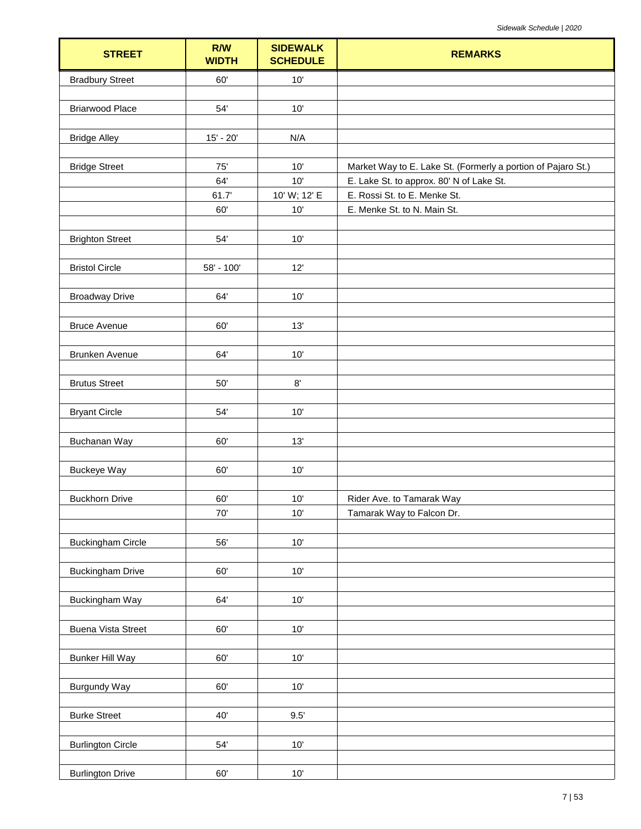| <b>STREET</b>             | R/W<br><b>WIDTH</b> | <b>SIDEWALK</b><br><b>SCHEDULE</b> | <b>REMARKS</b>                                               |
|---------------------------|---------------------|------------------------------------|--------------------------------------------------------------|
| <b>Bradbury Street</b>    | 60'                 | 10'                                |                                                              |
|                           |                     |                                    |                                                              |
| <b>Briarwood Place</b>    | 54'                 | 10'                                |                                                              |
|                           |                     |                                    |                                                              |
| <b>Bridge Alley</b>       | $15' - 20'$         | N/A                                |                                                              |
| <b>Bridge Street</b>      | 75'                 | 10'                                | Market Way to E. Lake St. (Formerly a portion of Pajaro St.) |
|                           | 64'                 | 10'                                | E. Lake St. to approx. 80' N of Lake St.                     |
|                           | 61.7'               | 10' W; 12' E                       | E. Rossi St. to E. Menke St.                                 |
|                           | 60'                 | $10'$                              | E. Menke St. to N. Main St.                                  |
|                           |                     |                                    |                                                              |
| <b>Brighton Street</b>    | 54'                 | $10'$                              |                                                              |
|                           |                     |                                    |                                                              |
| <b>Bristol Circle</b>     | 58' - 100'          | 12'                                |                                                              |
|                           |                     |                                    |                                                              |
| <b>Broadway Drive</b>     | 64'                 | 10'                                |                                                              |
|                           |                     |                                    |                                                              |
| <b>Bruce Avenue</b>       | 60'                 | 13'                                |                                                              |
| Brunken Avenue            | 64'                 | $10'$                              |                                                              |
|                           |                     |                                    |                                                              |
| <b>Brutus Street</b>      | $50'$               | 8'                                 |                                                              |
|                           |                     |                                    |                                                              |
| <b>Bryant Circle</b>      | 54'                 | 10'                                |                                                              |
|                           |                     |                                    |                                                              |
| Buchanan Way              | 60'                 | 13'                                |                                                              |
|                           |                     |                                    |                                                              |
| <b>Buckeye Way</b>        | 60'                 | 10'                                |                                                              |
|                           |                     |                                    |                                                              |
| <b>Buckhorn Drive</b>     | 60'                 | 10'                                | Rider Ave. to Tamarak Way                                    |
|                           | $70^{\circ}$        | $10'$                              | Tamarak Way to Falcon Dr.                                    |
| <b>Buckingham Circle</b>  | 56'                 | $10'$                              |                                                              |
|                           |                     |                                    |                                                              |
| <b>Buckingham Drive</b>   | 60'                 | $10'$                              |                                                              |
|                           |                     |                                    |                                                              |
| Buckingham Way            | 64'                 | 10'                                |                                                              |
|                           |                     |                                    |                                                              |
| <b>Buena Vista Street</b> | 60'                 | $10'$                              |                                                              |
|                           |                     |                                    |                                                              |
| <b>Bunker Hill Way</b>    | 60'                 | $10'$                              |                                                              |
|                           |                     |                                    |                                                              |
| Burgundy Way              | 60'                 | $10'$                              |                                                              |
|                           | 40'                 | 9.5'                               |                                                              |
| <b>Burke Street</b>       |                     |                                    |                                                              |
| <b>Burlington Circle</b>  | $54^\circ$          | $10'$                              |                                                              |
|                           |                     |                                    |                                                              |
| <b>Burlington Drive</b>   | 60'                 | $10'$                              |                                                              |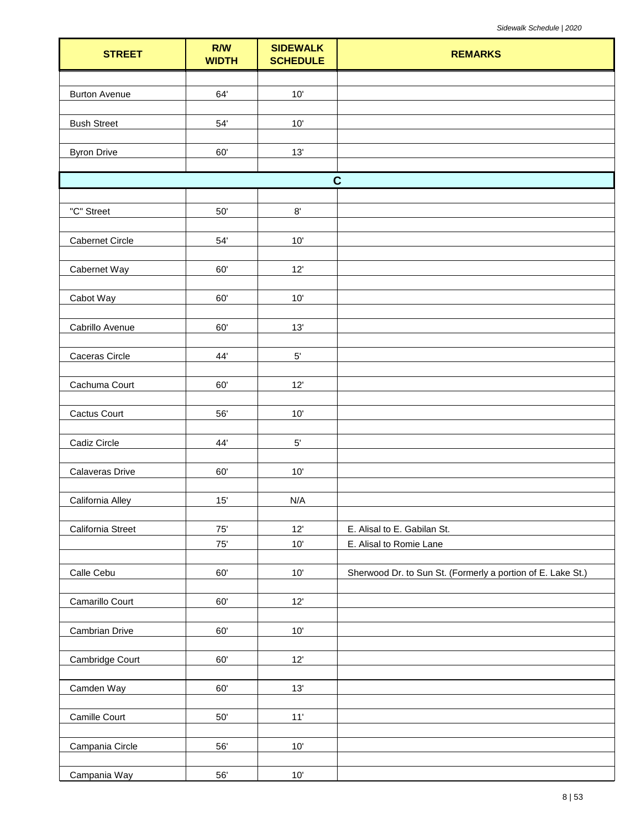| <b>STREET</b>          | R/W<br><b>WIDTH</b> | <b>SIDEWALK</b><br><b>SCHEDULE</b> | <b>REMARKS</b>                                              |
|------------------------|---------------------|------------------------------------|-------------------------------------------------------------|
|                        |                     |                                    |                                                             |
| <b>Burton Avenue</b>   | 64'                 | 10'                                |                                                             |
|                        |                     |                                    |                                                             |
| <b>Bush Street</b>     | $54^\circ$          | 10'                                |                                                             |
| <b>Byron Drive</b>     | 60'                 | 13'                                |                                                             |
|                        |                     |                                    |                                                             |
|                        |                     |                                    | $\mathbf C$                                                 |
|                        |                     |                                    |                                                             |
| "C" Street             | $50'$               | $8^\circ$                          |                                                             |
|                        |                     |                                    |                                                             |
| <b>Cabernet Circle</b> | $54'$               | $10'$                              |                                                             |
| Cabernet Way           | 60'                 | 12'                                |                                                             |
|                        |                     |                                    |                                                             |
| Cabot Way              | 60'                 | 10'                                |                                                             |
|                        |                     |                                    |                                                             |
| Cabrillo Avenue        | 60'                 | $13'$                              |                                                             |
| Caceras Circle         | 44'                 | $5^{\prime}$                       |                                                             |
|                        |                     |                                    |                                                             |
| Cachuma Court          | 60'                 | 12'                                |                                                             |
|                        |                     |                                    |                                                             |
| Cactus Court           | 56'                 | 10'                                |                                                             |
|                        |                     |                                    |                                                             |
| Cadiz Circle           | 44'                 | $5^{\circ}$                        |                                                             |
| Calaveras Drive        | 60'                 | 10'                                |                                                             |
|                        |                     |                                    |                                                             |
| California Alley       | 15'                 | N/A                                |                                                             |
|                        |                     |                                    |                                                             |
| California Street      | 75'                 | 12'                                | E. Alisal to E. Gabilan St.                                 |
|                        | $75^\circ$          | $10'$                              | E. Alisal to Romie Lane                                     |
| Calle Cebu             | 60'                 | 10'                                | Sherwood Dr. to Sun St. (Formerly a portion of E. Lake St.) |
|                        |                     |                                    |                                                             |
| Camarillo Court        | 60'                 | 12'                                |                                                             |
|                        |                     |                                    |                                                             |
| <b>Cambrian Drive</b>  | 60'                 | 10'                                |                                                             |
|                        | 60'                 | 12'                                |                                                             |
| Cambridge Court        |                     |                                    |                                                             |
| Camden Way             | $60^\circ$          | 13'                                |                                                             |
|                        |                     |                                    |                                                             |
| Camille Court          | $50'$               | 11'                                |                                                             |
|                        |                     |                                    |                                                             |
| Campania Circle        | 56'                 | 10'                                |                                                             |
| Campania Way           | $56^\circ$          | $10'$                              |                                                             |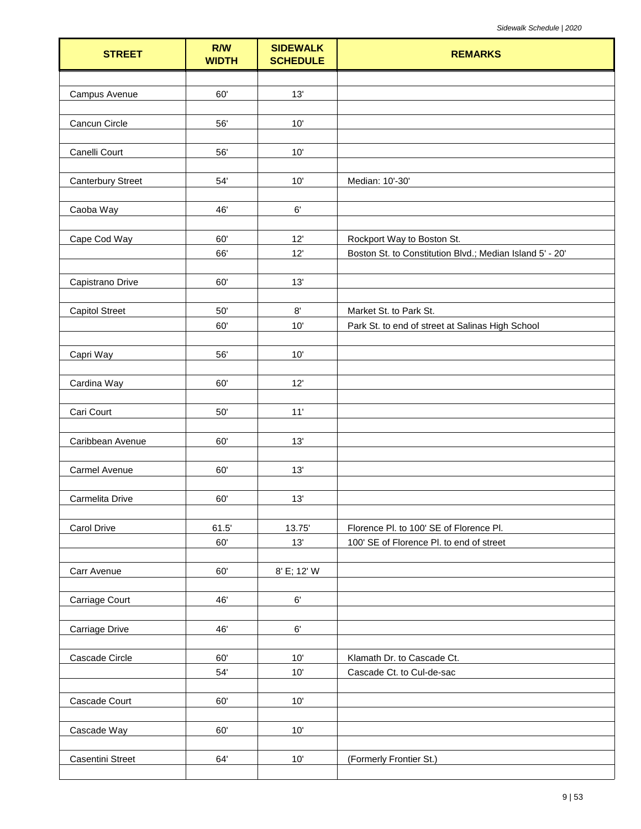| <b>STREET</b>            | R/W<br><b>WIDTH</b> | <b>SIDEWALK</b><br><b>SCHEDULE</b> | <b>REMARKS</b>                                                                         |
|--------------------------|---------------------|------------------------------------|----------------------------------------------------------------------------------------|
|                          |                     |                                    |                                                                                        |
| Campus Avenue            | 60'                 | 13'                                |                                                                                        |
|                          |                     |                                    |                                                                                        |
| Cancun Circle            | 56'                 | $10'$                              |                                                                                        |
| Canelli Court            | 56'                 | 10'                                |                                                                                        |
|                          |                     |                                    |                                                                                        |
| <b>Canterbury Street</b> | 54'                 | 10'                                | Median: 10'-30'                                                                        |
|                          |                     |                                    |                                                                                        |
| Caoba Way                | 46'                 | $6^\circ$                          |                                                                                        |
|                          |                     |                                    |                                                                                        |
| Cape Cod Way             | 60'<br>66'          | 12'<br>12'                         | Rockport Way to Boston St.<br>Boston St. to Constitution Blvd.; Median Island 5' - 20' |
|                          |                     |                                    |                                                                                        |
| Capistrano Drive         | 60'                 | 13'                                |                                                                                        |
|                          |                     |                                    |                                                                                        |
| <b>Capitol Street</b>    | 50'                 | 8'                                 | Market St. to Park St.                                                                 |
|                          | 60'                 | 10'                                | Park St. to end of street at Salinas High School                                       |
|                          |                     |                                    |                                                                                        |
| Capri Way                | 56'                 | 10'                                |                                                                                        |
| Cardina Way              | 60'                 | 12'                                |                                                                                        |
|                          |                     |                                    |                                                                                        |
| Cari Court               | $50'$               | 11'                                |                                                                                        |
|                          |                     |                                    |                                                                                        |
| Caribbean Avenue         | 60'                 | 13'                                |                                                                                        |
|                          |                     |                                    |                                                                                        |
| Carmel Avenue            | 60'                 | 13'                                |                                                                                        |
| Carmelita Drive          | 60'                 | 13'                                |                                                                                        |
|                          |                     |                                    |                                                                                        |
| Carol Drive              | 61.5'               | 13.75                              | Florence Pl. to 100' SE of Florence Pl.                                                |
|                          | 60'                 | 13'                                | 100' SE of Florence Pl. to end of street                                               |
|                          |                     |                                    |                                                                                        |
| Carr Avenue              | 60'                 | 8' E; 12' W                        |                                                                                        |
|                          |                     |                                    |                                                                                        |
| Carriage Court           | 46'                 | $6^\circ$                          |                                                                                        |
| Carriage Drive           | 46'                 | $6^\circ$                          |                                                                                        |
|                          |                     |                                    |                                                                                        |
| Cascade Circle           | 60'                 | 10'                                | Klamath Dr. to Cascade Ct.                                                             |
|                          | 54'                 | 10'                                | Cascade Ct. to Cul-de-sac                                                              |
|                          |                     |                                    |                                                                                        |
| Cascade Court            | 60'                 | $10'$                              |                                                                                        |
|                          | 60'                 | 10'                                |                                                                                        |
| Cascade Way              |                     |                                    |                                                                                        |
| Casentini Street         | 64'                 | $10'$                              | (Formerly Frontier St.)                                                                |
|                          |                     |                                    |                                                                                        |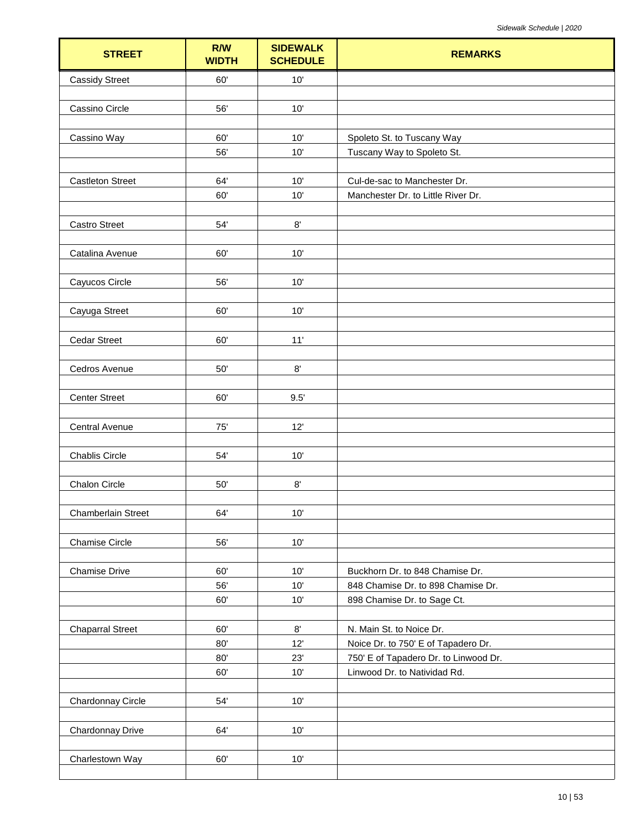| <b>STREET</b>           | R/W<br><b>WIDTH</b> | <b>SIDEWALK</b><br><b>SCHEDULE</b> | <b>REMARKS</b>                                                        |
|-------------------------|---------------------|------------------------------------|-----------------------------------------------------------------------|
| <b>Cassidy Street</b>   | 60'                 | 10'                                |                                                                       |
|                         |                     |                                    |                                                                       |
| Cassino Circle          | 56'                 | 10'                                |                                                                       |
|                         |                     |                                    |                                                                       |
| Cassino Way             | 60'<br>56'          | 10'<br>10'                         | Spoleto St. to Tuscany Way                                            |
|                         |                     |                                    | Tuscany Way to Spoleto St.                                            |
| <b>Castleton Street</b> | 64'                 | 10'                                | Cul-de-sac to Manchester Dr.                                          |
|                         | 60'                 | 10'                                | Manchester Dr. to Little River Dr.                                    |
|                         |                     |                                    |                                                                       |
| <b>Castro Street</b>    | 54'                 | $8^\circ$                          |                                                                       |
|                         |                     |                                    |                                                                       |
| Catalina Avenue         | 60'                 | 10'                                |                                                                       |
|                         |                     |                                    |                                                                       |
| Cayucos Circle          | 56'                 | 10'                                |                                                                       |
| Cayuga Street           | 60'                 | 10'                                |                                                                       |
|                         |                     |                                    |                                                                       |
| <b>Cedar Street</b>     | 60'                 | 11'                                |                                                                       |
|                         |                     |                                    |                                                                       |
| Cedros Avenue           | 50'                 | $8^\circ$                          |                                                                       |
|                         |                     |                                    |                                                                       |
| <b>Center Street</b>    | 60'                 | 9.5'                               |                                                                       |
|                         |                     |                                    |                                                                       |
| Central Avenue          | 75'                 | 12'                                |                                                                       |
| <b>Chablis Circle</b>   | 54'                 | 10'                                |                                                                       |
|                         |                     |                                    |                                                                       |
| Chalon Circle           | 50'                 | $8^\circ$                          |                                                                       |
|                         |                     |                                    |                                                                       |
| Chamberlain Street      | 64'                 | 10'                                |                                                                       |
|                         |                     |                                    |                                                                       |
| <b>Chamise Circle</b>   | 56'                 | 10'                                |                                                                       |
|                         |                     |                                    |                                                                       |
| <b>Chamise Drive</b>    | 60'<br>56'          | 10'<br>$10'$                       | Buckhorn Dr. to 848 Chamise Dr.<br>848 Chamise Dr. to 898 Chamise Dr. |
|                         | 60'                 | 10'                                | 898 Chamise Dr. to Sage Ct.                                           |
|                         |                     |                                    |                                                                       |
| <b>Chaparral Street</b> | 60'                 | $8^\circ$                          | N. Main St. to Noice Dr.                                              |
|                         | 80'                 | 12'                                | Noice Dr. to 750' E of Tapadero Dr.                                   |
|                         | 80'                 | 23'                                | 750' E of Tapadero Dr. to Linwood Dr.                                 |
|                         | 60'                 | 10'                                | Linwood Dr. to Natividad Rd.                                          |
|                         |                     |                                    |                                                                       |
| Chardonnay Circle       | 54'                 | 10'                                |                                                                       |
| Chardonnay Drive        | 64'                 | 10'                                |                                                                       |
|                         |                     |                                    |                                                                       |
| Charlestown Way         | 60'                 | 10'                                |                                                                       |
|                         |                     |                                    |                                                                       |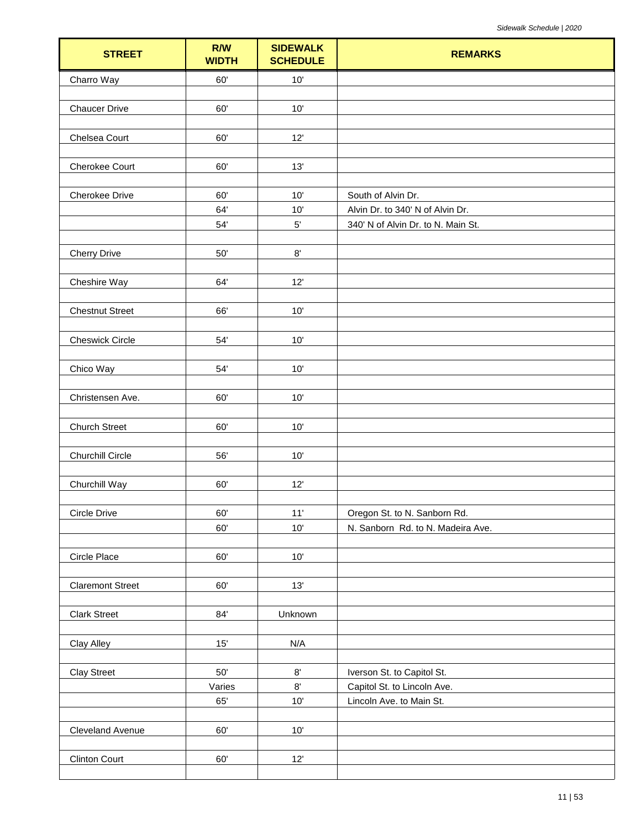| <b>STREET</b>           | R/W<br><b>WIDTH</b> | <b>SIDEWALK</b><br><b>SCHEDULE</b> | <b>REMARKS</b>                                          |
|-------------------------|---------------------|------------------------------------|---------------------------------------------------------|
| Charro Way              | 60'                 | $10'$                              |                                                         |
|                         |                     |                                    |                                                         |
| <b>Chaucer Drive</b>    | 60'                 | 10'                                |                                                         |
|                         |                     |                                    |                                                         |
| Chelsea Court           | 60'                 | 12'                                |                                                         |
| Cherokee Court          | 60'                 | 13'                                |                                                         |
|                         |                     |                                    |                                                         |
| Cherokee Drive          | 60'                 | 10'                                | South of Alvin Dr.                                      |
|                         | 64'                 | 10'                                | Alvin Dr. to 340' N of Alvin Dr.                        |
|                         | 54'                 | $5'$                               | 340' N of Alvin Dr. to N. Main St.                      |
|                         |                     |                                    |                                                         |
| <b>Cherry Drive</b>     | $50'$               | $8^\circ$                          |                                                         |
| Cheshire Way            | 64'                 | 12'                                |                                                         |
| <b>Chestnut Street</b>  | 66'                 | 10'                                |                                                         |
| <b>Cheswick Circle</b>  | 54'                 | $10'$                              |                                                         |
| Chico Way               | 54'                 | $10'$                              |                                                         |
| Christensen Ave.        | 60'                 | 10'                                |                                                         |
| <b>Church Street</b>    | 60'                 | $10'$                              |                                                         |
| <b>Churchill Circle</b> | 56'                 | 10'                                |                                                         |
| Churchill Way           | 60'                 | 12'                                |                                                         |
|                         |                     |                                    |                                                         |
| Circle Drive            | 60'                 | 11'                                | Oregon St. to N. Sanborn Rd.                            |
|                         | 60'                 | 10'                                | N. Sanborn Rd. to N. Madeira Ave.                       |
|                         |                     |                                    |                                                         |
| Circle Place            | 60'                 | $10^{\circ}$                       |                                                         |
| <b>Claremont Street</b> | 60'                 | 13'                                |                                                         |
|                         |                     |                                    |                                                         |
| <b>Clark Street</b>     | 84'                 | Unknown                            |                                                         |
| <b>Clay Alley</b>       | 15'                 | N/A                                |                                                         |
|                         |                     |                                    |                                                         |
| <b>Clay Street</b>      | $50^\circ$          | $8^\circ$<br>$8^\circ$             | Iverson St. to Capitol St.                              |
|                         | Varies<br>65'       | $10'$                              | Capitol St. to Lincoln Ave.<br>Lincoln Ave. to Main St. |
|                         |                     |                                    |                                                         |
| Cleveland Avenue        | 60'                 | $10'$                              |                                                         |
|                         |                     |                                    |                                                         |
| <b>Clinton Court</b>    | 60'                 | 12'                                |                                                         |
|                         |                     |                                    |                                                         |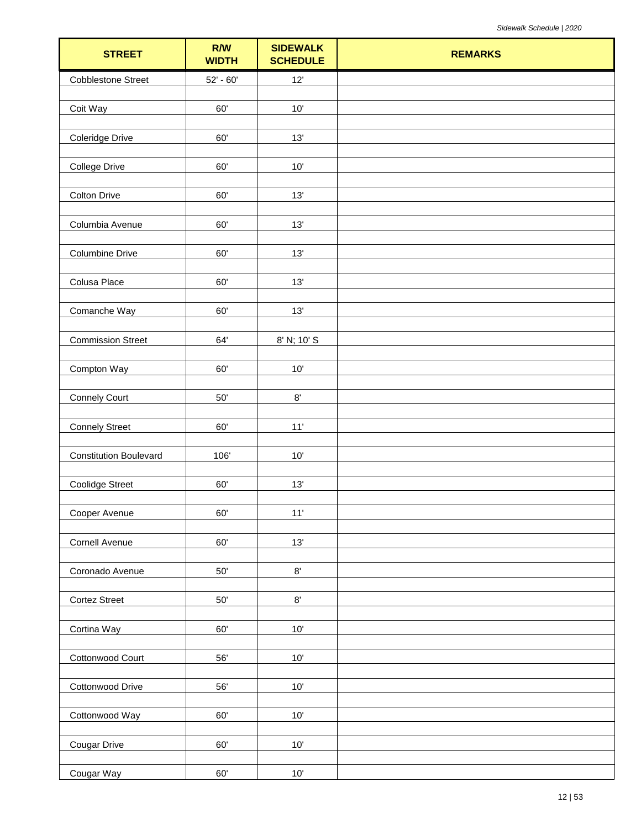| <b>STREET</b>                 | R/W<br><b>WIDTH</b> | <b>SIDEWALK</b><br><b>SCHEDULE</b> | <b>REMARKS</b> |
|-------------------------------|---------------------|------------------------------------|----------------|
| <b>Cobblestone Street</b>     | $52' - 60'$         | $12'$                              |                |
|                               |                     |                                    |                |
| Coit Way                      | 60'                 | 10'                                |                |
| Coleridge Drive               | 60'                 | 13'                                |                |
|                               |                     |                                    |                |
| <b>College Drive</b>          | 60'                 | $10'$                              |                |
| <b>Colton Drive</b>           | 60'                 | 13'                                |                |
| Columbia Avenue               | 60'                 | 13'                                |                |
|                               |                     |                                    |                |
| <b>Columbine Drive</b>        | 60'                 | 13'                                |                |
|                               | 60'                 | 13'                                |                |
| Colusa Place                  |                     |                                    |                |
| Comanche Way                  | 60'                 | $13'$                              |                |
|                               |                     |                                    |                |
| <b>Commission Street</b>      | 64'                 | 8' N; 10' S                        |                |
| Compton Way                   | 60'                 | $10'$                              |                |
|                               |                     |                                    |                |
| <b>Connely Court</b>          | $50^{\circ}$        | $8^\circ$                          |                |
|                               |                     |                                    |                |
| <b>Connely Street</b>         | 60'                 | $11'$                              |                |
| <b>Constitution Boulevard</b> | 106'                | $10'$                              |                |
|                               |                     |                                    |                |
| <b>Coolidge Street</b>        | 60'                 | 13'                                |                |
| Cooper Avenue                 | 60'                 | $11'$                              |                |
|                               |                     |                                    |                |
| Cornell Avenue                | 60'                 | $13'$                              |                |
|                               |                     |                                    |                |
| Coronado Avenue               | $50^{\circ}$        | $8^\circ$                          |                |
| <b>Cortez Street</b>          | $50^\circ$          | $8^\circ$                          |                |
|                               |                     |                                    |                |
| Cortina Way                   | 60'                 | $10'$                              |                |
|                               |                     |                                    |                |
| Cottonwood Court              | 56'                 | $10^{\circ}$                       |                |
| Cottonwood Drive              | 56'                 | $10'$                              |                |
|                               |                     |                                    |                |
| Cottonwood Way                | $60^\circ$          | $10'$                              |                |
| Cougar Drive                  | 60'                 | $10^{\circ}$                       |                |
| Cougar Way                    | 60'                 | $10'$                              |                |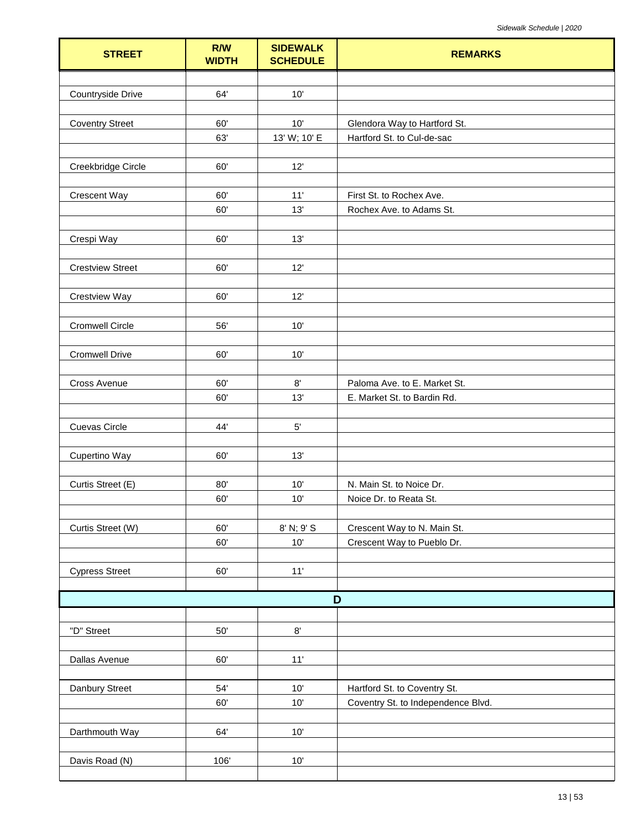| <b>STREET</b>           | R/W<br><b>WIDTH</b> | <b>SIDEWALK</b><br><b>SCHEDULE</b> | <b>REMARKS</b>                     |
|-------------------------|---------------------|------------------------------------|------------------------------------|
|                         |                     |                                    |                                    |
| Countryside Drive       | 64'                 | 10'                                |                                    |
|                         |                     |                                    |                                    |
| <b>Coventry Street</b>  | 60'                 | 10'                                | Glendora Way to Hartford St.       |
|                         | 63'                 | 13' W; 10' E                       | Hartford St. to Cul-de-sac         |
| Creekbridge Circle      | 60'                 | 12'                                |                                    |
|                         |                     |                                    |                                    |
| <b>Crescent Way</b>     | 60'                 | $11'$                              | First St. to Rochex Ave.           |
|                         | 60'                 | 13'                                | Rochex Ave. to Adams St.           |
|                         |                     |                                    |                                    |
| Crespi Way              | 60'                 | 13'                                |                                    |
|                         |                     |                                    |                                    |
| <b>Crestview Street</b> | 60'                 | 12'                                |                                    |
| Crestview Way           | 60'                 | 12'                                |                                    |
|                         |                     |                                    |                                    |
| <b>Cromwell Circle</b>  | 56'                 | 10'                                |                                    |
|                         |                     |                                    |                                    |
| <b>Cromwell Drive</b>   | 60'                 | 10'                                |                                    |
|                         |                     |                                    |                                    |
| Cross Avenue            | 60'                 | $8^\circ$                          | Paloma Ave. to E. Market St.       |
|                         | 60'                 | 13'                                | E. Market St. to Bardin Rd.        |
| Cuevas Circle           | 44'                 | $5^{\prime}$                       |                                    |
|                         |                     |                                    |                                    |
| Cupertino Way           | 60'                 | 13'                                |                                    |
|                         |                     |                                    |                                    |
| Curtis Street (E)       | 80'                 | 10'                                | N. Main St. to Noice Dr.           |
|                         | 60'                 | 10'                                | Noice Dr. to Reata St.             |
| Curtis Street (W)       | 60'                 | 8' N; 9' S                         | Crescent Way to N. Main St.        |
|                         | 60'                 | 10'                                | Crescent Way to Pueblo Dr.         |
|                         |                     |                                    |                                    |
| <b>Cypress Street</b>   | 60'                 | 11'                                |                                    |
|                         |                     |                                    |                                    |
|                         |                     |                                    | D                                  |
|                         |                     |                                    |                                    |
| "D" Street              | $50^{\circ}$        | $8^\circ$                          |                                    |
| Dallas Avenue           | 60'                 | $11'$                              |                                    |
|                         |                     |                                    |                                    |
| Danbury Street          | 54'                 | $10'$                              | Hartford St. to Coventry St.       |
|                         | 60'                 | 10'                                | Coventry St. to Independence Blvd. |
|                         |                     |                                    |                                    |
| Darthmouth Way          | 64'                 | $10'$                              |                                    |
|                         |                     |                                    |                                    |
| Davis Road (N)          | 106'                | $10'$                              |                                    |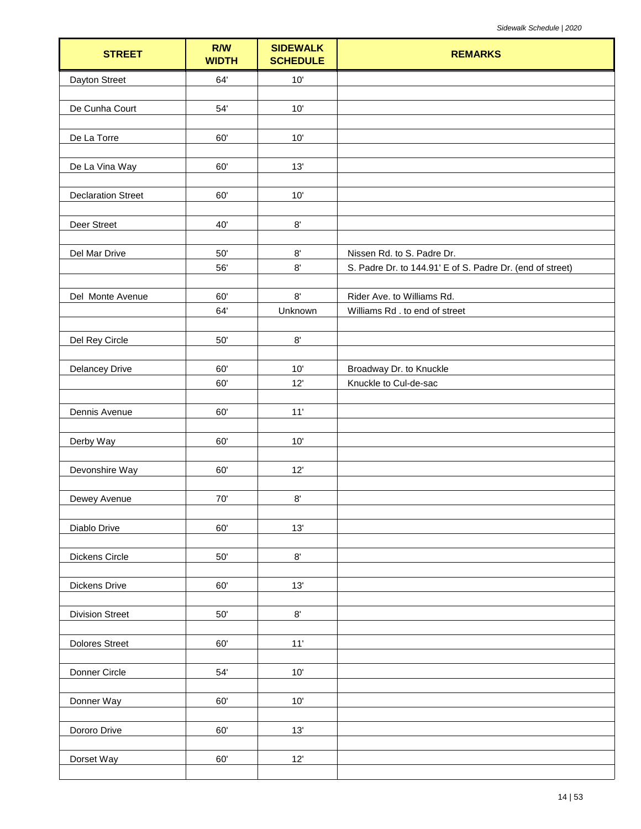| <b>STREET</b>             | R/W<br><b>WIDTH</b> | <b>SIDEWALK</b><br><b>SCHEDULE</b> | <b>REMARKS</b>                                            |
|---------------------------|---------------------|------------------------------------|-----------------------------------------------------------|
| Dayton Street             | 64'                 | 10'                                |                                                           |
|                           |                     |                                    |                                                           |
| De Cunha Court            | 54'                 | 10'                                |                                                           |
| De La Torre               | 60'                 | $10'$                              |                                                           |
| De La Vina Way            | 60'                 | 13'                                |                                                           |
| <b>Declaration Street</b> | 60'                 | 10'                                |                                                           |
| Deer Street               | 40'                 | $8^\circ$                          |                                                           |
| Del Mar Drive             | $50'$               | $8^\circ$                          | Nissen Rd. to S. Padre Dr.                                |
|                           | 56'                 | $8^\circ$                          | S. Padre Dr. to 144.91' E of S. Padre Dr. (end of street) |
|                           |                     |                                    |                                                           |
| Del Monte Avenue          | 60'                 | 8'                                 | Rider Ave. to Williams Rd.                                |
|                           | 64'                 | Unknown                            | Williams Rd . to end of street                            |
|                           |                     |                                    |                                                           |
| Del Rey Circle            | $50^{\circ}$        | $8^\circ$                          |                                                           |
| <b>Delancey Drive</b>     | 60'                 | 10'                                | Broadway Dr. to Knuckle                                   |
|                           | 60'                 | 12'                                | Knuckle to Cul-de-sac                                     |
|                           |                     |                                    |                                                           |
| Dennis Avenue             | 60'                 | 11'                                |                                                           |
|                           |                     |                                    |                                                           |
| Derby Way                 | 60'                 | 10'                                |                                                           |
|                           |                     |                                    |                                                           |
| Devonshire Way            | 60'                 | 12'                                |                                                           |
| Dewey Avenue              | $70^{\circ}$        | $8^\circ$                          |                                                           |
|                           |                     |                                    |                                                           |
| Diablo Drive              | 60'                 | 13'                                |                                                           |
|                           |                     |                                    |                                                           |
| Dickens Circle            | $50'$               | $8^\circ$                          |                                                           |
|                           |                     |                                    |                                                           |
| <b>Dickens Drive</b>      | 60'                 | 13'                                |                                                           |
|                           |                     | $8^\circ$                          |                                                           |
| <b>Division Street</b>    | $50'$               |                                    |                                                           |
| <b>Dolores Street</b>     | 60'                 | 11'                                |                                                           |
|                           |                     |                                    |                                                           |
| Donner Circle             | 54'                 | $10'$                              |                                                           |
|                           |                     |                                    |                                                           |
| Donner Way                | 60'                 | 10'                                |                                                           |
|                           |                     |                                    |                                                           |
| Dororo Drive              | 60'                 | 13'                                |                                                           |
| Dorset Way                | 60'                 | 12'                                |                                                           |
|                           |                     |                                    |                                                           |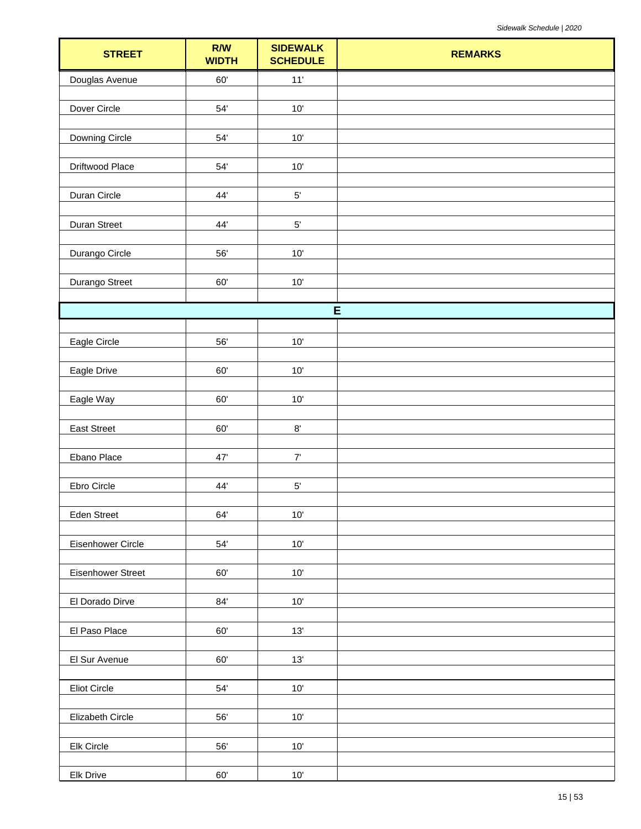| <b>STREET</b>     | R/W<br><b>WIDTH</b> | <b>SIDEWALK</b><br><b>SCHEDULE</b> | <b>REMARKS</b> |
|-------------------|---------------------|------------------------------------|----------------|
| Douglas Avenue    | 60'                 | $11'$                              |                |
| Dover Circle      | 54'                 | 10'                                |                |
|                   |                     |                                    |                |
| Downing Circle    | $54'$               | $10'$                              |                |
| Driftwood Place   | $54^\circ$          | $10'$                              |                |
|                   |                     |                                    |                |
| Duran Circle      | 44'                 | $5^{\circ}$                        |                |
| Duran Street      | 44'                 | $5'$                               |                |
|                   |                     |                                    |                |
| Durango Circle    | 56'                 | $10'$                              |                |
| Durango Street    | 60'                 | $10'$                              |                |
|                   |                     |                                    |                |
|                   |                     | E                                  |                |
| Eagle Circle      | 56'                 | $10'$                              |                |
|                   |                     |                                    |                |
| Eagle Drive       | 60'                 | $10'$                              |                |
| Eagle Way         | 60'                 | $10'$                              |                |
|                   |                     |                                    |                |
| East Street       | 60'                 | $8^\circ$                          |                |
| Ebano Place       | $47^\circ$          | $7'$                               |                |
| Ebro Circle       | 44'                 | $5^{\circ}$                        |                |
|                   |                     |                                    |                |
| Eden Street       | 64'                 | $10'$                              |                |
| Eisenhower Circle | $54'$               | $10^{\circ}$                       |                |
|                   |                     |                                    |                |
| Eisenhower Street | $60^\circ$          | $10'$                              |                |
| El Dorado Dirve   | $84^\circ$          | $10'$                              |                |
|                   |                     |                                    |                |
| El Paso Place     | $60^\circ$          | $13'$                              |                |
| El Sur Avenue     | $60^\circ$          | 13'                                |                |
|                   |                     |                                    |                |
| Eliot Circle      | 54'                 | $10'$                              |                |
| Elizabeth Circle  | 56'                 | $10'$                              |                |
|                   |                     |                                    |                |
| Elk Circle        | 56'                 | $10'$                              |                |
| <b>Elk Drive</b>  | 60'                 | $10^{\circ}$                       |                |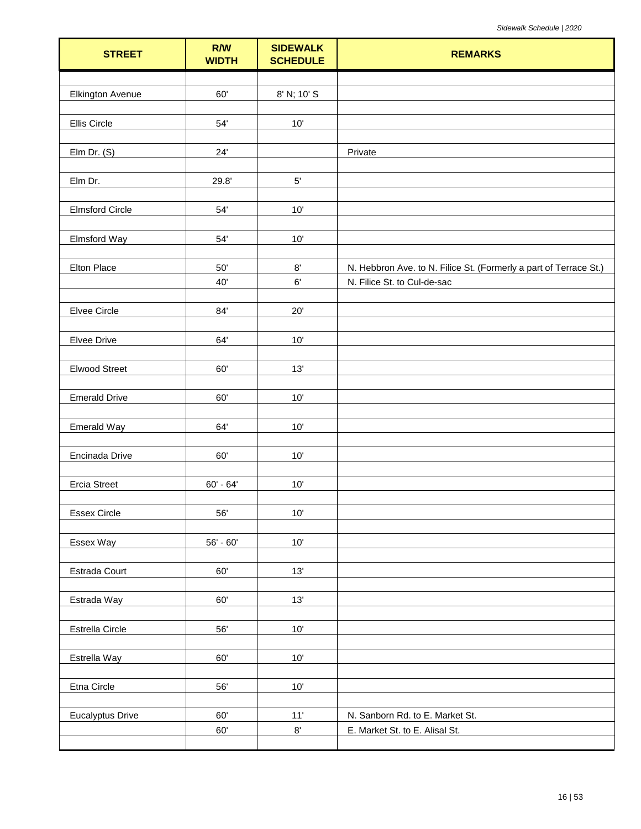| <b>STREET</b>           | R/W<br><b>WIDTH</b> | <b>SIDEWALK</b><br><b>SCHEDULE</b> | <b>REMARKS</b>                                                    |
|-------------------------|---------------------|------------------------------------|-------------------------------------------------------------------|
|                         | 60'                 |                                    |                                                                   |
| <b>Elkington Avenue</b> |                     | 8' N; 10' S                        |                                                                   |
| Ellis Circle            | 54'                 | $10'$                              |                                                                   |
| Elm Dr. (S)             | 24'                 |                                    | Private                                                           |
| Elm Dr.                 | 29.8'               | $5^{\circ}$                        |                                                                   |
| <b>Elmsford Circle</b>  | 54'                 | 10'                                |                                                                   |
| Elmsford Way            | 54'                 | $10'$                              |                                                                   |
| Elton Place             | 50'                 | $8^\circ$                          | N. Hebbron Ave. to N. Filice St. (Formerly a part of Terrace St.) |
|                         | 40'                 | 6'                                 | N. Filice St. to Cul-de-sac                                       |
| Elvee Circle            | 84'                 | $20^{\circ}$                       |                                                                   |
| Elvee Drive             | 64'                 | 10'                                |                                                                   |
| <b>Elwood Street</b>    | 60'                 | 13'                                |                                                                   |
| <b>Emerald Drive</b>    | 60'                 | 10'                                |                                                                   |
| Emerald Way             | 64'                 | 10'                                |                                                                   |
| Encinada Drive          | 60'                 | $10'$                              |                                                                   |
| <b>Ercia Street</b>     | $60' - 64'$         | 10'                                |                                                                   |
| Essex Circle            | 56'                 | $10'$                              |                                                                   |
| Essex Way               | $56' - 60'$         | $10'$                              |                                                                   |
| Estrada Court           | 60'                 | 13'                                |                                                                   |
| Estrada Way             | $60^\circ$          | 13'                                |                                                                   |
|                         |                     |                                    |                                                                   |
| Estrella Circle         | 56'                 | $10'$                              |                                                                   |
| Estrella Way            | 60'                 | $10'$                              |                                                                   |
| Etna Circle             | 56'                 | $10'$                              |                                                                   |
| <b>Eucalyptus Drive</b> | 60'                 | $11'$                              | N. Sanborn Rd. to E. Market St.                                   |
|                         | 60'                 | $8^\circ$                          | E. Market St. to E. Alisal St.                                    |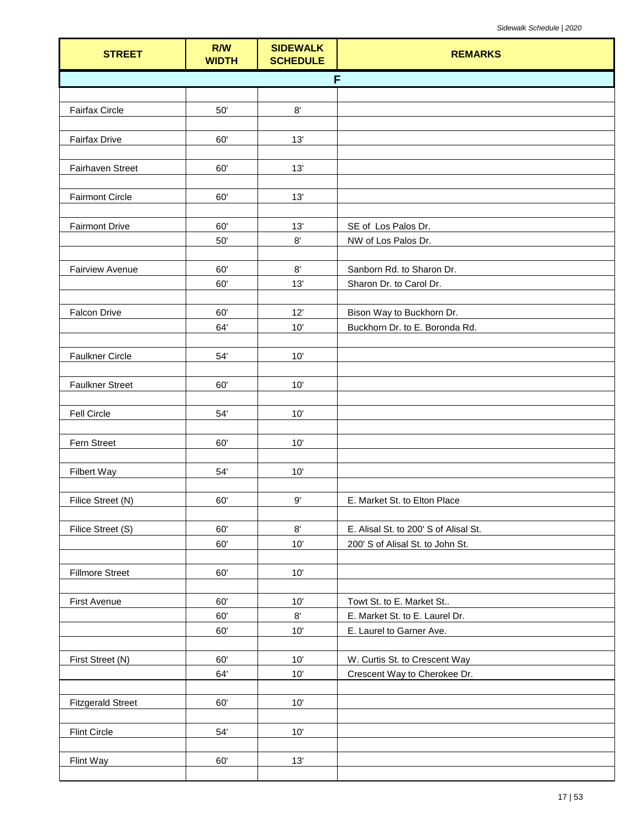| <b>STREET</b>            | R/W<br><b>WIDTH</b> | <b>SIDEWALK</b><br><b>SCHEDULE</b> | <b>REMARKS</b>                        |
|--------------------------|---------------------|------------------------------------|---------------------------------------|
|                          |                     |                                    | F                                     |
|                          |                     |                                    |                                       |
| Fairfax Circle           | $50'$               | $8^\circ$                          |                                       |
|                          |                     |                                    |                                       |
| <b>Fairfax Drive</b>     | 60'                 | 13'                                |                                       |
| Fairhaven Street         | 60'                 | 13'                                |                                       |
|                          |                     |                                    |                                       |
| <b>Fairmont Circle</b>   | 60'                 | 13'                                |                                       |
|                          |                     |                                    |                                       |
| <b>Fairmont Drive</b>    | 60'                 | 13'                                | SE of Los Palos Dr.                   |
|                          | $50'$               | $8^\circ$                          | NW of Los Palos Dr.                   |
| <b>Fairview Avenue</b>   | 60'                 | $8^\circ$                          | Sanborn Rd. to Sharon Dr.             |
|                          | 60'                 | 13'                                | Sharon Dr. to Carol Dr.               |
|                          |                     |                                    |                                       |
| <b>Falcon Drive</b>      | 60'                 | 12'                                | Bison Way to Buckhorn Dr.             |
|                          | 64'                 | 10'                                | Buckhorn Dr. to E. Boronda Rd.        |
|                          |                     |                                    |                                       |
| <b>Faulkner Circle</b>   | 54'                 | 10'                                |                                       |
| <b>Faulkner Street</b>   | 60'                 | 10'                                |                                       |
|                          |                     |                                    |                                       |
| Fell Circle              | 54'                 | $10'$                              |                                       |
|                          |                     |                                    |                                       |
| Fern Street              | 60'                 | 10'                                |                                       |
|                          |                     |                                    |                                       |
| Filbert Way              | 54'                 | 10'                                |                                       |
| Filice Street (N)        | 60'                 | $9^{\circ}$                        | E. Market St. to Elton Place          |
|                          |                     |                                    |                                       |
| Filice Street (S)        | 60'                 | 8'                                 | E. Alisal St. to 200' S of Alisal St. |
|                          | 60'                 | 10'                                | 200' S of Alisal St. to John St.      |
|                          |                     |                                    |                                       |
| <b>Fillmore Street</b>   | 60'                 | 10'                                |                                       |
| First Avenue             | 60'                 | $10'$                              | Towt St. to E. Market St              |
|                          | 60'                 | 8'                                 | E. Market St. to E. Laurel Dr.        |
|                          | 60'                 | 10'                                | E. Laurel to Garner Ave.              |
|                          |                     |                                    |                                       |
| First Street (N)         | 60'                 | 10'                                | W. Curtis St. to Crescent Way         |
|                          | 64'                 | 10'                                | Crescent Way to Cherokee Dr.          |
|                          |                     |                                    |                                       |
| <b>Fitzgerald Street</b> | 60'                 | 10'                                |                                       |
| <b>Flint Circle</b>      | 54'                 | $10'$                              |                                       |
|                          |                     |                                    |                                       |
| Flint Way                | 60'                 | 13'                                |                                       |
|                          |                     |                                    |                                       |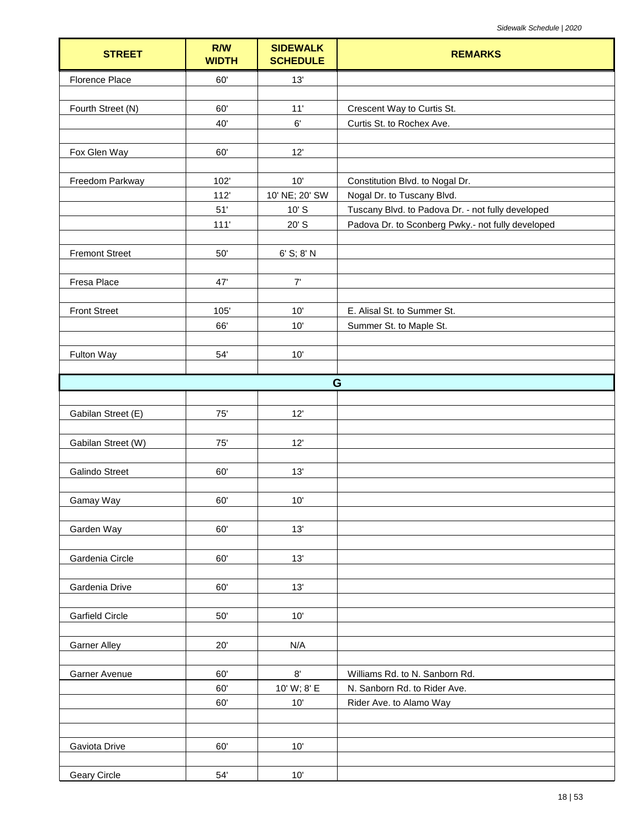| <b>STREET</b>          | R/W<br><b>WIDTH</b> | <b>SIDEWALK</b><br><b>SCHEDULE</b> | <b>REMARKS</b>                                    |
|------------------------|---------------------|------------------------------------|---------------------------------------------------|
| Florence Place         | 60'                 | 13'                                |                                                   |
|                        |                     |                                    |                                                   |
| Fourth Street (N)      | 60'                 | 11'                                | Crescent Way to Curtis St.                        |
|                        | 40'                 | 6'                                 | Curtis St. to Rochex Ave.                         |
| Fox Glen Way           | 60'                 | 12'                                |                                                   |
|                        |                     |                                    |                                                   |
| Freedom Parkway        | 102'                | 10'                                | Constitution Blvd. to Nogal Dr.                   |
|                        | 112'                | 10' NE; 20' SW                     | Nogal Dr. to Tuscany Blvd.                        |
|                        | 51'                 | $10'$ S                            | Tuscany Blvd. to Padova Dr. - not fully developed |
|                        | 111'                | 20' S                              | Padova Dr. to Sconberg Pwky.- not fully developed |
|                        |                     |                                    |                                                   |
| <b>Fremont Street</b>  | $50'$               | 6' S; 8' N                         |                                                   |
| Fresa Place            | 47'                 | $7'$                               |                                                   |
|                        |                     |                                    |                                                   |
| <b>Front Street</b>    | 105'                | 10'                                | E. Alisal St. to Summer St.                       |
|                        | 66'                 | 10'                                | Summer St. to Maple St.                           |
|                        |                     |                                    |                                                   |
| Fulton Way             | 54'                 | 10'                                |                                                   |
|                        |                     |                                    | G                                                 |
|                        |                     |                                    |                                                   |
| Gabilan Street (E)     | 75'                 | 12'                                |                                                   |
|                        |                     |                                    |                                                   |
| Gabilan Street (W)     | $75'$               | 12'                                |                                                   |
|                        |                     |                                    |                                                   |
| <b>Galindo Street</b>  | 60'                 | 13'                                |                                                   |
| Gamay Way              | 60'                 | 10'                                |                                                   |
|                        |                     |                                    |                                                   |
| Garden Way             | 60'                 | 13'                                |                                                   |
|                        |                     |                                    |                                                   |
| Gardenia Circle        | 60'                 | 13'                                |                                                   |
|                        |                     |                                    |                                                   |
| Gardenia Drive         | 60'                 | 13'                                |                                                   |
| <b>Garfield Circle</b> | 50'                 | 10'                                |                                                   |
|                        |                     |                                    |                                                   |
| <b>Garner Alley</b>    | 20'                 | N/A                                |                                                   |
|                        |                     |                                    |                                                   |
| Garner Avenue          | 60'                 | 8'                                 | Williams Rd. to N. Sanborn Rd.                    |
|                        | 60'                 | 10' W; 8' E                        | N. Sanborn Rd. to Rider Ave.                      |
|                        | 60'                 | 10'                                | Rider Ave. to Alamo Way                           |
|                        |                     |                                    |                                                   |
| Gaviota Drive          | 60'                 | 10'                                |                                                   |
|                        |                     |                                    |                                                   |
| Geary Circle           | $54'$               | 10'                                |                                                   |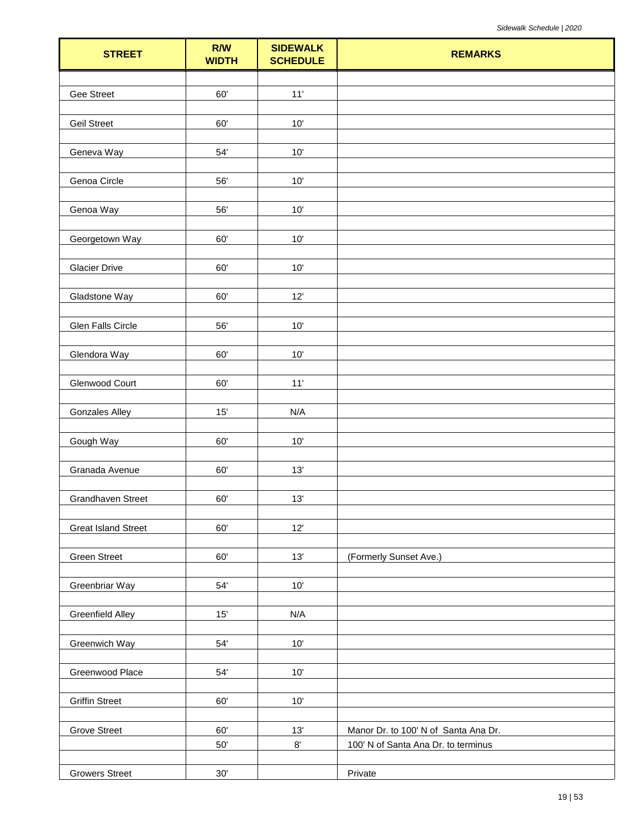| <b>STREET</b>              | R/W<br><b>WIDTH</b> | <b>SIDEWALK</b><br><b>SCHEDULE</b> | <b>REMARKS</b>                       |
|----------------------------|---------------------|------------------------------------|--------------------------------------|
|                            |                     |                                    |                                      |
| Gee Street                 | 60'                 | $11'$                              |                                      |
|                            |                     |                                    |                                      |
| <b>Geil Street</b>         | 60'                 | 10'                                |                                      |
|                            | 54'                 |                                    |                                      |
| Geneva Way                 |                     | 10'                                |                                      |
| Genoa Circle               | 56'                 | $10'$                              |                                      |
|                            |                     |                                    |                                      |
| Genoa Way                  | 56'                 | 10'                                |                                      |
|                            |                     |                                    |                                      |
| Georgetown Way             | 60'                 | 10'                                |                                      |
|                            |                     |                                    |                                      |
| <b>Glacier Drive</b>       | $60^\circ$          | 10'                                |                                      |
| Gladstone Way              | 60'                 | 12'                                |                                      |
|                            |                     |                                    |                                      |
| Glen Falls Circle          | 56'                 | 10'                                |                                      |
|                            |                     |                                    |                                      |
| Glendora Way               | 60'                 | 10'                                |                                      |
|                            |                     |                                    |                                      |
| Glenwood Court             | 60'                 | 11'                                |                                      |
|                            |                     |                                    |                                      |
| <b>Gonzales Alley</b>      | 15'                 | N/A                                |                                      |
| Gough Way                  | 60'                 | 10'                                |                                      |
|                            |                     |                                    |                                      |
| Granada Avenue             | 60'                 | 13'                                |                                      |
|                            |                     |                                    |                                      |
| Grandhaven Street          | 60'                 | 13'                                |                                      |
|                            |                     |                                    |                                      |
| <b>Great Island Street</b> | 60'                 | 12'                                |                                      |
| <b>Green Street</b>        | 60'                 | 13'                                | (Formerly Sunset Ave.)               |
|                            |                     |                                    |                                      |
| Greenbriar Way             | 54'                 | 10'                                |                                      |
|                            |                     |                                    |                                      |
| <b>Greenfield Alley</b>    | 15'                 | N/A                                |                                      |
|                            |                     |                                    |                                      |
| Greenwich Way              | 54'                 | 10'                                |                                      |
| Greenwood Place            | 54'                 | 10'                                |                                      |
|                            |                     |                                    |                                      |
| <b>Griffin Street</b>      | $60^\circ$          | $10'$                              |                                      |
|                            |                     |                                    |                                      |
| <b>Grove Street</b>        | 60'                 | 13'                                | Manor Dr. to 100' N of Santa Ana Dr. |
|                            | $50^\circ$          | $8^\circ$                          | 100' N of Santa Ana Dr. to terminus  |
|                            |                     |                                    |                                      |
| <b>Growers Street</b>      | $30^\circ$          |                                    | Private                              |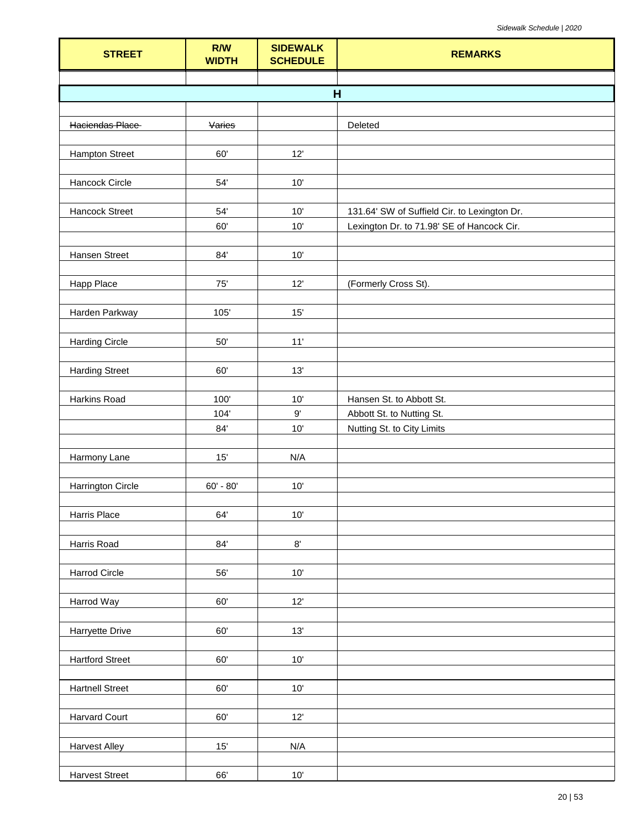| <b>STREET</b>            | R/W<br><b>WIDTH</b> | <b>SIDEWALK</b><br><b>SCHEDULE</b> | <b>REMARKS</b>                               |
|--------------------------|---------------------|------------------------------------|----------------------------------------------|
|                          |                     |                                    |                                              |
|                          |                     |                                    | H                                            |
| Haciendas Place          | Varies              |                                    | Deleted                                      |
|                          |                     |                                    |                                              |
| <b>Hampton Street</b>    | 60'                 | 12'                                |                                              |
|                          |                     |                                    |                                              |
| Hancock Circle           | 54'                 | 10'                                |                                              |
|                          |                     |                                    |                                              |
| Hancock Street           | 54'<br>60'          | 10'<br>10'                         | 131.64' SW of Suffield Cir. to Lexington Dr. |
|                          |                     |                                    | Lexington Dr. to 71.98' SE of Hancock Cir.   |
| <b>Hansen Street</b>     | 84'                 | $10'$                              |                                              |
|                          |                     |                                    |                                              |
| <b>Happ Place</b>        | 75'                 | 12'                                | (Formerly Cross St).                         |
|                          |                     |                                    |                                              |
| Harden Parkway           | 105'                | 15'                                |                                              |
| <b>Harding Circle</b>    | $50'$               | 11'                                |                                              |
|                          |                     |                                    |                                              |
| <b>Harding Street</b>    | 60'                 | 13'                                |                                              |
|                          |                     |                                    |                                              |
| Harkins Road             | 100'                | $10'$                              | Hansen St. to Abbott St.                     |
|                          | 104'                | 9'                                 | Abbott St. to Nutting St.                    |
|                          | 84'                 | 10'                                | Nutting St. to City Limits                   |
| Harmony Lane             | 15'                 | N/A                                |                                              |
|                          |                     |                                    |                                              |
| <b>Harrington Circle</b> | $60' - 80'$         | 10'                                |                                              |
|                          |                     |                                    |                                              |
| Harris Place             | 64'                 | $10'$                              |                                              |
| Harris Road              | 84'                 | $8^\circ$                          |                                              |
|                          |                     |                                    |                                              |
| <b>Harrod Circle</b>     | 56'                 | $10'$                              |                                              |
|                          |                     |                                    |                                              |
| Harrod Way               | 60'                 | 12'                                |                                              |
|                          |                     |                                    |                                              |
| <b>Harryette Drive</b>   | 60'                 | 13'                                |                                              |
| <b>Hartford Street</b>   | 60'                 | $10'$                              |                                              |
|                          |                     |                                    |                                              |
| <b>Hartnell Street</b>   | 60'                 | $10'$                              |                                              |
|                          |                     |                                    |                                              |
| <b>Harvard Court</b>     | 60'                 | 12'                                |                                              |
|                          |                     |                                    |                                              |
| <b>Harvest Alley</b>     | 15'                 | N/A                                |                                              |
| <b>Harvest Street</b>    | 66'                 | $10'$                              |                                              |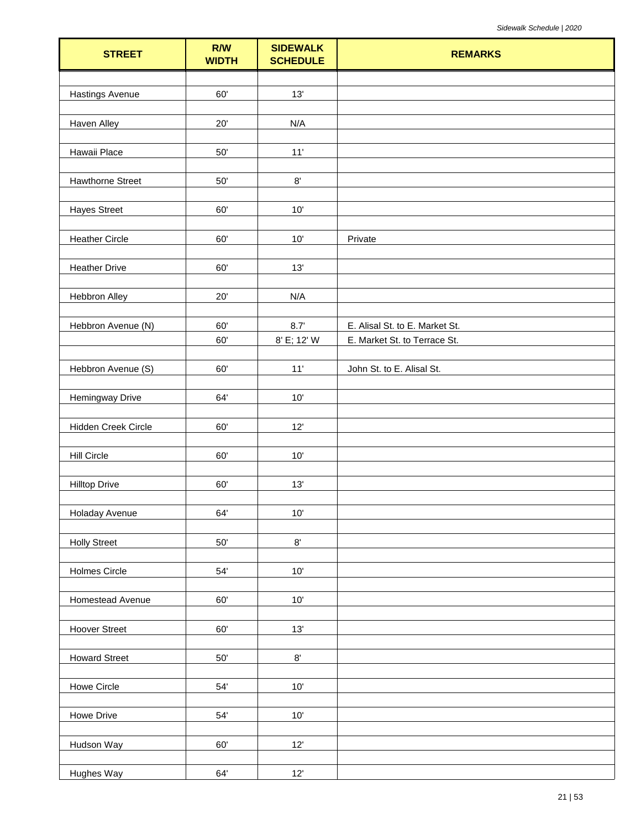| <b>STREET</b>          | R/W<br><b>WIDTH</b> | <b>SIDEWALK</b><br><b>SCHEDULE</b> | <b>REMARKS</b>                 |
|------------------------|---------------------|------------------------------------|--------------------------------|
|                        |                     |                                    |                                |
| <b>Hastings Avenue</b> | 60'                 | 13'                                |                                |
|                        |                     |                                    |                                |
| <b>Haven Alley</b>     | $20^{\circ}$        | N/A                                |                                |
| Hawaii Place           | $50'$               | 11'                                |                                |
|                        |                     |                                    |                                |
| Hawthorne Street       | $50'$               | $8^\circ$                          |                                |
|                        |                     |                                    |                                |
| <b>Hayes Street</b>    | 60'                 | 10'                                |                                |
| <b>Heather Circle</b>  | 60'                 | $10'$                              | Private                        |
|                        |                     |                                    |                                |
| <b>Heather Drive</b>   | 60'                 | 13'                                |                                |
|                        |                     |                                    |                                |
| Hebbron Alley          | 20'                 | N/A                                |                                |
|                        |                     |                                    |                                |
| Hebbron Avenue (N)     | 60'                 | 8.7'                               | E. Alisal St. to E. Market St. |
|                        | 60'                 | 8' E; 12' W                        | E. Market St. to Terrace St.   |
| Hebbron Avenue (S)     | 60'                 | 11'                                | John St. to E. Alisal St.      |
|                        |                     |                                    |                                |
| <b>Hemingway Drive</b> | 64'                 | 10'                                |                                |
|                        |                     |                                    |                                |
| Hidden Creek Circle    | 60'                 | 12'                                |                                |
| <b>Hill Circle</b>     | 60'                 | $10'$                              |                                |
|                        |                     |                                    |                                |
| <b>Hilltop Drive</b>   | 60'                 | 13'                                |                                |
|                        |                     |                                    |                                |
| Holaday Avenue         | 64'                 | $10'$                              |                                |
|                        |                     |                                    |                                |
| <b>Holly Street</b>    | $50^{\circ}$        | $8^\circ$                          |                                |
| <b>Holmes Circle</b>   | 54'                 | 10'                                |                                |
|                        |                     |                                    |                                |
| Homestead Avenue       | $60^\circ$          | $10'$                              |                                |
|                        |                     |                                    |                                |
| <b>Hoover Street</b>   | $60^\circ$          | 13'                                |                                |
|                        | $50^\circ$          | $8^\circ$                          |                                |
| <b>Howard Street</b>   |                     |                                    |                                |
| Howe Circle            | $54^\circ$          | 10'                                |                                |
|                        |                     |                                    |                                |
| Howe Drive             | $54^\circ$          | $10'$                              |                                |
|                        |                     |                                    |                                |
| Hudson Way             | 60'                 | 12'                                |                                |
| Hughes Way             | 64'                 | $12'$                              |                                |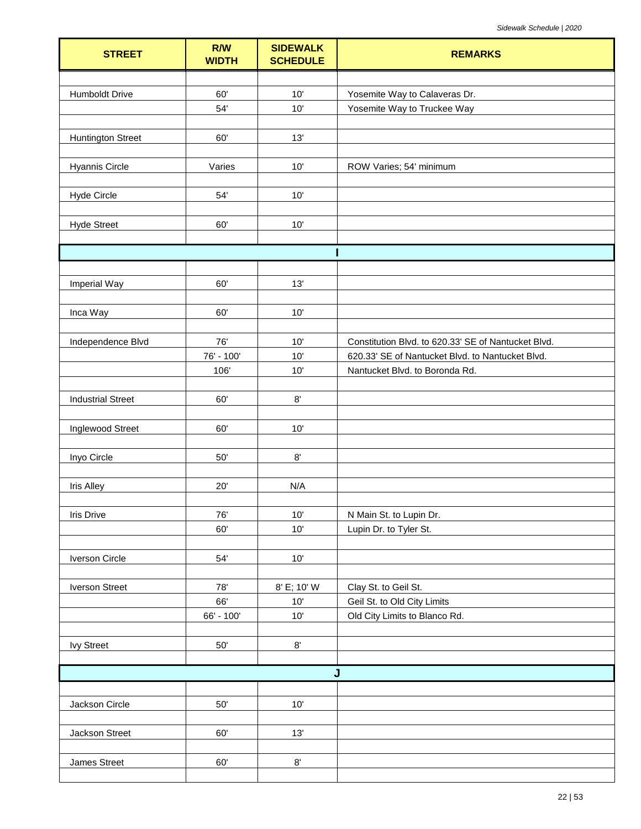| <b>STREET</b>            | R/W<br><b>WIDTH</b> | <b>SIDEWALK</b><br><b>SCHEDULE</b> | <b>REMARKS</b>                                      |
|--------------------------|---------------------|------------------------------------|-----------------------------------------------------|
|                          |                     |                                    |                                                     |
| Humboldt Drive           | 60'                 | 10'                                | Yosemite Way to Calaveras Dr.                       |
|                          | $54'$               | 10'                                | Yosemite Way to Truckee Way                         |
|                          |                     |                                    |                                                     |
| <b>Huntington Street</b> | 60'                 | 13'                                |                                                     |
|                          |                     |                                    |                                                     |
| <b>Hyannis Circle</b>    | Varies              | 10'                                | ROW Varies; 54' minimum                             |
| <b>Hyde Circle</b>       | 54'                 | 10'                                |                                                     |
|                          |                     |                                    |                                                     |
| <b>Hyde Street</b>       | 60'                 | 10'                                |                                                     |
|                          |                     |                                    |                                                     |
|                          |                     |                                    |                                                     |
|                          |                     |                                    |                                                     |
| <b>Imperial Way</b>      | 60'                 | 13'                                |                                                     |
|                          |                     |                                    |                                                     |
| Inca Way                 | 60'                 | 10'                                |                                                     |
| Independence Blvd        | 76'                 | 10'                                | Constitution Blvd. to 620.33' SE of Nantucket Blvd. |
|                          | 76' - 100'          | 10'                                | 620.33' SE of Nantucket Blvd. to Nantucket Blvd.    |
|                          | 106'                | 10'                                | Nantucket Blvd. to Boronda Rd.                      |
|                          |                     |                                    |                                                     |
| <b>Industrial Street</b> | 60'                 | $8^\circ$                          |                                                     |
|                          |                     |                                    |                                                     |
| Inglewood Street         | 60'                 | 10'                                |                                                     |
|                          |                     |                                    |                                                     |
| Inyo Circle              | $50^\circ$          | $8^\circ$                          |                                                     |
|                          |                     |                                    |                                                     |
| <b>Iris Alley</b>        | 20'                 | N/A                                |                                                     |
|                          |                     |                                    |                                                     |
| Iris Drive               | 76'<br>60'          | 10'<br>10'                         | N Main St. to Lupin Dr.<br>Lupin Dr. to Tyler St.   |
|                          |                     |                                    |                                                     |
| <b>Iverson Circle</b>    | 54'                 | $10'$                              |                                                     |
|                          |                     |                                    |                                                     |
| <b>Iverson Street</b>    | 78'                 | 8' E; 10' W                        | Clay St. to Geil St.                                |
|                          | 66'                 | $10'$                              | Geil St. to Old City Limits                         |
|                          | 66' - 100'          | 10'                                | Old City Limits to Blanco Rd.                       |
|                          |                     |                                    |                                                     |
| <b>Ivy Street</b>        | $50^\circ$          | $8^\circ$                          |                                                     |
|                          |                     |                                    | J                                                   |
|                          |                     |                                    |                                                     |
| Jackson Circle           | $50'$               | $10'$                              |                                                     |
|                          |                     |                                    |                                                     |
| Jackson Street           | 60'                 | 13'                                |                                                     |
|                          |                     |                                    |                                                     |
| James Street             | 60'                 | $8^\circ$                          |                                                     |
|                          |                     |                                    |                                                     |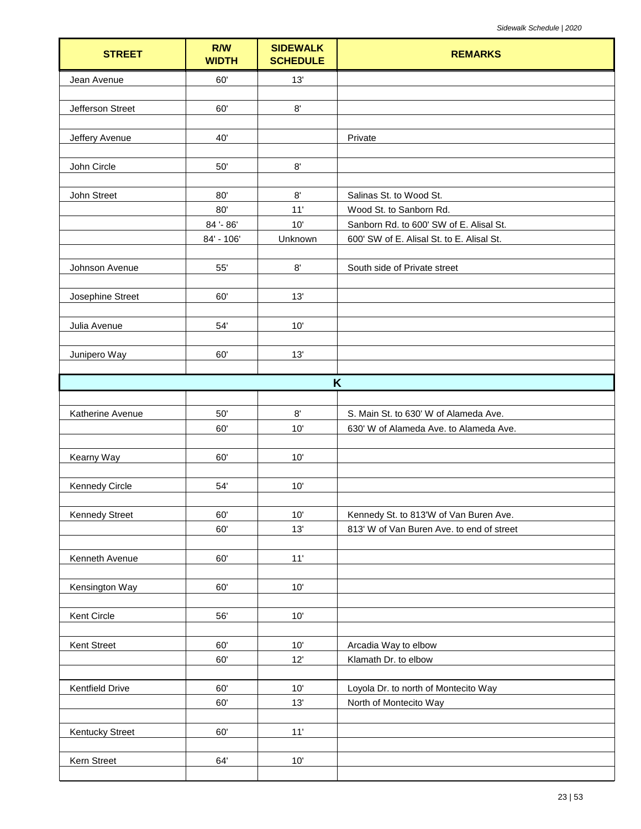| <b>STREET</b>          | R/W<br><b>WIDTH</b> | <b>SIDEWALK</b><br><b>SCHEDULE</b> | <b>REMARKS</b>                                                     |
|------------------------|---------------------|------------------------------------|--------------------------------------------------------------------|
| Jean Avenue            | 60'                 | 13'                                |                                                                    |
|                        |                     |                                    |                                                                    |
| Jefferson Street       | 60'                 | $8^\circ$                          |                                                                    |
| Jeffery Avenue         | 40'                 |                                    | Private                                                            |
|                        |                     |                                    |                                                                    |
| John Circle            | 50'                 | $8^\circ$                          |                                                                    |
|                        |                     |                                    |                                                                    |
| John Street            | 80'<br>80'          | 8'<br>11'                          | Salinas St. to Wood St.                                            |
|                        | 84'-86'             | 10'                                | Wood St. to Sanborn Rd.<br>Sanborn Rd. to 600' SW of E. Alisal St. |
|                        | 84' - 106'          | Unknown                            | 600' SW of E. Alisal St. to E. Alisal St.                          |
|                        |                     |                                    |                                                                    |
| Johnson Avenue         | 55'                 | 8'                                 | South side of Private street                                       |
|                        |                     |                                    |                                                                    |
| Josephine Street       | 60'                 | 13'                                |                                                                    |
| Julia Avenue           | 54'                 | 10'                                |                                                                    |
|                        |                     |                                    |                                                                    |
| Junipero Way           | 60'                 | 13'                                |                                                                    |
|                        |                     |                                    |                                                                    |
|                        |                     |                                    | K                                                                  |
| Katherine Avenue       | 50'                 | 8'                                 | S. Main St. to 630' W of Alameda Ave.                              |
|                        | 60'                 | 10'                                | 630' W of Alameda Ave. to Alameda Ave.                             |
|                        |                     |                                    |                                                                    |
| Kearny Way             | 60'                 | 10'                                |                                                                    |
| <b>Kennedy Circle</b>  | 54'                 | 10'                                |                                                                    |
|                        |                     |                                    |                                                                    |
| <b>Kennedy Street</b>  | 60'                 | 10'                                | Kennedy St. to 813'W of Van Buren Ave.                             |
|                        | 60'                 | 13'                                | 813' W of Van Buren Ave. to end of street                          |
|                        |                     |                                    |                                                                    |
| Kenneth Avenue         | 60'                 | 11'                                |                                                                    |
| Kensington Way         | 60'                 | 10'                                |                                                                    |
|                        |                     |                                    |                                                                    |
| Kent Circle            | 56'                 | 10'                                |                                                                    |
|                        |                     |                                    |                                                                    |
| Kent Street            | 60'                 | $10'$                              | Arcadia Way to elbow                                               |
|                        | 60'                 | 12'                                | Klamath Dr. to elbow                                               |
| <b>Kentfield Drive</b> | 60'                 | $10'$                              | Loyola Dr. to north of Montecito Way                               |
|                        | 60'                 | 13'                                | North of Montecito Way                                             |
|                        |                     |                                    |                                                                    |
| <b>Kentucky Street</b> | 60'                 | 11'                                |                                                                    |
|                        |                     |                                    |                                                                    |
| Kern Street            | 64'                 | $10'$                              |                                                                    |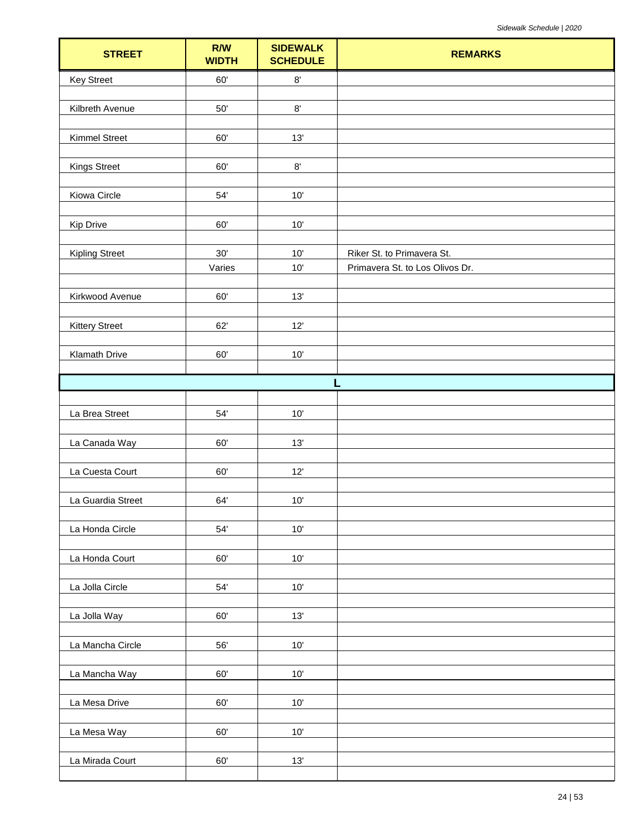| <b>STREET</b>         | R/W<br><b>WIDTH</b> | <b>SIDEWALK</b><br><b>SCHEDULE</b> | <b>REMARKS</b>                  |
|-----------------------|---------------------|------------------------------------|---------------------------------|
| <b>Key Street</b>     | 60'                 | $8^\circ$                          |                                 |
| Kilbreth Avenue       | $50'$               | $8^\circ$                          |                                 |
|                       |                     |                                    |                                 |
| <b>Kimmel Street</b>  | 60'                 | 13'                                |                                 |
| <b>Kings Street</b>   | $60^\circ$          | $8^\circ$                          |                                 |
| Kiowa Circle          | 54'                 | 10'                                |                                 |
|                       |                     |                                    |                                 |
| Kip Drive             | 60'                 | 10'                                |                                 |
| <b>Kipling Street</b> | 30'                 | 10'                                | Riker St. to Primavera St.      |
|                       | Varies              | 10'                                | Primavera St. to Los Olivos Dr. |
| Kirkwood Avenue       | 60'                 | 13'                                |                                 |
|                       |                     |                                    |                                 |
| <b>Kittery Street</b> | 62'                 | 12'                                |                                 |
| Klamath Drive         | $60^\circ$          | $10'$                              |                                 |
|                       |                     | п                                  |                                 |
|                       |                     |                                    |                                 |
| La Brea Street        | 54'                 | $10'$                              |                                 |
| La Canada Way         | $60^\circ$          | 13'                                |                                 |
| La Cuesta Court       | 60'                 | 12'                                |                                 |
| La Guardia Street     | 64'                 | 10'                                |                                 |
|                       |                     |                                    |                                 |
| La Honda Circle       | $54^\circ$          | 10'                                |                                 |
| La Honda Court        | 60'                 | $10'$                              |                                 |
| La Jolla Circle       | $54^\circ$          | $10'$                              |                                 |
|                       |                     |                                    |                                 |
| La Jolla Way          | 60'                 | 13'                                |                                 |
| La Mancha Circle      | 56'                 | 10'                                |                                 |
| La Mancha Way         | 60'                 | $10'$                              |                                 |
| La Mesa Drive         | 60'                 | $10'$                              |                                 |
| La Mesa Way           | 60'                 | $10'$                              |                                 |
| La Mirada Court       | 60'                 | 13'                                |                                 |
|                       |                     |                                    |                                 |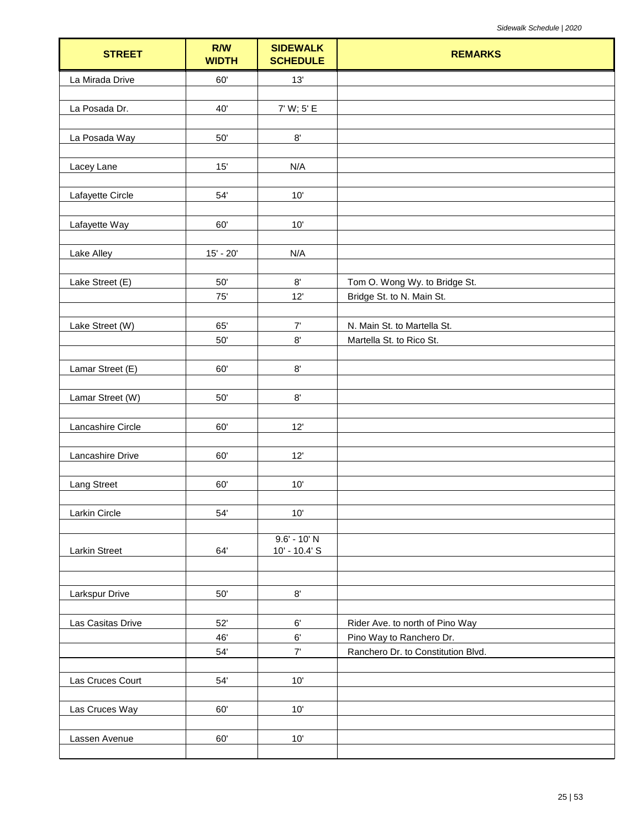| <b>STREET</b>      | R/W<br><b>WIDTH</b> | <b>SIDEWALK</b><br><b>SCHEDULE</b> | <b>REMARKS</b>                     |
|--------------------|---------------------|------------------------------------|------------------------------------|
| La Mirada Drive    | 60'                 | 13'                                |                                    |
|                    |                     |                                    |                                    |
| La Posada Dr.      | 40'                 | 7' W; 5' E                         |                                    |
| La Posada Way      | $50'$               | $8^\circ$                          |                                    |
| Lacey Lane         | 15'                 | N/A                                |                                    |
| Lafayette Circle   | 54'                 | 10'                                |                                    |
|                    |                     |                                    |                                    |
| Lafayette Way      | 60'                 | 10'                                |                                    |
| Lake Alley         | $15' - 20'$         | N/A                                |                                    |
| Lake Street (E)    | $50'$               | $8^\circ$                          | Tom O. Wong Wy. to Bridge St.      |
|                    | 75'                 | 12'                                | Bridge St. to N. Main St.          |
| Lake Street (W)    | 65'                 | 7'                                 | N. Main St. to Martella St.        |
|                    | $50^{\circ}$        | $8^\circ$                          | Martella St. to Rico St.           |
|                    |                     |                                    |                                    |
| Lamar Street (E)   | 60'                 | $8^\circ$                          |                                    |
|                    |                     |                                    |                                    |
| Lamar Street (W)   | $50'$               | $8^\circ$                          |                                    |
| Lancashire Circle  | 60'                 | 12'                                |                                    |
|                    |                     |                                    |                                    |
| Lancashire Drive   | 60'                 | 12'                                |                                    |
| <b>Lang Street</b> | 60'                 | $10'$                              |                                    |
|                    |                     |                                    |                                    |
| Larkin Circle      | $54'$               | 10'                                |                                    |
| Larkin Street      | 64'                 | $9.6' - 10' N$<br>10' - 10.4' S    |                                    |
|                    |                     |                                    |                                    |
|                    |                     |                                    |                                    |
| Larkspur Drive     | $50^{\circ}$        | $8^\circ$                          |                                    |
| Las Casitas Drive  | 52'                 | $6^\circ$                          | Rider Ave. to north of Pino Way    |
|                    | 46'                 | $6^\circ$                          | Pino Way to Ranchero Dr.           |
|                    | $54^\circ$          | $7'$                               | Ranchero Dr. to Constitution Blvd. |
| Las Cruces Court   | 54'                 | $10'$                              |                                    |
|                    |                     |                                    |                                    |
| Las Cruces Way     | 60'                 | 10'                                |                                    |
|                    |                     |                                    |                                    |
| Lassen Avenue      | 60'                 | 10'                                |                                    |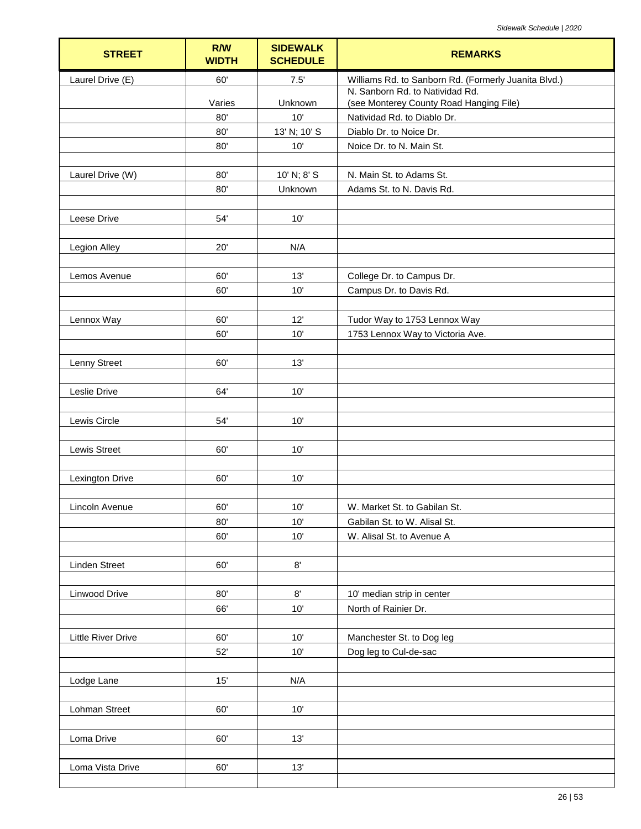| <b>STREET</b>             | R/W<br><b>WIDTH</b> | <b>SIDEWALK</b><br><b>SCHEDULE</b> | <b>REMARKS</b>                                                             |
|---------------------------|---------------------|------------------------------------|----------------------------------------------------------------------------|
| Laurel Drive (E)          | 60'                 | 7.5'                               | Williams Rd. to Sanborn Rd. (Formerly Juanita Blvd.)                       |
|                           | Varies              | Unknown                            | N. Sanborn Rd. to Natividad Rd.<br>(see Monterey County Road Hanging File) |
|                           | 80'                 | 10'                                | Natividad Rd. to Diablo Dr.                                                |
|                           | 80'                 | 13' N; 10' S                       | Diablo Dr. to Noice Dr.                                                    |
|                           | 80'                 | 10'                                | Noice Dr. to N. Main St.                                                   |
|                           |                     |                                    |                                                                            |
| Laurel Drive (W)          | 80'                 | 10' N; 8' S                        | N. Main St. to Adams St.                                                   |
|                           | 80'                 | Unknown                            | Adams St. to N. Davis Rd.                                                  |
|                           |                     |                                    |                                                                            |
| Leese Drive               | 54'                 | 10'                                |                                                                            |
|                           |                     |                                    |                                                                            |
| Legion Alley              | 20'                 | N/A                                |                                                                            |
| Lemos Avenue              | 60'                 | 13'                                | College Dr. to Campus Dr.                                                  |
|                           | 60'                 | 10'                                | Campus Dr. to Davis Rd.                                                    |
|                           |                     |                                    |                                                                            |
| Lennox Way                | 60'                 | 12'                                | Tudor Way to 1753 Lennox Way                                               |
|                           | 60'                 | 10'                                | 1753 Lennox Way to Victoria Ave.                                           |
|                           |                     |                                    |                                                                            |
| Lenny Street              | 60'                 | 13'                                |                                                                            |
|                           |                     |                                    |                                                                            |
| Leslie Drive              | 64'                 | 10'                                |                                                                            |
|                           |                     |                                    |                                                                            |
| Lewis Circle              | 54'                 | 10'                                |                                                                            |
| <b>Lewis Street</b>       | 60'                 | 10'                                |                                                                            |
|                           |                     |                                    |                                                                            |
| <b>Lexington Drive</b>    | 60'                 | 10'                                |                                                                            |
|                           |                     |                                    |                                                                            |
| Lincoln Avenue            | $60^\circ$          | $10'$                              | W. Market St. to Gabilan St.                                               |
|                           | 80'                 | 10'                                | Gabilan St. to W. Alisal St.                                               |
|                           | 60'                 | 10'                                | W. Alisal St. to Avenue A                                                  |
|                           |                     |                                    |                                                                            |
| <b>Linden Street</b>      | 60'                 | $8^\circ$                          |                                                                            |
|                           |                     |                                    |                                                                            |
| Linwood Drive             | 80'<br>66'          | $8^\circ$<br>10'                   | 10' median strip in center<br>North of Rainier Dr.                         |
|                           |                     |                                    |                                                                            |
| <b>Little River Drive</b> | 60'                 | 10'                                | Manchester St. to Dog leg                                                  |
|                           | 52'                 | 10'                                | Dog leg to Cul-de-sac                                                      |
|                           |                     |                                    |                                                                            |
| Lodge Lane                | 15'                 | N/A                                |                                                                            |
|                           |                     |                                    |                                                                            |
| Lohman Street             | 60'                 | 10'                                |                                                                            |
|                           |                     |                                    |                                                                            |
| Loma Drive                | 60'                 | 13'                                |                                                                            |
|                           |                     |                                    |                                                                            |
| Loma Vista Drive          | 60'                 | 13'                                |                                                                            |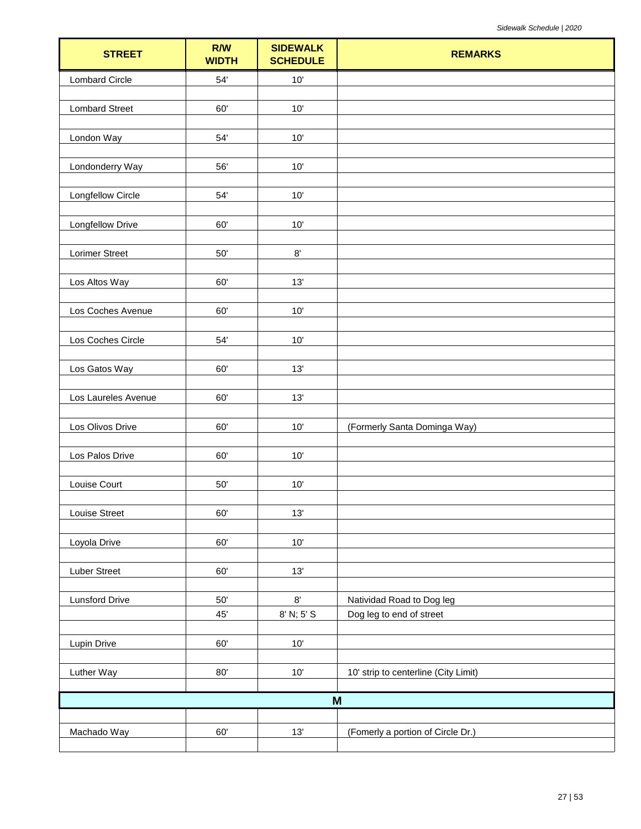| <b>STREET</b>            | R/W<br><b>WIDTH</b> | <b>SIDEWALK</b><br><b>SCHEDULE</b> | <b>REMARKS</b>                       |
|--------------------------|---------------------|------------------------------------|--------------------------------------|
| <b>Lombard Circle</b>    | 54'                 | $10'$                              |                                      |
| <b>Lombard Street</b>    | 60'                 | 10'                                |                                      |
|                          |                     |                                    |                                      |
| London Way               | 54'                 | $10'$                              |                                      |
| Londonderry Way          | 56'                 | $10'$                              |                                      |
|                          |                     |                                    |                                      |
| <b>Longfellow Circle</b> | $54^\circ$          | 10'                                |                                      |
| Longfellow Drive         | 60'                 | 10'                                |                                      |
| Lorimer Street           | $50'$               | $8^\circ$                          |                                      |
|                          |                     |                                    |                                      |
| Los Altos Way            | 60'                 | 13'                                |                                      |
| Los Coches Avenue        | 60'                 | 10'                                |                                      |
|                          |                     |                                    |                                      |
| Los Coches Circle        | $54^\circ$          | $10'$                              |                                      |
| Los Gatos Way            | 60'                 | 13'                                |                                      |
| Los Laureles Avenue      | 60'                 | 13'                                |                                      |
|                          |                     |                                    |                                      |
| Los Olivos Drive         | 60'                 | 10'                                | (Formerly Santa Dominga Way)         |
| Los Palos Drive          | 60'                 | 10'                                |                                      |
| Louise Court             | $50^{\circ}$        | $10'$                              |                                      |
|                          |                     |                                    |                                      |
| Louise Street            | 60'                 | 13'                                |                                      |
| Loyola Drive             | $60^\circ$          | $10'$                              |                                      |
|                          |                     |                                    |                                      |
| Luber Street             | 60'                 | 13'                                |                                      |
| <b>Lunsford Drive</b>    | $50'$               | $8^\circ$                          | Natividad Road to Dog leg            |
|                          | 45'                 | 8' N; 5' S                         | Dog leg to end of street             |
| Lupin Drive              | $60^\circ$          | $10'$                              |                                      |
| Luther Way               | $80^\circ$          | $10'$                              | 10' strip to centerline (City Limit) |
|                          |                     |                                    |                                      |
|                          |                     |                                    | M                                    |
| Machado Way              | 60'                 | 13'                                | (Fomerly a portion of Circle Dr.)    |
|                          |                     |                                    |                                      |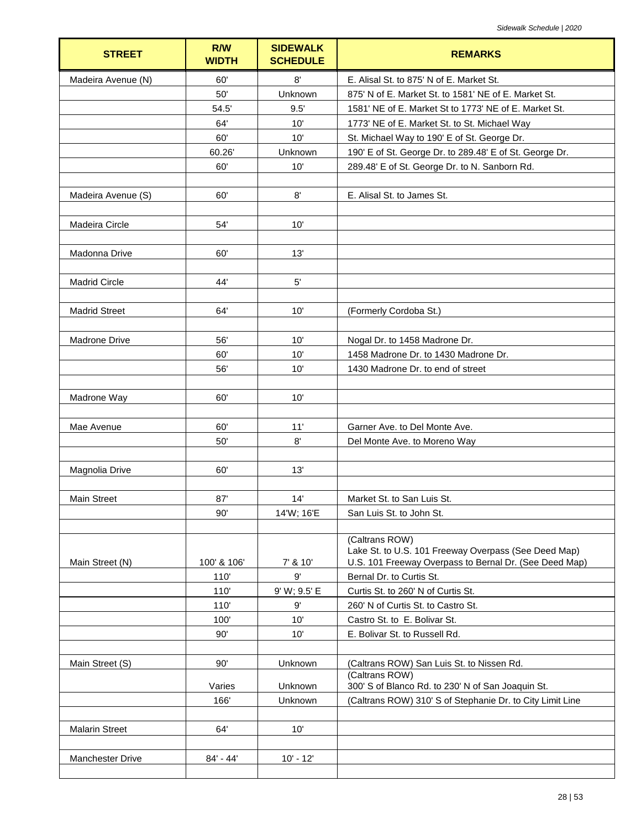| <b>STREET</b>           | R/W<br><b>WIDTH</b> | <b>SIDEWALK</b><br><b>SCHEDULE</b> | <b>REMARKS</b>                                                      |
|-------------------------|---------------------|------------------------------------|---------------------------------------------------------------------|
| Madeira Avenue (N)      | 60'                 | $8^\circ$                          | E. Alisal St. to 875' N of E. Market St.                            |
|                         | 50'                 | Unknown                            | 875' N of E. Market St. to 1581' NE of E. Market St.                |
|                         | 54.5'               | 9.5'                               | 1581' NE of E. Market St to 1773' NE of E. Market St.               |
|                         | 64'                 | 10'                                | 1773' NE of E. Market St. to St. Michael Way                        |
|                         | 60'                 | 10'                                | St. Michael Way to 190' E of St. George Dr.                         |
|                         | 60.26               | Unknown                            | 190' E of St. George Dr. to 289.48' E of St. George Dr.             |
|                         | 60'                 | 10'                                | 289.48' E of St. George Dr. to N. Sanborn Rd.                       |
|                         |                     |                                    |                                                                     |
| Madeira Avenue (S)      | 60'                 | 8'                                 | E. Alisal St. to James St.                                          |
|                         |                     |                                    |                                                                     |
| Madeira Circle          | 54'                 | 10'                                |                                                                     |
|                         |                     |                                    |                                                                     |
| Madonna Drive           | 60'                 | 13'                                |                                                                     |
|                         |                     |                                    |                                                                     |
| <b>Madrid Circle</b>    | 44'                 | $5'$                               |                                                                     |
|                         |                     |                                    |                                                                     |
| <b>Madrid Street</b>    | 64'                 | 10'                                | (Formerly Cordoba St.)                                              |
|                         |                     |                                    |                                                                     |
| Madrone Drive           | 56'                 | 10'                                | Nogal Dr. to 1458 Madrone Dr.                                       |
|                         | 60'                 | 10'                                | 1458 Madrone Dr. to 1430 Madrone Dr.                                |
|                         | 56'                 | 10'                                | 1430 Madrone Dr. to end of street                                   |
|                         |                     |                                    |                                                                     |
| Madrone Way             | 60'                 | 10'                                |                                                                     |
|                         |                     |                                    |                                                                     |
| Mae Avenue              | 60'                 | 11'                                | Garner Ave. to Del Monte Ave.                                       |
|                         | 50'                 | 8'                                 | Del Monte Ave. to Moreno Way                                        |
|                         |                     |                                    |                                                                     |
| Magnolia Drive          | 60'                 | 13'                                |                                                                     |
|                         |                     |                                    |                                                                     |
| Main Street             | 87'                 | 14'                                | Market St. to San Luis St.                                          |
|                         | 90'                 | 14'W; 16'E                         | San Luis St. to John St.                                            |
|                         |                     |                                    | (Caltrans ROW)                                                      |
|                         |                     |                                    | Lake St. to U.S. 101 Freeway Overpass (See Deed Map)                |
| Main Street (N)         | 100' & 106'         | 7' & 10'                           | U.S. 101 Freeway Overpass to Bernal Dr. (See Deed Map)              |
|                         | 110'                | 9'                                 | Bernal Dr. to Curtis St.                                            |
|                         | 110'                | 9' W; 9.5' E                       | Curtis St. to 260' N of Curtis St.                                  |
|                         | 110'                | 9'                                 | 260' N of Curtis St. to Castro St.                                  |
|                         | 100'                | 10'                                | Castro St. to E. Bolivar St.                                        |
|                         | 90'                 | 10'                                | E. Bolivar St. to Russell Rd.                                       |
|                         |                     |                                    |                                                                     |
| Main Street (S)         | 90'                 | Unknown                            | (Caltrans ROW) San Luis St. to Nissen Rd.                           |
|                         | Varies              | Unknown                            | (Caltrans ROW)<br>300' S of Blanco Rd. to 230' N of San Joaquin St. |
|                         | 166'                | Unknown                            | (Caltrans ROW) 310' S of Stephanie Dr. to City Limit Line           |
|                         |                     |                                    |                                                                     |
| <b>Malarin Street</b>   | 64'                 | 10'                                |                                                                     |
|                         |                     |                                    |                                                                     |
| <b>Manchester Drive</b> | 84' - 44'           | $10' - 12'$                        |                                                                     |
|                         |                     |                                    |                                                                     |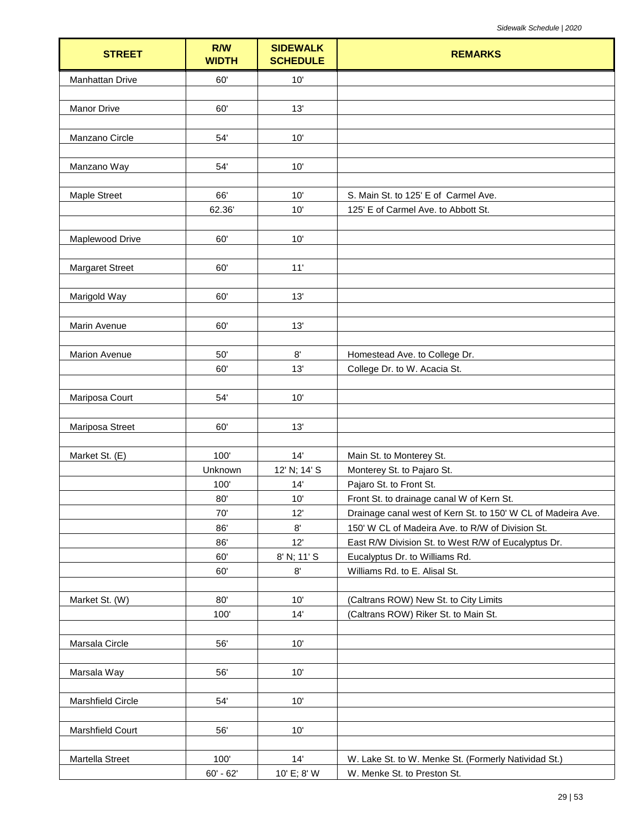| <b>STREET</b>          | R/W<br><b>WIDTH</b> | <b>SIDEWALK</b><br><b>SCHEDULE</b> | <b>REMARKS</b>                                                  |
|------------------------|---------------------|------------------------------------|-----------------------------------------------------------------|
| <b>Manhattan Drive</b> | 60'                 | 10'                                |                                                                 |
|                        |                     |                                    |                                                                 |
| Manor Drive            | 60'                 | 13'                                |                                                                 |
|                        |                     |                                    |                                                                 |
| Manzano Circle         | 54'                 | 10'                                |                                                                 |
|                        |                     |                                    |                                                                 |
| Manzano Way            | 54'                 | 10'                                |                                                                 |
| Maple Street           | 66'                 | 10'                                | S. Main St. to 125' E of Carmel Ave.                            |
|                        | 62.36               | 10'                                | 125' E of Carmel Ave. to Abbott St.                             |
|                        |                     |                                    |                                                                 |
| Maplewood Drive        | 60'                 | 10'                                |                                                                 |
|                        |                     |                                    |                                                                 |
| <b>Margaret Street</b> | 60'                 | 11'                                |                                                                 |
|                        |                     |                                    |                                                                 |
| Marigold Way           | 60'                 | 13'                                |                                                                 |
|                        |                     |                                    |                                                                 |
| Marin Avenue           | 60'                 | 13'                                |                                                                 |
|                        |                     |                                    |                                                                 |
| Marion Avenue          | 50'                 | 8'<br>13'                          | Homestead Ave. to College Dr.                                   |
|                        | 60'                 |                                    | College Dr. to W. Acacia St.                                    |
| Mariposa Court         | 54'                 | 10'                                |                                                                 |
|                        |                     |                                    |                                                                 |
| Mariposa Street        | 60'                 | 13'                                |                                                                 |
|                        |                     |                                    |                                                                 |
| Market St. (E)         | 100'                | 14'                                | Main St. to Monterey St.                                        |
|                        | Unknown             | 12' N; 14' S                       | Monterey St. to Pajaro St.                                      |
|                        | 100'                | 14'                                | Pajaro St. to Front St.                                         |
|                        | 80'                 | 10'                                | Front St. to drainage canal W of Kern St.                       |
|                        | 70'                 | 12'                                | Drainage canal west of Kern St. to 150' W CL of Madeira Ave.    |
|                        | 86'                 | 8'                                 | 150' W CL of Madeira Ave. to R/W of Division St.                |
|                        | 86'                 | 12'                                | East R/W Division St. to West R/W of Eucalyptus Dr.             |
|                        | 60'<br>60'          | 8' N; 11' S<br>$8^\circ$           | Eucalyptus Dr. to Williams Rd.<br>Williams Rd. to E. Alisal St. |
|                        |                     |                                    |                                                                 |
| Market St. (W)         | 80'                 | 10'                                | (Caltrans ROW) New St. to City Limits                           |
|                        | 100'                | 14'                                | (Caltrans ROW) Riker St. to Main St.                            |
|                        |                     |                                    |                                                                 |
| Marsala Circle         | 56'                 | 10'                                |                                                                 |
|                        |                     |                                    |                                                                 |
| Marsala Way            | 56'                 | 10'                                |                                                                 |
|                        |                     |                                    |                                                                 |
| Marshfield Circle      | 54'                 | 10'                                |                                                                 |
|                        |                     |                                    |                                                                 |
| Marshfield Court       | 56'                 | 10'                                |                                                                 |
| Martella Street        | 100'                | 14'                                | W. Lake St. to W. Menke St. (Formerly Natividad St.)            |
|                        | $60' - 62'$         | 10' E; 8' W                        | W. Menke St. to Preston St.                                     |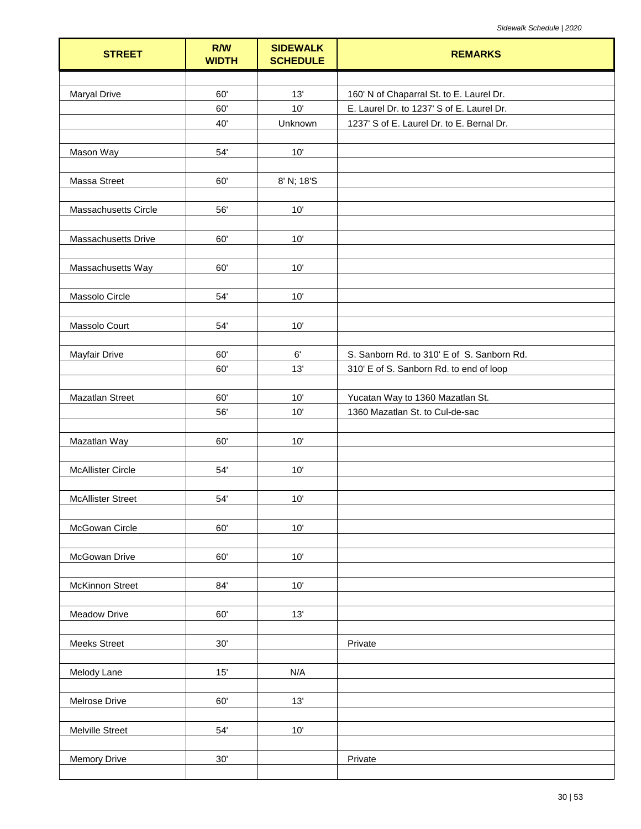| <b>STREET</b>            | R/W<br><b>WIDTH</b> | <b>SIDEWALK</b><br><b>SCHEDULE</b> | <b>REMARKS</b>                             |
|--------------------------|---------------------|------------------------------------|--------------------------------------------|
|                          |                     |                                    |                                            |
| <b>Maryal Drive</b>      | 60'                 | 13'                                | 160' N of Chaparral St. to E. Laurel Dr.   |
|                          | 60'                 | 10'                                | E. Laurel Dr. to 1237' S of E. Laurel Dr.  |
|                          | 40'                 | Unknown                            | 1237' S of E. Laurel Dr. to E. Bernal Dr.  |
|                          |                     |                                    |                                            |
| Mason Way                | 54'                 | 10'                                |                                            |
|                          |                     |                                    |                                            |
| Massa Street             | 60'                 | 8' N; 18'S                         |                                            |
| Massachusetts Circle     | 56'                 | 10'                                |                                            |
|                          |                     |                                    |                                            |
| Massachusetts Drive      | 60'                 | 10'                                |                                            |
|                          |                     |                                    |                                            |
| Massachusetts Way        | 60'                 | 10'                                |                                            |
|                          |                     |                                    |                                            |
| Massolo Circle           | 54'                 | 10'                                |                                            |
|                          |                     |                                    |                                            |
| Massolo Court            | 54'                 | 10'                                |                                            |
|                          |                     |                                    |                                            |
| Mayfair Drive            | 60'                 | $6^\circ$                          | S. Sanborn Rd. to 310' E of S. Sanborn Rd. |
|                          | 60'                 | 13'                                | 310' E of S. Sanborn Rd. to end of loop    |
|                          |                     |                                    |                                            |
| <b>Mazatlan Street</b>   | 60'                 | 10'                                | Yucatan Way to 1360 Mazatlan St.           |
|                          | 56'                 | 10'                                | 1360 Mazatlan St. to Cul-de-sac            |
| Mazatlan Way             | 60'                 | 10'                                |                                            |
|                          |                     |                                    |                                            |
| <b>McAllister Circle</b> | 54'                 | 10'                                |                                            |
|                          |                     |                                    |                                            |
| <b>McAllister Street</b> | 54'                 | 10'                                |                                            |
|                          |                     |                                    |                                            |
| McGowan Circle           | 60'                 | 10'                                |                                            |
|                          |                     |                                    |                                            |
| McGowan Drive            | 60'                 | 10'                                |                                            |
|                          |                     |                                    |                                            |
| McKinnon Street          | 84'                 | 10'                                |                                            |
| <b>Meadow Drive</b>      | 60'                 | 13'                                |                                            |
|                          |                     |                                    |                                            |
| <b>Meeks Street</b>      | 30'                 |                                    | Private                                    |
|                          |                     |                                    |                                            |
| Melody Lane              | 15'                 | N/A                                |                                            |
|                          |                     |                                    |                                            |
| Melrose Drive            | 60'                 | 13'                                |                                            |
|                          |                     |                                    |                                            |
| Melville Street          | 54'                 | 10'                                |                                            |
|                          |                     |                                    |                                            |
| <b>Memory Drive</b>      | 30'                 |                                    | Private                                    |
|                          |                     |                                    |                                            |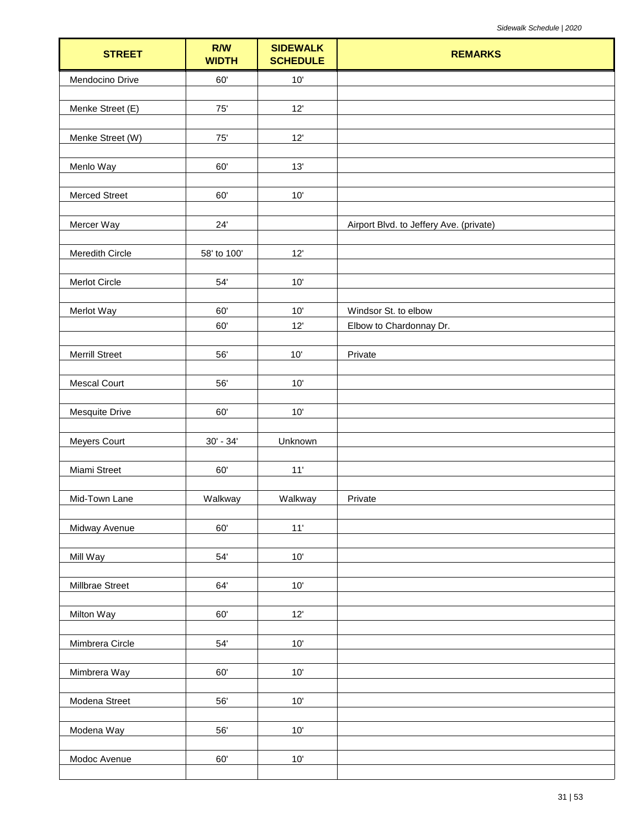| <b>STREET</b>         | R/W<br><b>WIDTH</b> | <b>SIDEWALK</b><br><b>SCHEDULE</b> | <b>REMARKS</b>                          |
|-----------------------|---------------------|------------------------------------|-----------------------------------------|
| Mendocino Drive       | 60'                 | 10'                                |                                         |
| Menke Street (E)      | $75'$               | 12'                                |                                         |
|                       |                     |                                    |                                         |
| Menke Street (W)      | $75^\circ$          | 12'                                |                                         |
| Menlo Way             | 60'                 | 13'                                |                                         |
|                       |                     |                                    |                                         |
| <b>Merced Street</b>  | 60'                 | 10'                                |                                         |
| Mercer Way            | 24'                 |                                    | Airport Blvd. to Jeffery Ave. (private) |
| Meredith Circle       | 58' to 100'         | 12'                                |                                         |
|                       |                     |                                    |                                         |
| Merlot Circle         | 54'                 | 10'                                |                                         |
| Merlot Way            | 60'                 | 10'                                | Windsor St. to elbow                    |
|                       | 60'                 | 12'                                | Elbow to Chardonnay Dr.                 |
| <b>Merrill Street</b> | 56'                 | $10'$                              | Private                                 |
|                       |                     |                                    |                                         |
| <b>Mescal Court</b>   | 56'                 | 10'                                |                                         |
| <b>Mesquite Drive</b> | 60'                 | 10'                                |                                         |
|                       |                     |                                    |                                         |
| Meyers Court          | $30' - 34'$         | Unknown                            |                                         |
| Miami Street          | 60'                 | 11'                                |                                         |
|                       |                     |                                    |                                         |
| Mid-Town Lane         | Walkway             | Walkway                            | Private                                 |
| Midway Avenue         | 60'                 | 11'                                |                                         |
| Mill Way              | $54^\circ$          | 10'                                |                                         |
|                       |                     |                                    |                                         |
| Millbrae Street       | 64'                 | 10'                                |                                         |
| Milton Way            | 60'                 | 12'                                |                                         |
|                       |                     |                                    |                                         |
| Mimbrera Circle       | $54^\circ$          | $10'$                              |                                         |
| Mimbrera Way          | 60'                 | 10'                                |                                         |
|                       | 56'                 | $10'$                              |                                         |
| Modena Street         |                     |                                    |                                         |
| Modena Way            | 56'                 | 10'                                |                                         |
| Modoc Avenue          | 60'                 | $10'$                              |                                         |
|                       |                     |                                    |                                         |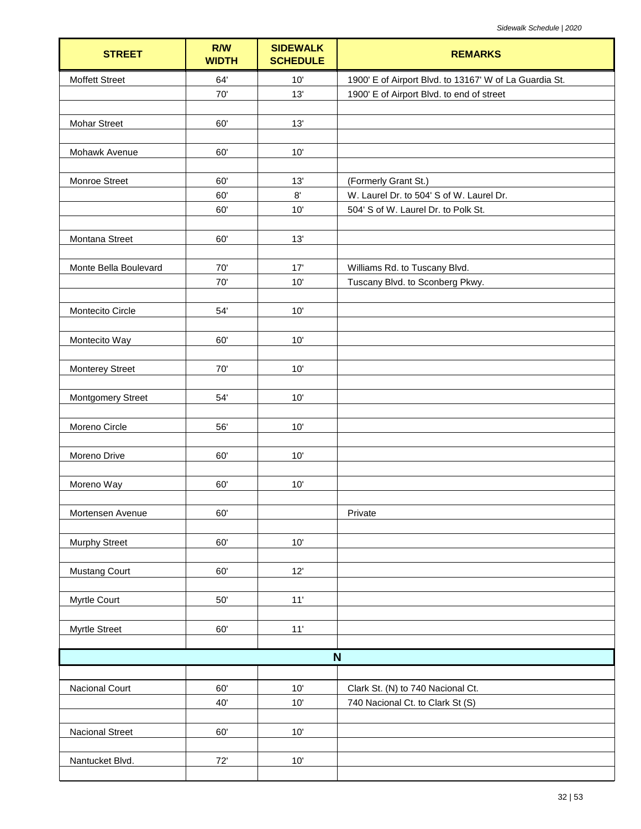| <b>STREET</b>            | <b>R/W</b><br><b>WIDTH</b> | <b>SIDEWALK</b><br><b>SCHEDULE</b> | <b>REMARKS</b>                                         |
|--------------------------|----------------------------|------------------------------------|--------------------------------------------------------|
| <b>Moffett Street</b>    | 64'                        | 10'                                | 1900' E of Airport Blvd. to 13167' W of La Guardia St. |
|                          | 70'                        | 13'                                | 1900' E of Airport Blvd. to end of street              |
|                          |                            |                                    |                                                        |
| <b>Mohar Street</b>      | 60'                        | 13'                                |                                                        |
|                          |                            |                                    |                                                        |
| Mohawk Avenue            | 60'                        | 10'                                |                                                        |
| Monroe Street            | 60'                        | 13'                                | (Formerly Grant St.)                                   |
|                          | 60'                        | 8'                                 | W. Laurel Dr. to 504' S of W. Laurel Dr.               |
|                          | 60'                        | 10'                                | 504' S of W. Laurel Dr. to Polk St.                    |
|                          |                            |                                    |                                                        |
| Montana Street           | 60'                        | 13'                                |                                                        |
|                          |                            |                                    |                                                        |
| Monte Bella Boulevard    | 70'                        | 17'                                | Williams Rd. to Tuscany Blvd.                          |
|                          | 70'                        | 10'                                | Tuscany Blvd. to Sconberg Pkwy.                        |
| Montecito Circle         | 54'                        | $10'$                              |                                                        |
|                          |                            |                                    |                                                        |
| Montecito Way            | 60'                        | 10'                                |                                                        |
|                          |                            |                                    |                                                        |
| <b>Monterey Street</b>   | 70'                        | 10'                                |                                                        |
|                          |                            |                                    |                                                        |
| <b>Montgomery Street</b> | 54'                        | 10'                                |                                                        |
|                          |                            |                                    |                                                        |
| Moreno Circle            | 56'                        | $10'$                              |                                                        |
| Moreno Drive             | 60'                        | 10'                                |                                                        |
|                          |                            |                                    |                                                        |
| Moreno Way               | 60'                        | 10'                                |                                                        |
|                          |                            |                                    |                                                        |
| Mortensen Avenue         | 60'                        |                                    | Private                                                |
|                          |                            |                                    |                                                        |
| <b>Murphy Street</b>     | 60'                        | $10'$                              |                                                        |
| Mustang Court            | 60'                        | 12'                                |                                                        |
|                          |                            |                                    |                                                        |
| Myrtle Court             | $50'$                      | $11'$                              |                                                        |
|                          |                            |                                    |                                                        |
| Myrtle Street            | 60'                        | $11'$                              |                                                        |
|                          |                            |                                    |                                                        |
|                          |                            |                                    | N                                                      |
|                          |                            |                                    |                                                        |
| Nacional Court           | 60'                        | $10'$                              | Clark St. (N) to 740 Nacional Ct.                      |
|                          | 40'                        | 10'                                | 740 Nacional Ct. to Clark St (S)                       |
| <b>Nacional Street</b>   | 60'                        | $10'$                              |                                                        |
|                          |                            |                                    |                                                        |
| Nantucket Blvd.          | 72'                        | $10'$                              |                                                        |
|                          |                            |                                    |                                                        |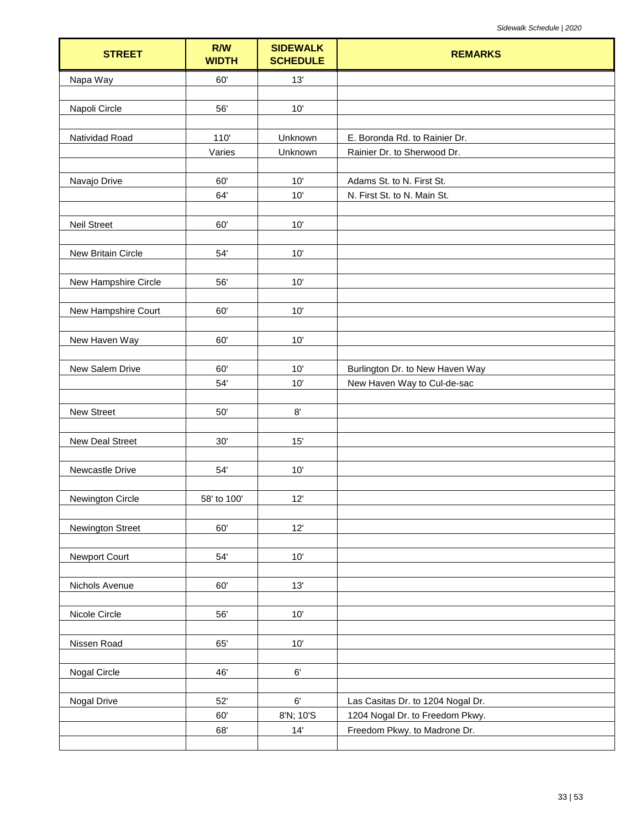| <b>STREET</b>        | R/W<br><b>WIDTH</b> | <b>SIDEWALK</b><br><b>SCHEDULE</b> | <b>REMARKS</b>                    |
|----------------------|---------------------|------------------------------------|-----------------------------------|
| Napa Way             | 60'                 | 13'                                |                                   |
|                      |                     |                                    |                                   |
| Napoli Circle        | 56'                 | 10'                                |                                   |
| Natividad Road       | 110                 | Unknown                            | E. Boronda Rd. to Rainier Dr.     |
|                      | Varies              | Unknown                            | Rainier Dr. to Sherwood Dr.       |
|                      |                     |                                    |                                   |
| Navajo Drive         | 60'                 | 10'                                | Adams St. to N. First St.         |
|                      | 64'                 | 10'                                | N. First St. to N. Main St.       |
| <b>Neil Street</b>   | 60'                 | 10'                                |                                   |
|                      |                     |                                    |                                   |
| New Britain Circle   | 54'                 | 10'                                |                                   |
|                      |                     |                                    |                                   |
| New Hampshire Circle | 56'                 | 10'                                |                                   |
|                      |                     |                                    |                                   |
| New Hampshire Court  | 60'                 | 10'                                |                                   |
| New Haven Way        | 60'                 | 10'                                |                                   |
|                      |                     |                                    |                                   |
| New Salem Drive      | 60'                 | 10'                                | Burlington Dr. to New Haven Way   |
|                      | 54'                 | 10'                                | New Haven Way to Cul-de-sac       |
| New Street           | $50'$               | $8^\circ$                          |                                   |
|                      |                     |                                    |                                   |
| New Deal Street      | 30'                 | 15'                                |                                   |
|                      |                     |                                    |                                   |
| Newcastle Drive      | 54'                 | 10'                                |                                   |
|                      | 58' to 100'         | 12'                                |                                   |
| Newington Circle     |                     |                                    |                                   |
| Newington Street     | 60'                 | 12'                                |                                   |
|                      |                     |                                    |                                   |
| Newport Court        | 54'                 | $10'$                              |                                   |
| Nichols Avenue       | 60'                 | 13'                                |                                   |
|                      |                     |                                    |                                   |
| Nicole Circle        | 56'                 | 10'                                |                                   |
|                      |                     |                                    |                                   |
| Nissen Road          | 65'                 | $10'$                              |                                   |
|                      |                     |                                    |                                   |
| Nogal Circle         | 46'                 | $6^\circ$                          |                                   |
| Nogal Drive          | 52'                 | $6^\circ$                          | Las Casitas Dr. to 1204 Nogal Dr. |
|                      | 60'                 | 8'N; 10'S                          | 1204 Nogal Dr. to Freedom Pkwy.   |
|                      | 68'                 | 14'                                | Freedom Pkwy. to Madrone Dr.      |
|                      |                     |                                    |                                   |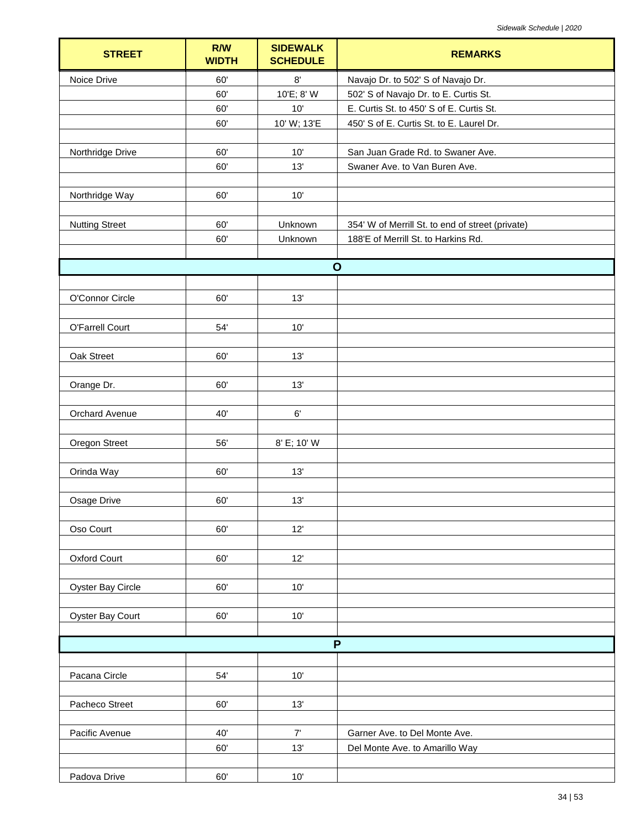| $8^\circ$<br>Noice Drive<br>60'<br>Navajo Dr. to 502' S of Navajo Dr.<br>10'E; 8' W<br>60'<br>502' S of Navajo Dr. to E. Curtis St.<br>10'<br>E. Curtis St. to 450' S of E. Curtis St.<br>60'<br>10' W; 13'E<br>60'<br>450' S of E. Curtis St. to E. Laurel Dr.<br>60'<br>10'<br>San Juan Grade Rd. to Swaner Ave.<br>Northridge Drive<br>60'<br>13'<br>Swaner Ave. to Van Buren Ave.<br>60'<br>10'<br>Northridge Way<br><b>Nutting Street</b><br>60'<br>Unknown<br>354' W of Merrill St. to end of street (private)<br>60'<br>Unknown<br>188'E of Merrill St. to Harkins Rd.<br>$\mathbf{o}$<br>O'Connor Circle<br>60'<br>13'<br>O'Farrell Court<br>54'<br>10'<br>Oak Street<br>13'<br>60'<br>13'<br>Orange Dr.<br>60'<br>Orchard Avenue<br>40'<br>$6^\circ$<br><b>Oregon Street</b><br>56'<br>8' E; 10' W<br>Orinda Way<br>60'<br>13'<br>Osage Drive<br>13'<br>60'<br>12'<br>Oso Court<br>60'<br>60'<br>12'<br>Oxford Court<br>60'<br>$10'$<br>Oyster Bay Circle<br>Oyster Bay Court<br>60'<br>10'<br>P<br>Pacana Circle<br>$10'$<br>$54^\circ$<br>Pacheco Street<br>13'<br>60'<br>Pacific Avenue<br>40'<br>7'<br>Garner Ave. to Del Monte Ave.<br>60'<br>13'<br>Del Monte Ave. to Amarillo Way<br>Padova Drive<br>10'<br>60' | <b>STREET</b> | R/W<br><b>WIDTH</b> | <b>SIDEWALK</b><br><b>SCHEDULE</b> | <b>REMARKS</b> |
|---------------------------------------------------------------------------------------------------------------------------------------------------------------------------------------------------------------------------------------------------------------------------------------------------------------------------------------------------------------------------------------------------------------------------------------------------------------------------------------------------------------------------------------------------------------------------------------------------------------------------------------------------------------------------------------------------------------------------------------------------------------------------------------------------------------------------------------------------------------------------------------------------------------------------------------------------------------------------------------------------------------------------------------------------------------------------------------------------------------------------------------------------------------------------------------------------------------------------------|---------------|---------------------|------------------------------------|----------------|
|                                                                                                                                                                                                                                                                                                                                                                                                                                                                                                                                                                                                                                                                                                                                                                                                                                                                                                                                                                                                                                                                                                                                                                                                                                 |               |                     |                                    |                |
|                                                                                                                                                                                                                                                                                                                                                                                                                                                                                                                                                                                                                                                                                                                                                                                                                                                                                                                                                                                                                                                                                                                                                                                                                                 |               |                     |                                    |                |
|                                                                                                                                                                                                                                                                                                                                                                                                                                                                                                                                                                                                                                                                                                                                                                                                                                                                                                                                                                                                                                                                                                                                                                                                                                 |               |                     |                                    |                |
|                                                                                                                                                                                                                                                                                                                                                                                                                                                                                                                                                                                                                                                                                                                                                                                                                                                                                                                                                                                                                                                                                                                                                                                                                                 |               |                     |                                    |                |
|                                                                                                                                                                                                                                                                                                                                                                                                                                                                                                                                                                                                                                                                                                                                                                                                                                                                                                                                                                                                                                                                                                                                                                                                                                 |               |                     |                                    |                |
|                                                                                                                                                                                                                                                                                                                                                                                                                                                                                                                                                                                                                                                                                                                                                                                                                                                                                                                                                                                                                                                                                                                                                                                                                                 |               |                     |                                    |                |
|                                                                                                                                                                                                                                                                                                                                                                                                                                                                                                                                                                                                                                                                                                                                                                                                                                                                                                                                                                                                                                                                                                                                                                                                                                 |               |                     |                                    |                |
|                                                                                                                                                                                                                                                                                                                                                                                                                                                                                                                                                                                                                                                                                                                                                                                                                                                                                                                                                                                                                                                                                                                                                                                                                                 |               |                     |                                    |                |
|                                                                                                                                                                                                                                                                                                                                                                                                                                                                                                                                                                                                                                                                                                                                                                                                                                                                                                                                                                                                                                                                                                                                                                                                                                 |               |                     |                                    |                |
|                                                                                                                                                                                                                                                                                                                                                                                                                                                                                                                                                                                                                                                                                                                                                                                                                                                                                                                                                                                                                                                                                                                                                                                                                                 |               |                     |                                    |                |
|                                                                                                                                                                                                                                                                                                                                                                                                                                                                                                                                                                                                                                                                                                                                                                                                                                                                                                                                                                                                                                                                                                                                                                                                                                 |               |                     |                                    |                |
|                                                                                                                                                                                                                                                                                                                                                                                                                                                                                                                                                                                                                                                                                                                                                                                                                                                                                                                                                                                                                                                                                                                                                                                                                                 |               |                     |                                    |                |
|                                                                                                                                                                                                                                                                                                                                                                                                                                                                                                                                                                                                                                                                                                                                                                                                                                                                                                                                                                                                                                                                                                                                                                                                                                 |               |                     |                                    |                |
|                                                                                                                                                                                                                                                                                                                                                                                                                                                                                                                                                                                                                                                                                                                                                                                                                                                                                                                                                                                                                                                                                                                                                                                                                                 |               |                     |                                    |                |
|                                                                                                                                                                                                                                                                                                                                                                                                                                                                                                                                                                                                                                                                                                                                                                                                                                                                                                                                                                                                                                                                                                                                                                                                                                 |               |                     |                                    |                |
|                                                                                                                                                                                                                                                                                                                                                                                                                                                                                                                                                                                                                                                                                                                                                                                                                                                                                                                                                                                                                                                                                                                                                                                                                                 |               |                     |                                    |                |
|                                                                                                                                                                                                                                                                                                                                                                                                                                                                                                                                                                                                                                                                                                                                                                                                                                                                                                                                                                                                                                                                                                                                                                                                                                 |               |                     |                                    |                |
|                                                                                                                                                                                                                                                                                                                                                                                                                                                                                                                                                                                                                                                                                                                                                                                                                                                                                                                                                                                                                                                                                                                                                                                                                                 |               |                     |                                    |                |
|                                                                                                                                                                                                                                                                                                                                                                                                                                                                                                                                                                                                                                                                                                                                                                                                                                                                                                                                                                                                                                                                                                                                                                                                                                 |               |                     |                                    |                |
|                                                                                                                                                                                                                                                                                                                                                                                                                                                                                                                                                                                                                                                                                                                                                                                                                                                                                                                                                                                                                                                                                                                                                                                                                                 |               |                     |                                    |                |
|                                                                                                                                                                                                                                                                                                                                                                                                                                                                                                                                                                                                                                                                                                                                                                                                                                                                                                                                                                                                                                                                                                                                                                                                                                 |               |                     |                                    |                |
|                                                                                                                                                                                                                                                                                                                                                                                                                                                                                                                                                                                                                                                                                                                                                                                                                                                                                                                                                                                                                                                                                                                                                                                                                                 |               |                     |                                    |                |
|                                                                                                                                                                                                                                                                                                                                                                                                                                                                                                                                                                                                                                                                                                                                                                                                                                                                                                                                                                                                                                                                                                                                                                                                                                 |               |                     |                                    |                |
|                                                                                                                                                                                                                                                                                                                                                                                                                                                                                                                                                                                                                                                                                                                                                                                                                                                                                                                                                                                                                                                                                                                                                                                                                                 |               |                     |                                    |                |
|                                                                                                                                                                                                                                                                                                                                                                                                                                                                                                                                                                                                                                                                                                                                                                                                                                                                                                                                                                                                                                                                                                                                                                                                                                 |               |                     |                                    |                |
|                                                                                                                                                                                                                                                                                                                                                                                                                                                                                                                                                                                                                                                                                                                                                                                                                                                                                                                                                                                                                                                                                                                                                                                                                                 |               |                     |                                    |                |
|                                                                                                                                                                                                                                                                                                                                                                                                                                                                                                                                                                                                                                                                                                                                                                                                                                                                                                                                                                                                                                                                                                                                                                                                                                 |               |                     |                                    |                |
|                                                                                                                                                                                                                                                                                                                                                                                                                                                                                                                                                                                                                                                                                                                                                                                                                                                                                                                                                                                                                                                                                                                                                                                                                                 |               |                     |                                    |                |
|                                                                                                                                                                                                                                                                                                                                                                                                                                                                                                                                                                                                                                                                                                                                                                                                                                                                                                                                                                                                                                                                                                                                                                                                                                 |               |                     |                                    |                |
|                                                                                                                                                                                                                                                                                                                                                                                                                                                                                                                                                                                                                                                                                                                                                                                                                                                                                                                                                                                                                                                                                                                                                                                                                                 |               |                     |                                    |                |
|                                                                                                                                                                                                                                                                                                                                                                                                                                                                                                                                                                                                                                                                                                                                                                                                                                                                                                                                                                                                                                                                                                                                                                                                                                 |               |                     |                                    |                |
|                                                                                                                                                                                                                                                                                                                                                                                                                                                                                                                                                                                                                                                                                                                                                                                                                                                                                                                                                                                                                                                                                                                                                                                                                                 |               |                     |                                    |                |
|                                                                                                                                                                                                                                                                                                                                                                                                                                                                                                                                                                                                                                                                                                                                                                                                                                                                                                                                                                                                                                                                                                                                                                                                                                 |               |                     |                                    |                |
|                                                                                                                                                                                                                                                                                                                                                                                                                                                                                                                                                                                                                                                                                                                                                                                                                                                                                                                                                                                                                                                                                                                                                                                                                                 |               |                     |                                    |                |
|                                                                                                                                                                                                                                                                                                                                                                                                                                                                                                                                                                                                                                                                                                                                                                                                                                                                                                                                                                                                                                                                                                                                                                                                                                 |               |                     |                                    |                |
|                                                                                                                                                                                                                                                                                                                                                                                                                                                                                                                                                                                                                                                                                                                                                                                                                                                                                                                                                                                                                                                                                                                                                                                                                                 |               |                     |                                    |                |
|                                                                                                                                                                                                                                                                                                                                                                                                                                                                                                                                                                                                                                                                                                                                                                                                                                                                                                                                                                                                                                                                                                                                                                                                                                 |               |                     |                                    |                |
|                                                                                                                                                                                                                                                                                                                                                                                                                                                                                                                                                                                                                                                                                                                                                                                                                                                                                                                                                                                                                                                                                                                                                                                                                                 |               |                     |                                    |                |
|                                                                                                                                                                                                                                                                                                                                                                                                                                                                                                                                                                                                                                                                                                                                                                                                                                                                                                                                                                                                                                                                                                                                                                                                                                 |               |                     |                                    |                |
|                                                                                                                                                                                                                                                                                                                                                                                                                                                                                                                                                                                                                                                                                                                                                                                                                                                                                                                                                                                                                                                                                                                                                                                                                                 |               |                     |                                    |                |
|                                                                                                                                                                                                                                                                                                                                                                                                                                                                                                                                                                                                                                                                                                                                                                                                                                                                                                                                                                                                                                                                                                                                                                                                                                 |               |                     |                                    |                |
|                                                                                                                                                                                                                                                                                                                                                                                                                                                                                                                                                                                                                                                                                                                                                                                                                                                                                                                                                                                                                                                                                                                                                                                                                                 |               |                     |                                    |                |
|                                                                                                                                                                                                                                                                                                                                                                                                                                                                                                                                                                                                                                                                                                                                                                                                                                                                                                                                                                                                                                                                                                                                                                                                                                 |               |                     |                                    |                |
|                                                                                                                                                                                                                                                                                                                                                                                                                                                                                                                                                                                                                                                                                                                                                                                                                                                                                                                                                                                                                                                                                                                                                                                                                                 |               |                     |                                    |                |
|                                                                                                                                                                                                                                                                                                                                                                                                                                                                                                                                                                                                                                                                                                                                                                                                                                                                                                                                                                                                                                                                                                                                                                                                                                 |               |                     |                                    |                |
|                                                                                                                                                                                                                                                                                                                                                                                                                                                                                                                                                                                                                                                                                                                                                                                                                                                                                                                                                                                                                                                                                                                                                                                                                                 |               |                     |                                    |                |
|                                                                                                                                                                                                                                                                                                                                                                                                                                                                                                                                                                                                                                                                                                                                                                                                                                                                                                                                                                                                                                                                                                                                                                                                                                 |               |                     |                                    |                |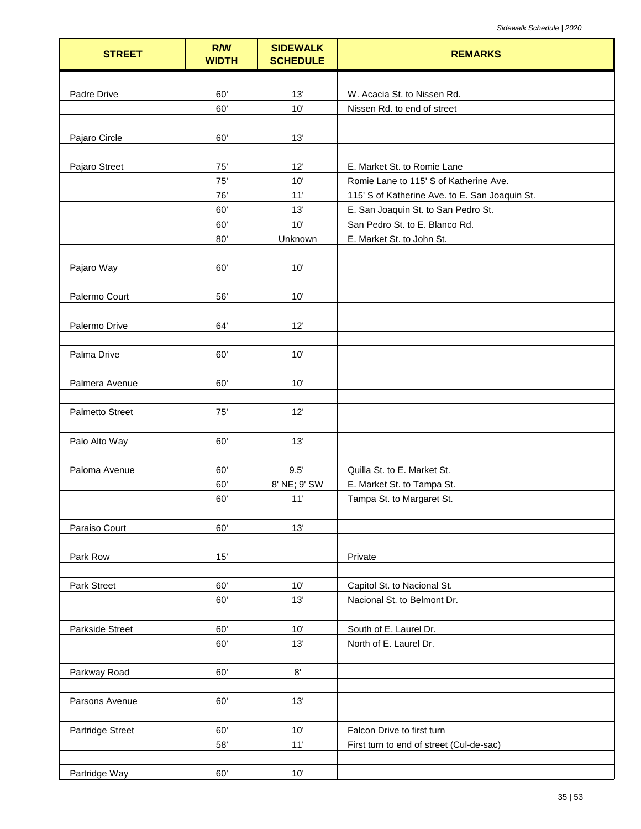| <b>STREET</b>          | R/W<br><b>WIDTH</b> | <b>SIDEWALK</b><br><b>SCHEDULE</b> | <b>REMARKS</b>                                 |
|------------------------|---------------------|------------------------------------|------------------------------------------------|
|                        |                     |                                    |                                                |
| Padre Drive            | 60'                 | 13'                                | W. Acacia St. to Nissen Rd.                    |
|                        | 60'                 | 10'                                | Nissen Rd. to end of street                    |
|                        |                     |                                    |                                                |
| Pajaro Circle          | 60'                 | 13'                                |                                                |
|                        |                     |                                    |                                                |
| Pajaro Street          | 75'                 | 12'                                | E. Market St. to Romie Lane                    |
|                        | 75'                 | 10'                                | Romie Lane to 115' S of Katherine Ave.         |
|                        | 76'                 | 11'                                | 115' S of Katherine Ave. to E. San Joaquin St. |
|                        | 60'                 | 13'                                | E. San Joaquin St. to San Pedro St.            |
|                        | 60'                 | 10'                                | San Pedro St. to E. Blanco Rd.                 |
|                        | 80'                 | Unknown                            | E. Market St. to John St.                      |
|                        |                     |                                    |                                                |
| Pajaro Way             | 60'                 | 10'                                |                                                |
|                        |                     |                                    |                                                |
| Palermo Court          | 56'                 | 10'                                |                                                |
|                        |                     |                                    |                                                |
| Palermo Drive          | 64'                 | 12'                                |                                                |
| Palma Drive            | 60'                 | 10'                                |                                                |
| Palmera Avenue         | 60'                 | 10'                                |                                                |
|                        |                     |                                    |                                                |
| Palmetto Street        | 75'                 | 12'                                |                                                |
|                        |                     |                                    |                                                |
| Palo Alto Way          | 60'                 | 13'                                |                                                |
|                        |                     |                                    |                                                |
| Paloma Avenue          | 60'                 | 9.5'                               | Quilla St. to E. Market St.                    |
|                        | 60'                 | 8' NE; 9' SW                       | E. Market St. to Tampa St.                     |
|                        | 60'                 | 11'                                | Tampa St. to Margaret St.                      |
|                        |                     |                                    |                                                |
| Paraiso Court          | 60'                 | 13'                                |                                                |
|                        |                     |                                    |                                                |
| Park Row               | 15'                 |                                    | Private                                        |
|                        |                     |                                    |                                                |
| Park Street            | 60'                 | 10'                                | Capitol St. to Nacional St.                    |
|                        | 60'                 | 13'                                | Nacional St. to Belmont Dr.                    |
|                        |                     |                                    |                                                |
| <b>Parkside Street</b> | 60'                 | 10'                                | South of E. Laurel Dr.                         |
|                        | 60'                 | 13'                                | North of E. Laurel Dr.                         |
|                        |                     |                                    |                                                |
| Parkway Road           | 60'                 | 8'                                 |                                                |
|                        |                     |                                    |                                                |
| Parsons Avenue         | 60'                 | 13'                                |                                                |
|                        |                     |                                    |                                                |
| Partridge Street       | 60'                 | 10'                                | Falcon Drive to first turn                     |
|                        | 58'                 | 11'                                | First turn to end of street (Cul-de-sac)       |
|                        |                     |                                    |                                                |
| Partridge Way          | 60'                 | 10'                                |                                                |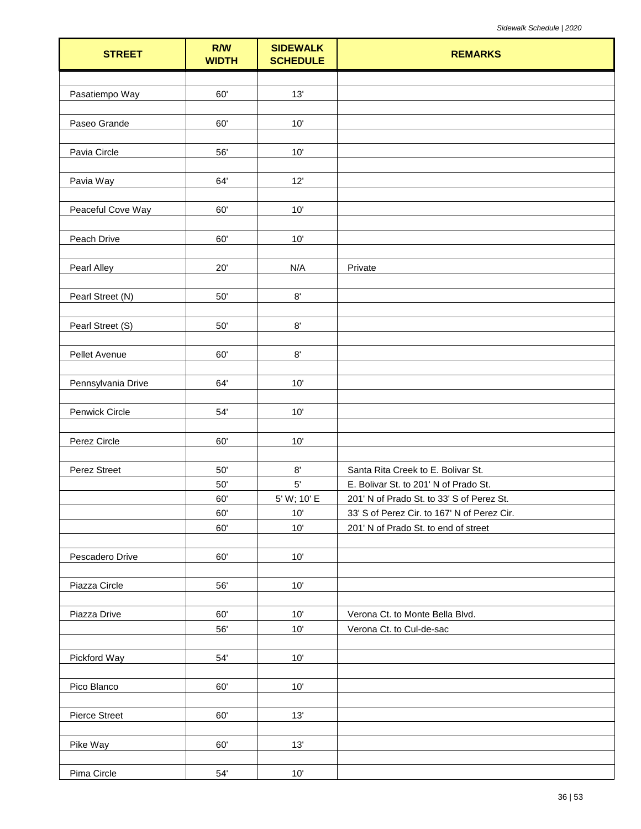| <b>STREET</b>        | R/W<br><b>WIDTH</b> | <b>SIDEWALK</b><br><b>SCHEDULE</b> | <b>REMARKS</b>                              |
|----------------------|---------------------|------------------------------------|---------------------------------------------|
|                      |                     |                                    |                                             |
| Pasatiempo Way       | 60'                 | 13'                                |                                             |
|                      |                     |                                    |                                             |
| Paseo Grande         | 60'                 | $10'$                              |                                             |
|                      |                     |                                    |                                             |
| Pavia Circle         | 56'                 | 10'                                |                                             |
|                      |                     |                                    |                                             |
| Pavia Way            | 64'                 | 12'                                |                                             |
| Peaceful Cove Way    | 60'                 | 10'                                |                                             |
|                      |                     |                                    |                                             |
| Peach Drive          | 60'                 | 10'                                |                                             |
|                      |                     |                                    |                                             |
| Pearl Alley          | 20'                 | N/A                                | Private                                     |
|                      |                     |                                    |                                             |
| Pearl Street (N)     | 50'                 | $8^\circ$                          |                                             |
|                      |                     |                                    |                                             |
| Pearl Street (S)     | 50'                 | $8^\circ$                          |                                             |
|                      |                     |                                    |                                             |
| Pellet Avenue        | 60'                 | $8^\circ$                          |                                             |
|                      |                     |                                    |                                             |
| Pennsylvania Drive   | 64'                 | 10'                                |                                             |
| Penwick Circle       | 54'                 | $10'$                              |                                             |
|                      |                     |                                    |                                             |
| Perez Circle         | 60'                 | 10'                                |                                             |
|                      |                     |                                    |                                             |
| Perez Street         | 50'                 | $8^\circ$                          | Santa Rita Creek to E. Bolivar St.          |
|                      | 50'                 | 5'                                 | E. Bolivar St. to 201' N of Prado St.       |
|                      | 60'                 | 5' W; 10' E                        | 201' N of Prado St. to 33' S of Perez St.   |
|                      | 60'                 | $10'$                              | 33' S of Perez Cir. to 167' N of Perez Cir. |
|                      | 60'                 | 10'                                | 201' N of Prado St. to end of street        |
|                      |                     |                                    |                                             |
| Pescadero Drive      | 60'                 | $10'$                              |                                             |
| Piazza Circle        | 56'                 | 10'                                |                                             |
|                      |                     |                                    |                                             |
| Piazza Drive         | 60'                 | 10'                                | Verona Ct. to Monte Bella Blvd.             |
|                      | 56'                 | 10'                                | Verona Ct. to Cul-de-sac                    |
|                      |                     |                                    |                                             |
| Pickford Way         | 54'                 | 10'                                |                                             |
|                      |                     |                                    |                                             |
| Pico Blanco          | $60^\circ$          | $10'$                              |                                             |
|                      |                     |                                    |                                             |
| <b>Pierce Street</b> | 60'                 | 13'                                |                                             |
|                      |                     |                                    |                                             |
| Pike Way             | 60'                 | 13'                                |                                             |
| Pima Circle          | $54^\circ$          | $10'$                              |                                             |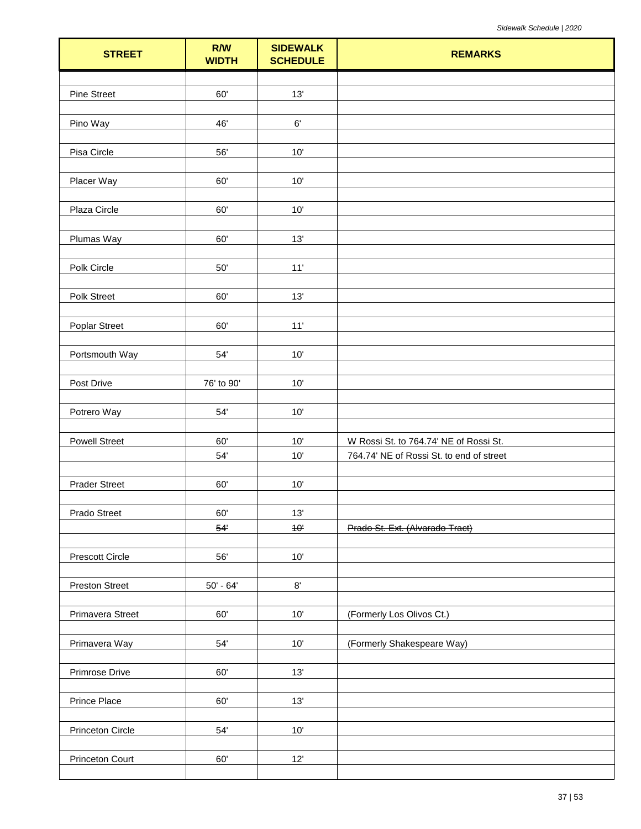| <b>STREET</b>           | R/W<br><b>WIDTH</b> | <b>SIDEWALK</b><br><b>SCHEDULE</b> | <b>REMARKS</b>                           |
|-------------------------|---------------------|------------------------------------|------------------------------------------|
|                         |                     |                                    |                                          |
| <b>Pine Street</b>      | 60'                 | 13'                                |                                          |
|                         |                     |                                    |                                          |
| Pino Way                | 46'                 | $6^\circ$                          |                                          |
|                         |                     |                                    |                                          |
| Pisa Circle             | 56'                 | 10'                                |                                          |
| Placer Way              | 60'                 | $10'$                              |                                          |
|                         |                     |                                    |                                          |
| Plaza Circle            | 60'                 | 10'                                |                                          |
|                         |                     |                                    |                                          |
| Plumas Way              | 60'                 | 13'                                |                                          |
|                         |                     |                                    |                                          |
| Polk Circle             | $50^{\circ}$        | $11'$                              |                                          |
| Polk Street             | 60'                 | 13'                                |                                          |
|                         |                     |                                    |                                          |
| <b>Poplar Street</b>    | 60'                 | $11'$                              |                                          |
|                         |                     |                                    |                                          |
| Portsmouth Way          | $54'$               | $10'$                              |                                          |
|                         |                     |                                    |                                          |
| Post Drive              | 76' to 90'          | 10'                                |                                          |
|                         |                     |                                    |                                          |
| Potrero Way             | $54^\circ$          | $10'$                              |                                          |
| <b>Powell Street</b>    | 60'                 | $10'$                              | W Rossi St. to 764.74' NE of Rossi St.   |
|                         | $54'$               | 10'                                | 764.74' NE of Rossi St. to end of street |
|                         |                     |                                    |                                          |
| <b>Prader Street</b>    | 60'                 | $10'$                              |                                          |
|                         |                     |                                    |                                          |
| Prado Street            | 60'                 | 13'                                |                                          |
|                         | 54'                 | 40 <sup>1</sup>                    | Prado St. Ext. (Alvarado Tract)          |
|                         |                     |                                    |                                          |
| <b>Prescott Circle</b>  | 56'                 | $10'$                              |                                          |
| <b>Preston Street</b>   | $50' - 64'$         | $8^\circ$                          |                                          |
|                         |                     |                                    |                                          |
| Primavera Street        | 60'                 | $10'$                              | (Formerly Los Olivos Ct.)                |
|                         |                     |                                    |                                          |
| Primavera Way           | $54'$               | 10'                                | (Formerly Shakespeare Way)               |
|                         |                     |                                    |                                          |
| Primrose Drive          | 60'                 | 13'                                |                                          |
|                         |                     |                                    |                                          |
| Prince Place            | $60^\circ$          | 13'                                |                                          |
| <b>Princeton Circle</b> | 54'                 | $10'$                              |                                          |
|                         |                     |                                    |                                          |
| Princeton Court         | 60'                 | 12'                                |                                          |
|                         |                     |                                    |                                          |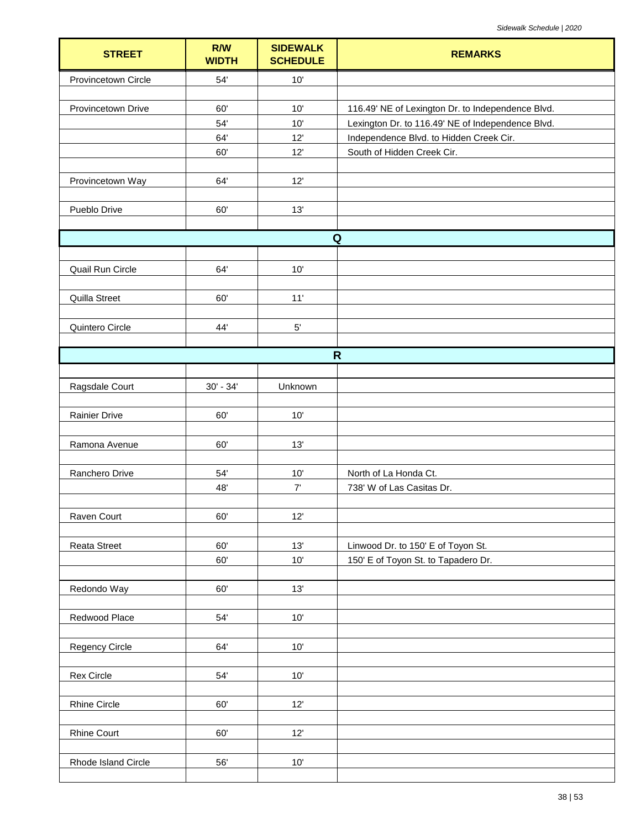| <b>STREET</b>        | R/W<br><b>WIDTH</b> | <b>SIDEWALK</b><br><b>SCHEDULE</b> | <b>REMARKS</b>                                    |
|----------------------|---------------------|------------------------------------|---------------------------------------------------|
| Provincetown Circle  | 54'                 | 10'                                |                                                   |
|                      |                     |                                    |                                                   |
| Provincetown Drive   | 60'                 | 10'                                | 116.49' NE of Lexington Dr. to Independence Blvd. |
|                      | 54'                 | 10'                                | Lexington Dr. to 116.49' NE of Independence Blvd. |
|                      | 64'                 | 12'                                | Independence Blvd. to Hidden Creek Cir.           |
|                      | 60'                 | 12'                                | South of Hidden Creek Cir.                        |
|                      | 64'                 | 12'                                |                                                   |
| Provincetown Way     |                     |                                    |                                                   |
| Pueblo Drive         | 60'                 | 13'                                |                                                   |
|                      |                     |                                    |                                                   |
|                      |                     |                                    | $\mathbf Q$                                       |
|                      |                     |                                    |                                                   |
| Quail Run Circle     | 64'                 | 10'                                |                                                   |
|                      |                     |                                    |                                                   |
| Quilla Street        | 60'                 | 11'                                |                                                   |
| Quintero Circle      | 44'                 | $5^{\circ}$                        |                                                   |
|                      |                     |                                    |                                                   |
|                      |                     |                                    | $\mathsf{R}$                                      |
|                      |                     |                                    |                                                   |
| Ragsdale Court       | $30' - 34'$         | Unknown                            |                                                   |
|                      |                     |                                    |                                                   |
| <b>Rainier Drive</b> | 60'                 | 10'                                |                                                   |
|                      |                     |                                    |                                                   |
| Ramona Avenue        | 60'                 | 13'                                |                                                   |
| Ranchero Drive       | 54'                 | 10'                                | North of La Honda Ct.                             |
|                      | 48'                 | 7'                                 | 738' W of Las Casitas Dr.                         |
|                      |                     |                                    |                                                   |
| Raven Court          | 60'                 | 12'                                |                                                   |
|                      |                     |                                    |                                                   |
| <b>Reata Street</b>  | 60'                 | 13'                                | Linwood Dr. to 150' E of Toyon St.                |
|                      | 60'                 | 10'                                | 150' E of Toyon St. to Tapadero Dr.               |
|                      |                     |                                    |                                                   |
| Redondo Way          | 60'                 | 13'                                |                                                   |
| Redwood Place        | $54'$               | $10'$                              |                                                   |
|                      |                     |                                    |                                                   |
| Regency Circle       | 64'                 | $10'$                              |                                                   |
|                      |                     |                                    |                                                   |
| Rex Circle           | 54'                 | $10'$                              |                                                   |
|                      |                     |                                    |                                                   |
| Rhine Circle         | 60'                 | 12'                                |                                                   |
|                      |                     |                                    |                                                   |
| <b>Rhine Court</b>   | 60'                 | 12'                                |                                                   |
| Rhode Island Circle  | 56'                 | $10'$                              |                                                   |
|                      |                     |                                    |                                                   |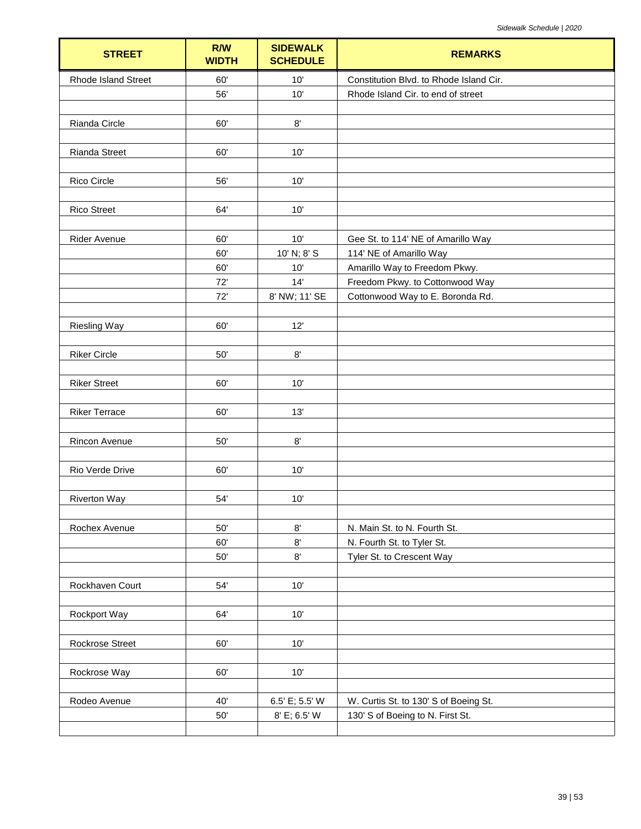| <b>STREET</b>              | R/W<br><b>WIDTH</b> | <b>SIDEWALK</b><br><b>SCHEDULE</b> | <b>REMARKS</b>                          |
|----------------------------|---------------------|------------------------------------|-----------------------------------------|
| <b>Rhode Island Street</b> | 60'                 | 10'                                | Constitution Blvd. to Rhode Island Cir. |
|                            | 56'                 | 10'                                | Rhode Island Cir. to end of street      |
|                            |                     |                                    |                                         |
| Rianda Circle              | 60'                 | $8^\circ$                          |                                         |
|                            |                     |                                    |                                         |
| Rianda Street              | 60'                 | 10'                                |                                         |
|                            |                     |                                    |                                         |
| Rico Circle                | 56'                 | 10'                                |                                         |
|                            |                     |                                    |                                         |
| <b>Rico Street</b>         | 64'                 | 10'                                |                                         |
| Rider Avenue               | 60'                 | 10'                                | Gee St. to 114' NE of Amarillo Way      |
|                            | 60'                 | 10' N; 8' S                        | 114' NE of Amarillo Way                 |
|                            | 60'                 | 10'                                | Amarillo Way to Freedom Pkwy.           |
|                            | 72'                 | 14'                                | Freedom Pkwy. to Cottonwood Way         |
|                            | 72'                 | 8' NW; 11' SE                      | Cottonwood Way to E. Boronda Rd.        |
|                            |                     |                                    |                                         |
| <b>Riesling Way</b>        | 60'                 | 12'                                |                                         |
|                            |                     |                                    |                                         |
| <b>Riker Circle</b>        | $50'$               | $8^\circ$                          |                                         |
|                            |                     |                                    |                                         |
| <b>Riker Street</b>        | 60'                 | 10'                                |                                         |
|                            |                     |                                    |                                         |
| <b>Riker Terrace</b>       | 60'                 | 13'                                |                                         |
| Rincon Avenue              | $50'$               | 8'                                 |                                         |
|                            |                     |                                    |                                         |
| Rio Verde Drive            | 60'                 | 10'                                |                                         |
|                            |                     |                                    |                                         |
| <b>Riverton Way</b>        | 54'                 | 10'                                |                                         |
|                            |                     |                                    |                                         |
| Rochex Avenue              | 50'                 | 8'                                 | N. Main St. to N. Fourth St.            |
|                            | 60'                 | $8^\circ$                          | N. Fourth St. to Tyler St.              |
|                            | $50'$               | $8^\circ$                          | Tyler St. to Crescent Way               |
|                            |                     |                                    |                                         |
| Rockhaven Court            | 54'                 | 10'                                |                                         |
|                            |                     |                                    |                                         |
| Rockport Way               | 64'                 | 10'                                |                                         |
|                            |                     |                                    |                                         |
| Rockrose Street            | 60'                 | 10'                                |                                         |
|                            | 60'                 | 10'                                |                                         |
| Rockrose Way               |                     |                                    |                                         |
| Rodeo Avenue               | 40'                 | 6.5' E; 5.5' W                     | W. Curtis St. to 130' S of Boeing St.   |
|                            | $50'$               | 8' E; 6.5' W                       | 130' S of Boeing to N. First St.        |
|                            |                     |                                    |                                         |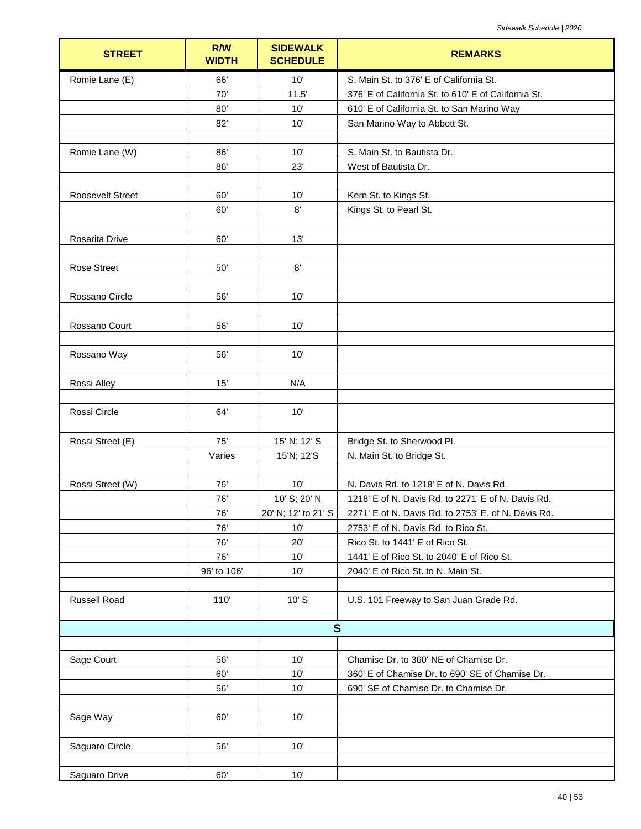| <b>STREET</b>           | R/W<br><b>WIDTH</b> | <b>SIDEWALK</b><br><b>SCHEDULE</b> | <b>REMARKS</b>                                       |
|-------------------------|---------------------|------------------------------------|------------------------------------------------------|
| Romie Lane (E)          | 66'                 | 10'                                | S. Main St. to 376' E of California St.              |
|                         | 70'                 | 11.5'                              | 376' E of California St. to 610' E of California St. |
|                         | 80'                 | 10'                                | 610' E of California St. to San Marino Way           |
|                         | 82'                 | 10'                                | San Marino Way to Abbott St.                         |
|                         |                     |                                    |                                                      |
| Romie Lane (W)          | 86'                 | 10'                                | S. Main St. to Bautista Dr.                          |
|                         | 86'                 | 23'                                | West of Bautista Dr.                                 |
|                         |                     |                                    |                                                      |
| <b>Roosevelt Street</b> | 60'                 | 10'                                | Kern St. to Kings St.                                |
|                         | 60'                 | 8'                                 | Kings St. to Pearl St.                               |
|                         |                     |                                    |                                                      |
| Rosarita Drive          | 60'                 | 13'                                |                                                      |
|                         |                     |                                    |                                                      |
| <b>Rose Street</b>      | 50'                 | $8^\circ$                          |                                                      |
|                         |                     |                                    |                                                      |
| Rossano Circle          | 56'                 | 10'                                |                                                      |
|                         |                     |                                    |                                                      |
| Rossano Court           | 56'                 | 10'                                |                                                      |
|                         |                     |                                    |                                                      |
| Rossano Way             | 56'                 | 10'                                |                                                      |
|                         |                     |                                    |                                                      |
| Rossi Alley             | 15'                 | N/A                                |                                                      |
|                         |                     |                                    |                                                      |
| Rossi Circle            | 64'                 | 10'                                |                                                      |
|                         |                     |                                    |                                                      |
| Rossi Street (E)        | 75'                 | 15' N; 12' S                       | Bridge St. to Sherwood Pl.                           |
|                         | Varies              | 15'N; 12'S                         | N. Main St. to Bridge St.                            |
|                         |                     |                                    |                                                      |
| Rossi Street (W)        | 76'                 | 10'                                | N. Davis Rd. to 1218' E of N. Davis Rd.              |
|                         | 76'                 | 10' S; 20' N                       | 1218' E of N. Davis Rd. to 2271' E of N. Davis Rd.   |
|                         | 76'                 | 20' N; 12' to 21' S                | 2271' E of N. Davis Rd. to 2753' E. of N. Davis Rd.  |
|                         | 76'                 | 10'                                | 2753' E of N. Davis Rd. to Rico St.                  |
|                         | 76'                 | 20'                                | Rico St. to 1441' E of Rico St.                      |
|                         | 76'                 | 10'                                | 1441' E of Rico St. to 2040' E of Rico St.           |
|                         | 96' to 106'         | 10'                                | 2040' E of Rico St. to N. Main St.                   |
|                         |                     |                                    |                                                      |
| <b>Russell Road</b>     | 110'                | $10'$ S                            | U.S. 101 Freeway to San Juan Grade Rd.               |
|                         |                     |                                    |                                                      |
|                         |                     | S                                  |                                                      |
|                         |                     |                                    |                                                      |
| Sage Court              | 56'                 | 10'                                | Chamise Dr. to 360' NE of Chamise Dr.                |
|                         | 60'                 | 10'                                | 360' E of Chamise Dr. to 690' SE of Chamise Dr.      |
|                         | 56'                 | 10'                                | 690' SE of Chamise Dr. to Chamise Dr.                |
|                         |                     |                                    |                                                      |
| Sage Way                | 60'                 | 10'                                |                                                      |
|                         |                     |                                    |                                                      |
| Saguaro Circle          | 56'                 | 10'                                |                                                      |
|                         |                     |                                    |                                                      |
| Saguaro Drive           | 60'                 | 10'                                |                                                      |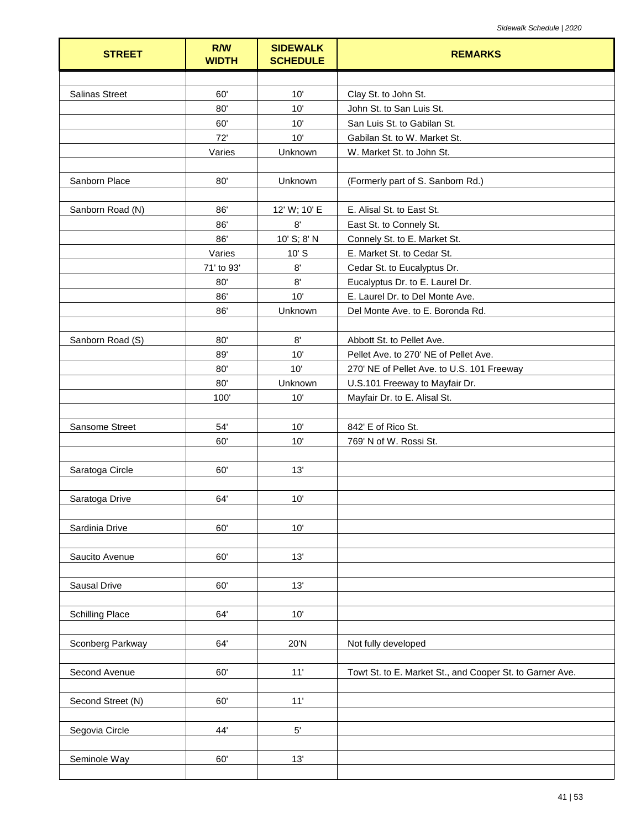| <b>STREET</b>          | R/W<br><b>WIDTH</b> | <b>SIDEWALK</b><br><b>SCHEDULE</b> | <b>REMARKS</b>                                           |
|------------------------|---------------------|------------------------------------|----------------------------------------------------------|
|                        |                     |                                    |                                                          |
| <b>Salinas Street</b>  | 60'                 | 10'                                | Clay St. to John St.                                     |
|                        | 80'                 | 10'                                | John St. to San Luis St.                                 |
|                        | 60'                 | 10'                                | San Luis St. to Gabilan St.                              |
|                        | 72'                 | 10'                                | Gabilan St. to W. Market St.                             |
|                        | Varies              | Unknown                            | W. Market St. to John St.                                |
| Sanborn Place          | 80'                 | Unknown                            | (Formerly part of S. Sanborn Rd.)                        |
| Sanborn Road (N)       | 86'                 | 12' W; 10' E                       | E. Alisal St. to East St.                                |
|                        | 86'                 | 8'                                 | East St. to Connely St.                                  |
|                        | 86'                 | 10' S; 8' N                        | Connely St. to E. Market St.                             |
|                        | Varies              | $10'$ S                            | E. Market St. to Cedar St.                               |
|                        | 71' to 93'          | $8^{\circ}$                        | Cedar St. to Eucalyptus Dr.                              |
|                        | 80'                 | 8'                                 | Eucalyptus Dr. to E. Laurel Dr.                          |
|                        | 86'                 | 10'                                | E. Laurel Dr. to Del Monte Ave.                          |
|                        | 86'                 | Unknown                            | Del Monte Ave. to E. Boronda Rd.                         |
|                        |                     |                                    |                                                          |
| Sanborn Road (S)       | 80'                 | 8'                                 | Abbott St. to Pellet Ave.                                |
|                        | 89'                 | 10'                                | Pellet Ave. to 270' NE of Pellet Ave.                    |
|                        | 80'                 | 10'                                | 270' NE of Pellet Ave. to U.S. 101 Freeway               |
|                        | 80'                 | Unknown                            | U.S.101 Freeway to Mayfair Dr.                           |
|                        | 100'                | 10'                                | Mayfair Dr. to E. Alisal St.                             |
| Sansome Street         | 54'                 | 10'                                | 842' E of Rico St.                                       |
|                        | 60'                 | 10'                                | 769' N of W. Rossi St.                                   |
|                        |                     |                                    |                                                          |
| Saratoga Circle        | 60'                 | 13'                                |                                                          |
|                        |                     |                                    |                                                          |
| Saratoga Drive         | 64'                 | 10'                                |                                                          |
| Sardinia Drive         | 60'                 | 10'                                |                                                          |
|                        |                     |                                    |                                                          |
| Saucito Avenue         | 60'                 | 13'                                |                                                          |
| Sausal Drive           | 60'                 | 13'                                |                                                          |
|                        |                     |                                    |                                                          |
| <b>Schilling Place</b> | 64'                 | 10'                                |                                                          |
| Sconberg Parkway       | 64'                 | 20'N                               | Not fully developed                                      |
| Second Avenue          | 60'                 | 11'                                | Towt St. to E. Market St., and Cooper St. to Garner Ave. |
|                        |                     |                                    |                                                          |
| Second Street (N)      | 60'                 | 11'                                |                                                          |
| Segovia Circle         | 44'                 | $5^{\circ}$                        |                                                          |
|                        |                     |                                    |                                                          |
| Seminole Way           | 60'                 | 13'                                |                                                          |
|                        |                     |                                    |                                                          |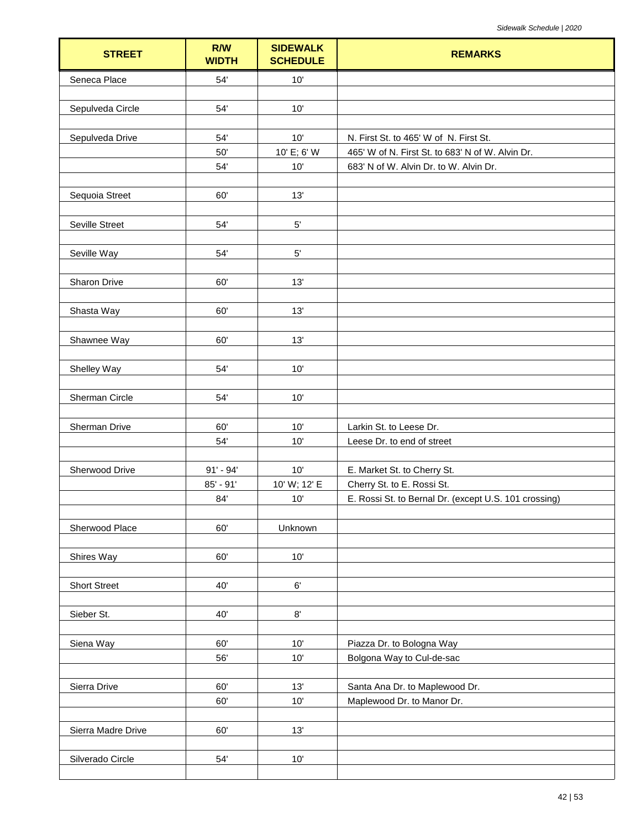| <b>STREET</b>       | <b>R/W</b><br><b>WIDTH</b> | <b>SIDEWALK</b><br><b>SCHEDULE</b> | <b>REMARKS</b>                                               |
|---------------------|----------------------------|------------------------------------|--------------------------------------------------------------|
| Seneca Place        | 54'                        | 10'                                |                                                              |
|                     |                            |                                    |                                                              |
| Sepulveda Circle    | 54'                        | 10'                                |                                                              |
| Sepulveda Drive     | 54'                        | 10'                                | N. First St. to 465' W of N. First St.                       |
|                     | 50'                        | 10' E; 6' W                        | 465' W of N. First St. to 683' N of W. Alvin Dr.             |
|                     | 54'                        | 10'                                | 683' N of W. Alvin Dr. to W. Alvin Dr.                       |
|                     |                            |                                    |                                                              |
| Sequoia Street      | 60'                        | 13'                                |                                                              |
|                     |                            |                                    |                                                              |
| Seville Street      | 54'                        | $5'$                               |                                                              |
|                     |                            |                                    |                                                              |
| Seville Way         | 54'                        | $5^{\circ}$                        |                                                              |
| Sharon Drive        | 60'                        | 13'                                |                                                              |
|                     |                            |                                    |                                                              |
| Shasta Way          | 60'                        | 13'                                |                                                              |
|                     |                            |                                    |                                                              |
| Shawnee Way         | 60'                        | 13'                                |                                                              |
|                     |                            |                                    |                                                              |
| Shelley Way         | 54'                        | 10'                                |                                                              |
|                     |                            |                                    |                                                              |
| Sherman Circle      | 54'                        | 10'                                |                                                              |
| Sherman Drive       | 60'                        | 10'                                | Larkin St. to Leese Dr.                                      |
|                     | 54'                        | 10'                                | Leese Dr. to end of street                                   |
|                     |                            |                                    |                                                              |
| Sherwood Drive      | $91' - 94'$                | 10'                                | E. Market St. to Cherry St.                                  |
|                     | $85' - 91'$                | 10' W; 12' E                       | Cherry St. to E. Rossi St.                                   |
|                     | 84'                        | 10'                                | E. Rossi St. to Bernal Dr. (except U.S. 101 crossing)        |
|                     |                            |                                    |                                                              |
| Sherwood Place      | 60'                        | Unknown                            |                                                              |
| Shires Way          | 60'                        | 10'                                |                                                              |
|                     |                            |                                    |                                                              |
| <b>Short Street</b> | 40'                        | $6^{\prime}$                       |                                                              |
|                     |                            |                                    |                                                              |
| Sieber St.          | 40'                        | $8^\circ$                          |                                                              |
|                     |                            |                                    |                                                              |
| Siena Way           | 60'                        | 10'                                | Piazza Dr. to Bologna Way                                    |
|                     | 56'                        | 10'                                | Bolgona Way to Cul-de-sac                                    |
|                     | 60'                        | 13'                                |                                                              |
| Sierra Drive        | 60'                        | 10'                                | Santa Ana Dr. to Maplewood Dr.<br>Maplewood Dr. to Manor Dr. |
|                     |                            |                                    |                                                              |
| Sierra Madre Drive  | 60'                        | 13'                                |                                                              |
|                     |                            |                                    |                                                              |
| Silverado Circle    | 54'                        | 10'                                |                                                              |
|                     |                            |                                    |                                                              |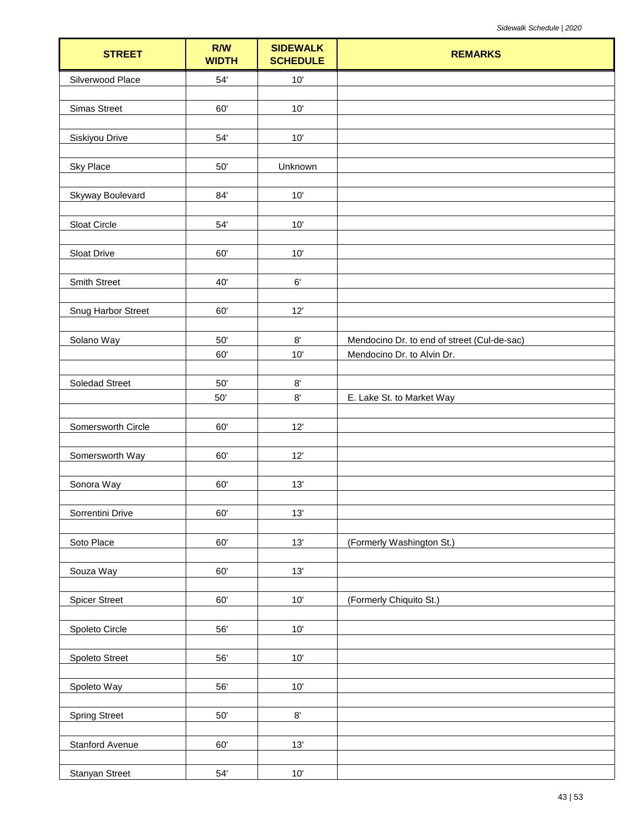| <b>STREET</b>         | R/W<br><b>WIDTH</b> | <b>SIDEWALK</b><br><b>SCHEDULE</b> | <b>REMARKS</b>                              |
|-----------------------|---------------------|------------------------------------|---------------------------------------------|
| Silverwood Place      | $54'$               | $10'$                              |                                             |
|                       |                     |                                    |                                             |
| <b>Simas Street</b>   | 60'                 | 10'                                |                                             |
| Siskiyou Drive        | 54'                 | $10'$                              |                                             |
|                       |                     |                                    |                                             |
| <b>Sky Place</b>      | $50'$               | Unknown                            |                                             |
|                       |                     |                                    |                                             |
| Skyway Boulevard      | 84'                 | $10'$                              |                                             |
|                       |                     |                                    |                                             |
| Sloat Circle          | 54'                 | $10'$                              |                                             |
| Sloat Drive           | 60'                 | 10'                                |                                             |
|                       |                     |                                    |                                             |
| Smith Street          | 40'                 | 6'                                 |                                             |
|                       |                     |                                    |                                             |
| Snug Harbor Street    | 60'                 | 12'                                |                                             |
| Solano Way            | 50'                 | $8^\circ$                          | Mendocino Dr. to end of street (Cul-de-sac) |
|                       | 60'                 | 10'                                | Mendocino Dr. to Alvin Dr.                  |
|                       |                     |                                    |                                             |
| <b>Soledad Street</b> | $50'$               | $8^\circ$                          |                                             |
|                       | $50^{\circ}$        | $8^\circ$                          | E. Lake St. to Market Way                   |
| Somersworth Circle    | 60'                 | 12'                                |                                             |
|                       |                     |                                    |                                             |
| Somersworth Way       | 60'                 | 12'                                |                                             |
|                       |                     |                                    |                                             |
| Sonora Way            | 60'                 | 13'                                |                                             |
|                       |                     |                                    |                                             |
| Sorrentini Drive      | 60'                 | $13'$                              |                                             |
| Soto Place            | 60'                 | $13'$                              | (Formerly Washington St.)                   |
|                       |                     |                                    |                                             |
| Souza Way             | 60'                 | 13'                                |                                             |
|                       |                     |                                    |                                             |
| <b>Spicer Street</b>  | 60'                 | $10'$                              | (Formerly Chiquito St.)                     |
| Spoleto Circle        | 56'                 | $10'$                              |                                             |
|                       |                     |                                    |                                             |
| Spoleto Street        | 56'                 | $10'$                              |                                             |
|                       |                     |                                    |                                             |
| Spoleto Way           | 56'                 | $10'$                              |                                             |
|                       |                     |                                    |                                             |
| <b>Spring Street</b>  | $50^{\circ}$        | $8^\circ$                          |                                             |
| Stanford Avenue       | 60'                 | $13'$                              |                                             |
|                       |                     |                                    |                                             |
| <b>Stanyan Street</b> | 54'                 | $10'$                              |                                             |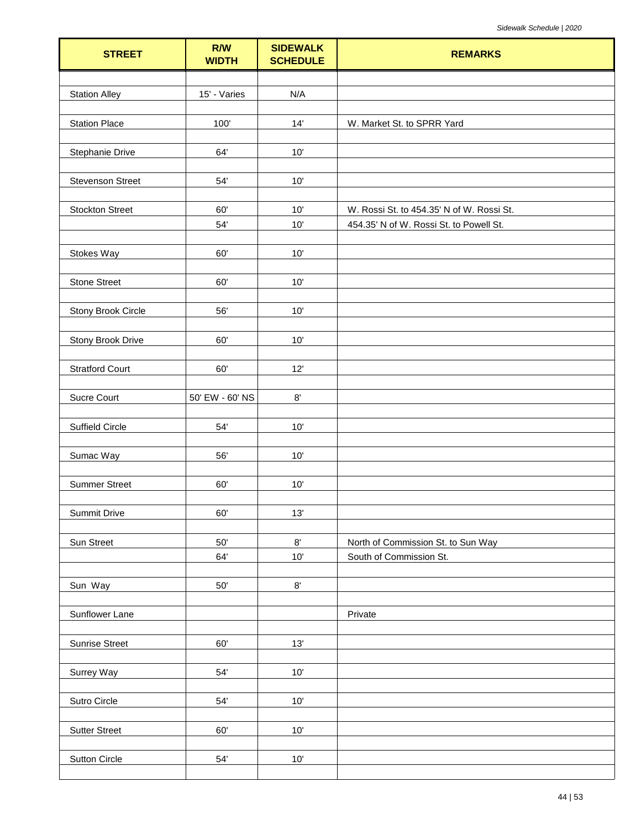| <b>STREET</b>           | R/W<br><b>WIDTH</b> | <b>SIDEWALK</b><br><b>SCHEDULE</b> | <b>REMARKS</b>                            |
|-------------------------|---------------------|------------------------------------|-------------------------------------------|
|                         |                     |                                    |                                           |
| <b>Station Alley</b>    | 15' - Varies        | N/A                                |                                           |
|                         |                     |                                    |                                           |
| <b>Station Place</b>    | 100'                | 14'                                | W. Market St. to SPRR Yard                |
| Stephanie Drive         | 64'                 | 10'                                |                                           |
|                         |                     |                                    |                                           |
| <b>Stevenson Street</b> | 54'                 | 10'                                |                                           |
|                         |                     |                                    |                                           |
| <b>Stockton Street</b>  | 60'                 | 10'                                | W. Rossi St. to 454.35' N of W. Rossi St. |
|                         | 54'                 | 10'                                | 454.35' N of W. Rossi St. to Powell St.   |
|                         | 60'                 |                                    |                                           |
| Stokes Way              |                     | 10'                                |                                           |
| <b>Stone Street</b>     | 60'                 | 10'                                |                                           |
|                         |                     |                                    |                                           |
| Stony Brook Circle      | 56'                 | 10'                                |                                           |
|                         |                     |                                    |                                           |
| Stony Brook Drive       | 60'                 | 10'                                |                                           |
|                         |                     |                                    |                                           |
| <b>Stratford Court</b>  | 60'                 | 12'                                |                                           |
| Sucre Court             | 50' EW - 60' NS     | $8^\circ$                          |                                           |
|                         |                     |                                    |                                           |
| Suffield Circle         | 54'                 | 10'                                |                                           |
|                         |                     |                                    |                                           |
| Sumac Way               | 56'                 | 10'                                |                                           |
|                         |                     |                                    |                                           |
| <b>Summer Street</b>    | 60'                 | 10'                                |                                           |
| Summit Drive            | 60'                 | 13'                                |                                           |
|                         |                     |                                    |                                           |
| Sun Street              | $50'$               | $8^\circ$                          | North of Commission St. to Sun Way        |
|                         | 64'                 | 10'                                | South of Commission St.                   |
|                         |                     |                                    |                                           |
| Sun Way                 | $50'$               | $8^\circ$                          |                                           |
| Sunflower Lane          |                     |                                    | Private                                   |
|                         |                     |                                    |                                           |
| <b>Sunrise Street</b>   | 60'                 | 13'                                |                                           |
|                         |                     |                                    |                                           |
| Surrey Way              | 54'                 | 10'                                |                                           |
|                         |                     |                                    |                                           |
| Sutro Circle            | 54'                 | 10'                                |                                           |
|                         |                     |                                    |                                           |
| <b>Sutter Street</b>    | 60'                 | 10'                                |                                           |
| Sutton Circle           | $54^\circ$          | $10'$                              |                                           |
|                         |                     |                                    |                                           |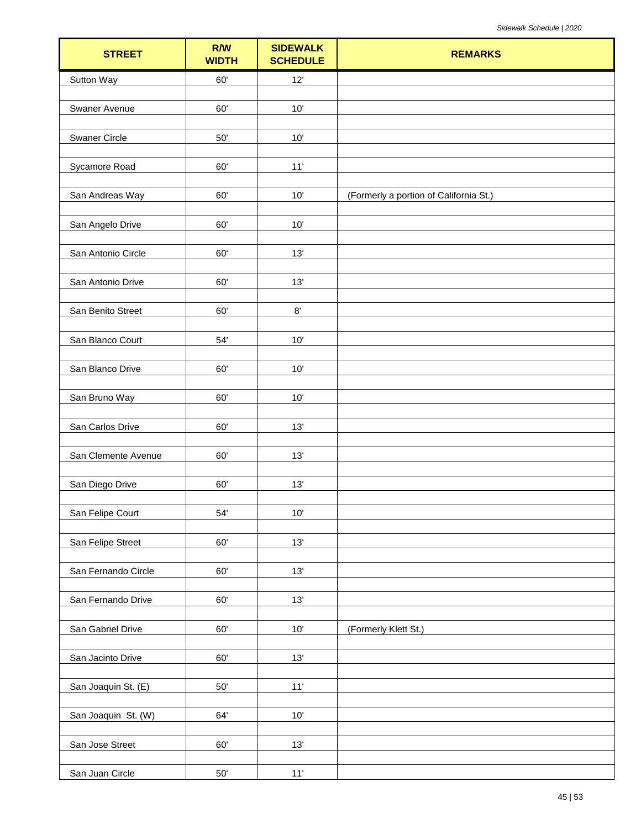| <b>STREET</b>        | R/W<br><b>WIDTH</b> | <b>SIDEWALK</b><br><b>SCHEDULE</b> | <b>REMARKS</b>                         |
|----------------------|---------------------|------------------------------------|----------------------------------------|
| Sutton Way           | 60'                 | 12'                                |                                        |
| Swaner Avenue        | 60'                 | 10'                                |                                        |
|                      |                     |                                    |                                        |
| <b>Swaner Circle</b> | $50'$               | $10'$                              |                                        |
| Sycamore Road        | 60'                 | 11'                                |                                        |
| San Andreas Way      | 60'                 | 10'                                | (Formerly a portion of California St.) |
|                      |                     |                                    |                                        |
| San Angelo Drive     | 60'                 | $10'$                              |                                        |
| San Antonio Circle   | 60'                 | 13'                                |                                        |
|                      |                     |                                    |                                        |
| San Antonio Drive    | 60'                 | 13'                                |                                        |
| San Benito Street    | 60'                 | $8^\circ$                          |                                        |
| San Blanco Court     | 54'                 | $10'$                              |                                        |
|                      |                     |                                    |                                        |
| San Blanco Drive     | 60'                 | $10'$                              |                                        |
| San Bruno Way        | 60'                 | 10'                                |                                        |
| San Carlos Drive     | 60'                 | 13'                                |                                        |
| San Clemente Avenue  | 60'                 | 13'                                |                                        |
| San Diego Drive      | 60'                 | 13'                                |                                        |
| San Felipe Court     | $54'$               | 10'                                |                                        |
| San Felipe Street    | 60'                 | 13'                                |                                        |
|                      |                     |                                    |                                        |
| San Fernando Circle  | 60'                 | 13'                                |                                        |
| San Fernando Drive   | 60'                 | 13'                                |                                        |
| San Gabriel Drive    | 60'                 | $10'$                              | (Formerly Klett St.)                   |
| San Jacinto Drive    | 60'                 | 13'                                |                                        |
| San Joaquin St. (E)  | $50^{\circ}$        | 11'                                |                                        |
|                      |                     |                                    |                                        |
| San Joaquin St. (W)  | 64'                 | $10'$                              |                                        |
| San Jose Street      | 60'                 | 13'                                |                                        |
| San Juan Circle      | $50^{\circ}$        | $11'$                              |                                        |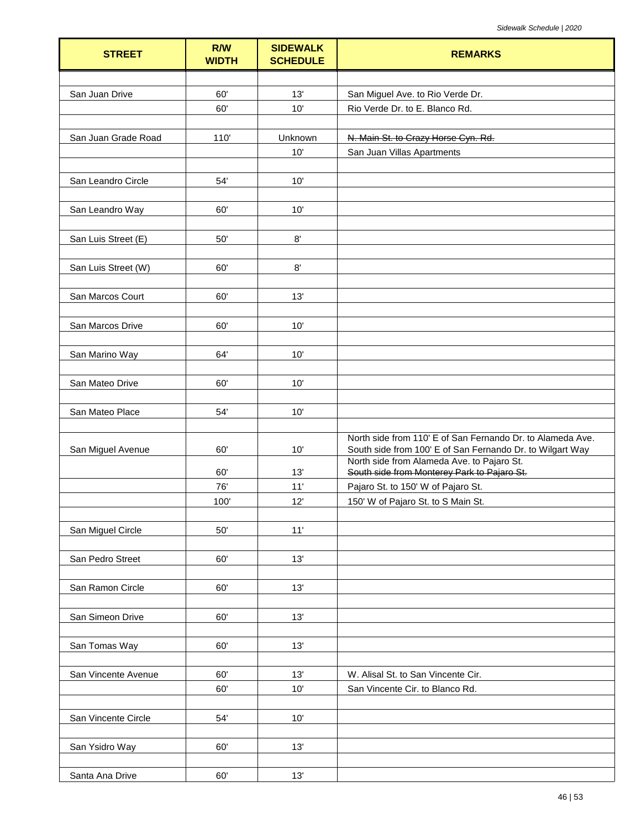| <b>STREET</b>       | R/W<br><b>WIDTH</b> | <b>SIDEWALK</b><br><b>SCHEDULE</b> | <b>REMARKS</b>                                                           |
|---------------------|---------------------|------------------------------------|--------------------------------------------------------------------------|
|                     |                     |                                    |                                                                          |
| San Juan Drive      | 60'                 | 13'                                | San Miguel Ave. to Rio Verde Dr.                                         |
|                     | 60'                 | 10'                                | Rio Verde Dr. to E. Blanco Rd.                                           |
|                     |                     |                                    |                                                                          |
| San Juan Grade Road | 110                 | Unknown                            | N. Main St. to Crazy Horse Cyn. Rd.                                      |
|                     |                     | 10'                                | San Juan Villas Apartments                                               |
|                     |                     |                                    |                                                                          |
| San Leandro Circle  | 54'                 | 10'                                |                                                                          |
|                     |                     |                                    |                                                                          |
| San Leandro Way     | 60'                 | 10'                                |                                                                          |
|                     |                     |                                    |                                                                          |
| San Luis Street (E) | 50'                 | $8^\circ$                          |                                                                          |
|                     |                     |                                    |                                                                          |
| San Luis Street (W) | 60'                 | 8'                                 |                                                                          |
|                     |                     |                                    |                                                                          |
| San Marcos Court    | 60'                 | 13'                                |                                                                          |
|                     |                     |                                    |                                                                          |
| San Marcos Drive    | 60'                 | 10'                                |                                                                          |
|                     |                     |                                    |                                                                          |
| San Marino Way      | 64'                 | 10'                                |                                                                          |
|                     |                     |                                    |                                                                          |
| San Mateo Drive     | 60'                 | 10'                                |                                                                          |
|                     |                     |                                    |                                                                          |
| San Mateo Place     | 54'                 | 10'                                |                                                                          |
|                     |                     |                                    | North side from 110' E of San Fernando Dr. to Alameda Ave.               |
| San Miguel Avenue   | 60'                 | 10'                                | South side from 100' E of San Fernando Dr. to Wilgart Way                |
|                     |                     |                                    | North side from Alameda Ave. to Pajaro St.                               |
|                     | 60'<br>76'          | 13'<br>11'                         | South side from Monterey Park to Pajaro St.                              |
|                     | 100                 | 12'                                | Pajaro St. to 150' W of Pajaro St.<br>150' W of Pajaro St. to S Main St. |
|                     |                     |                                    |                                                                          |
| San Miguel Circle   | 50'                 | 11'                                |                                                                          |
|                     |                     |                                    |                                                                          |
| San Pedro Street    | 60'                 | 13'                                |                                                                          |
|                     |                     |                                    |                                                                          |
| San Ramon Circle    | 60'                 | 13'                                |                                                                          |
|                     |                     |                                    |                                                                          |
| San Simeon Drive    | 60'                 | 13'                                |                                                                          |
|                     |                     |                                    |                                                                          |
| San Tomas Way       | 60'                 | 13'                                |                                                                          |
|                     |                     |                                    |                                                                          |
| San Vincente Avenue | 60'                 | 13'                                | W. Alisal St. to San Vincente Cir.                                       |
|                     | 60'                 | 10'                                | San Vincente Cir. to Blanco Rd.                                          |
|                     |                     |                                    |                                                                          |
| San Vincente Circle | 54'                 | 10'                                |                                                                          |
|                     |                     |                                    |                                                                          |
| San Ysidro Way      | 60'                 | 13'                                |                                                                          |
|                     |                     |                                    |                                                                          |
| Santa Ana Drive     | 60'                 | 13'                                |                                                                          |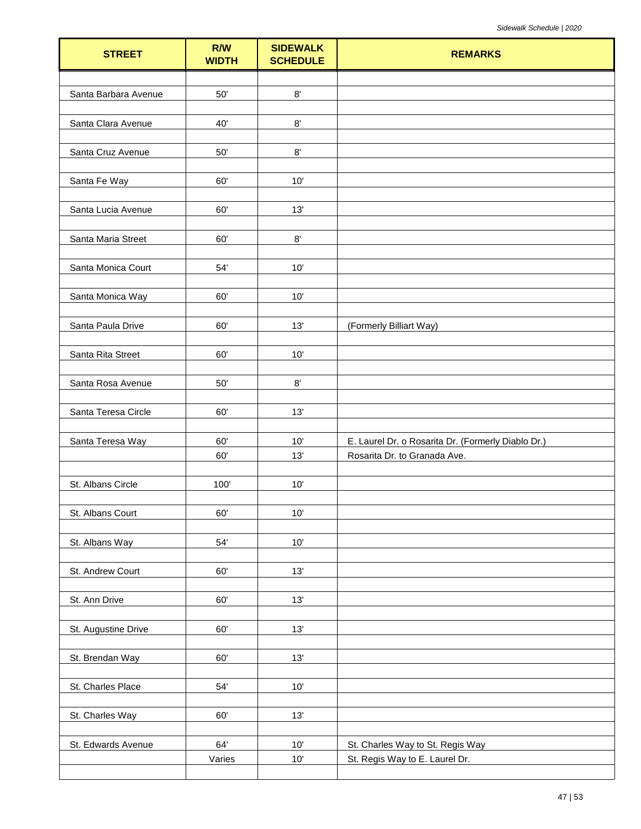| $8^\circ$<br>Santa Barbara Avenue<br>50'<br>40'<br>$8^\circ$<br>Santa Clara Avenue<br>Santa Cruz Avenue<br>$50'$<br>$8^\circ$<br>Santa Fe Way<br>60'<br>10'<br>60'<br>13'<br>Santa Lucia Avenue<br>$8^\circ$<br>60'<br>Santa Maria Street<br>54'<br>$10'$<br>Santa Monica Court<br>60'<br>10'<br>Santa Monica Way<br>Santa Paula Drive<br>60'<br>13'<br>(Formerly Billiart Way)<br>Santa Rita Street<br>60'<br>10'<br>$8^\circ$<br>Santa Rosa Avenue<br>50'<br>Santa Teresa Circle<br>60'<br>13'<br>Santa Teresa Way<br>60'<br>10'<br>E. Laurel Dr. o Rosarita Dr. (Formerly Diablo Dr.)<br>13'<br>Rosarita Dr. to Granada Ave.<br>60'<br>St. Albans Circle<br>100'<br>$10'$<br>St. Albans Court<br>60'<br>$10'$<br>$54'$<br>10'<br>St. Albans Way<br>13'<br>St. Andrew Court<br>60'<br>13'<br>St. Ann Drive<br>60'<br>13'<br>St. Augustine Drive<br>60'<br>13'<br>St. Brendan Way<br>60'<br>St. Charles Place<br>$54'$<br>$10'$<br>60'<br>13'<br>St. Charles Way<br>St. Edwards Avenue<br>64'<br>10'<br>St. Charles Way to St. Regis Way<br>$10^{\circ}$<br>St. Regis Way to E. Laurel Dr.<br>Varies | <b>STREET</b> | <b>R/W</b><br><b>WIDTH</b> | <b>SIDEWALK</b><br><b>SCHEDULE</b> | <b>REMARKS</b> |
|-------------------------------------------------------------------------------------------------------------------------------------------------------------------------------------------------------------------------------------------------------------------------------------------------------------------------------------------------------------------------------------------------------------------------------------------------------------------------------------------------------------------------------------------------------------------------------------------------------------------------------------------------------------------------------------------------------------------------------------------------------------------------------------------------------------------------------------------------------------------------------------------------------------------------------------------------------------------------------------------------------------------------------------------------------------------------------------------------------|---------------|----------------------------|------------------------------------|----------------|
|                                                                                                                                                                                                                                                                                                                                                                                                                                                                                                                                                                                                                                                                                                                                                                                                                                                                                                                                                                                                                                                                                                       |               |                            |                                    |                |
|                                                                                                                                                                                                                                                                                                                                                                                                                                                                                                                                                                                                                                                                                                                                                                                                                                                                                                                                                                                                                                                                                                       |               |                            |                                    |                |
|                                                                                                                                                                                                                                                                                                                                                                                                                                                                                                                                                                                                                                                                                                                                                                                                                                                                                                                                                                                                                                                                                                       |               |                            |                                    |                |
|                                                                                                                                                                                                                                                                                                                                                                                                                                                                                                                                                                                                                                                                                                                                                                                                                                                                                                                                                                                                                                                                                                       |               |                            |                                    |                |
|                                                                                                                                                                                                                                                                                                                                                                                                                                                                                                                                                                                                                                                                                                                                                                                                                                                                                                                                                                                                                                                                                                       |               |                            |                                    |                |
|                                                                                                                                                                                                                                                                                                                                                                                                                                                                                                                                                                                                                                                                                                                                                                                                                                                                                                                                                                                                                                                                                                       |               |                            |                                    |                |
|                                                                                                                                                                                                                                                                                                                                                                                                                                                                                                                                                                                                                                                                                                                                                                                                                                                                                                                                                                                                                                                                                                       |               |                            |                                    |                |
|                                                                                                                                                                                                                                                                                                                                                                                                                                                                                                                                                                                                                                                                                                                                                                                                                                                                                                                                                                                                                                                                                                       |               |                            |                                    |                |
|                                                                                                                                                                                                                                                                                                                                                                                                                                                                                                                                                                                                                                                                                                                                                                                                                                                                                                                                                                                                                                                                                                       |               |                            |                                    |                |
|                                                                                                                                                                                                                                                                                                                                                                                                                                                                                                                                                                                                                                                                                                                                                                                                                                                                                                                                                                                                                                                                                                       |               |                            |                                    |                |
|                                                                                                                                                                                                                                                                                                                                                                                                                                                                                                                                                                                                                                                                                                                                                                                                                                                                                                                                                                                                                                                                                                       |               |                            |                                    |                |
|                                                                                                                                                                                                                                                                                                                                                                                                                                                                                                                                                                                                                                                                                                                                                                                                                                                                                                                                                                                                                                                                                                       |               |                            |                                    |                |
|                                                                                                                                                                                                                                                                                                                                                                                                                                                                                                                                                                                                                                                                                                                                                                                                                                                                                                                                                                                                                                                                                                       |               |                            |                                    |                |
|                                                                                                                                                                                                                                                                                                                                                                                                                                                                                                                                                                                                                                                                                                                                                                                                                                                                                                                                                                                                                                                                                                       |               |                            |                                    |                |
|                                                                                                                                                                                                                                                                                                                                                                                                                                                                                                                                                                                                                                                                                                                                                                                                                                                                                                                                                                                                                                                                                                       |               |                            |                                    |                |
|                                                                                                                                                                                                                                                                                                                                                                                                                                                                                                                                                                                                                                                                                                                                                                                                                                                                                                                                                                                                                                                                                                       |               |                            |                                    |                |
|                                                                                                                                                                                                                                                                                                                                                                                                                                                                                                                                                                                                                                                                                                                                                                                                                                                                                                                                                                                                                                                                                                       |               |                            |                                    |                |
|                                                                                                                                                                                                                                                                                                                                                                                                                                                                                                                                                                                                                                                                                                                                                                                                                                                                                                                                                                                                                                                                                                       |               |                            |                                    |                |
|                                                                                                                                                                                                                                                                                                                                                                                                                                                                                                                                                                                                                                                                                                                                                                                                                                                                                                                                                                                                                                                                                                       |               |                            |                                    |                |
|                                                                                                                                                                                                                                                                                                                                                                                                                                                                                                                                                                                                                                                                                                                                                                                                                                                                                                                                                                                                                                                                                                       |               |                            |                                    |                |
|                                                                                                                                                                                                                                                                                                                                                                                                                                                                                                                                                                                                                                                                                                                                                                                                                                                                                                                                                                                                                                                                                                       |               |                            |                                    |                |
|                                                                                                                                                                                                                                                                                                                                                                                                                                                                                                                                                                                                                                                                                                                                                                                                                                                                                                                                                                                                                                                                                                       |               |                            |                                    |                |
|                                                                                                                                                                                                                                                                                                                                                                                                                                                                                                                                                                                                                                                                                                                                                                                                                                                                                                                                                                                                                                                                                                       |               |                            |                                    |                |
|                                                                                                                                                                                                                                                                                                                                                                                                                                                                                                                                                                                                                                                                                                                                                                                                                                                                                                                                                                                                                                                                                                       |               |                            |                                    |                |
|                                                                                                                                                                                                                                                                                                                                                                                                                                                                                                                                                                                                                                                                                                                                                                                                                                                                                                                                                                                                                                                                                                       |               |                            |                                    |                |
|                                                                                                                                                                                                                                                                                                                                                                                                                                                                                                                                                                                                                                                                                                                                                                                                                                                                                                                                                                                                                                                                                                       |               |                            |                                    |                |
|                                                                                                                                                                                                                                                                                                                                                                                                                                                                                                                                                                                                                                                                                                                                                                                                                                                                                                                                                                                                                                                                                                       |               |                            |                                    |                |
|                                                                                                                                                                                                                                                                                                                                                                                                                                                                                                                                                                                                                                                                                                                                                                                                                                                                                                                                                                                                                                                                                                       |               |                            |                                    |                |
|                                                                                                                                                                                                                                                                                                                                                                                                                                                                                                                                                                                                                                                                                                                                                                                                                                                                                                                                                                                                                                                                                                       |               |                            |                                    |                |
|                                                                                                                                                                                                                                                                                                                                                                                                                                                                                                                                                                                                                                                                                                                                                                                                                                                                                                                                                                                                                                                                                                       |               |                            |                                    |                |
|                                                                                                                                                                                                                                                                                                                                                                                                                                                                                                                                                                                                                                                                                                                                                                                                                                                                                                                                                                                                                                                                                                       |               |                            |                                    |                |
|                                                                                                                                                                                                                                                                                                                                                                                                                                                                                                                                                                                                                                                                                                                                                                                                                                                                                                                                                                                                                                                                                                       |               |                            |                                    |                |
|                                                                                                                                                                                                                                                                                                                                                                                                                                                                                                                                                                                                                                                                                                                                                                                                                                                                                                                                                                                                                                                                                                       |               |                            |                                    |                |
|                                                                                                                                                                                                                                                                                                                                                                                                                                                                                                                                                                                                                                                                                                                                                                                                                                                                                                                                                                                                                                                                                                       |               |                            |                                    |                |
|                                                                                                                                                                                                                                                                                                                                                                                                                                                                                                                                                                                                                                                                                                                                                                                                                                                                                                                                                                                                                                                                                                       |               |                            |                                    |                |
|                                                                                                                                                                                                                                                                                                                                                                                                                                                                                                                                                                                                                                                                                                                                                                                                                                                                                                                                                                                                                                                                                                       |               |                            |                                    |                |
|                                                                                                                                                                                                                                                                                                                                                                                                                                                                                                                                                                                                                                                                                                                                                                                                                                                                                                                                                                                                                                                                                                       |               |                            |                                    |                |
|                                                                                                                                                                                                                                                                                                                                                                                                                                                                                                                                                                                                                                                                                                                                                                                                                                                                                                                                                                                                                                                                                                       |               |                            |                                    |                |
|                                                                                                                                                                                                                                                                                                                                                                                                                                                                                                                                                                                                                                                                                                                                                                                                                                                                                                                                                                                                                                                                                                       |               |                            |                                    |                |
|                                                                                                                                                                                                                                                                                                                                                                                                                                                                                                                                                                                                                                                                                                                                                                                                                                                                                                                                                                                                                                                                                                       |               |                            |                                    |                |
|                                                                                                                                                                                                                                                                                                                                                                                                                                                                                                                                                                                                                                                                                                                                                                                                                                                                                                                                                                                                                                                                                                       |               |                            |                                    |                |
|                                                                                                                                                                                                                                                                                                                                                                                                                                                                                                                                                                                                                                                                                                                                                                                                                                                                                                                                                                                                                                                                                                       |               |                            |                                    |                |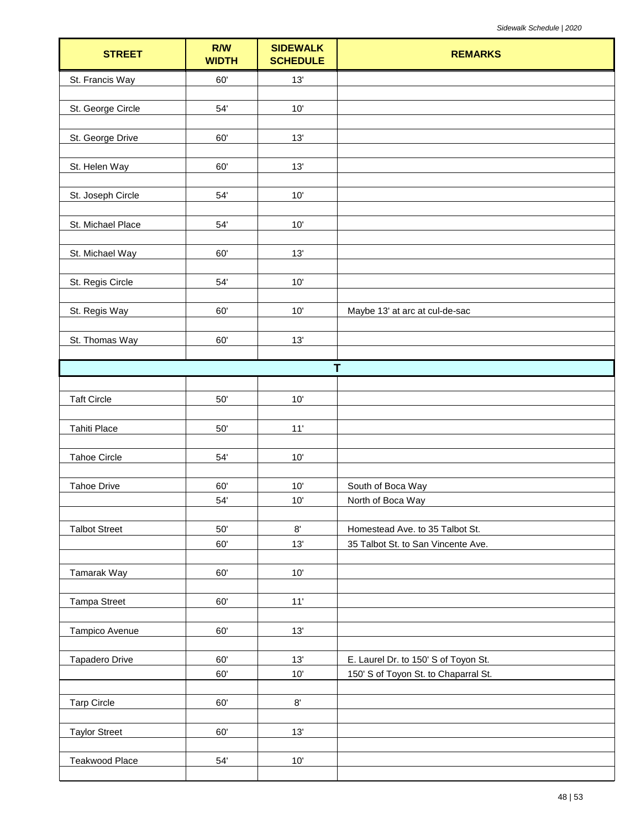| <b>STREET</b>         | R/W<br><b>WIDTH</b> | <b>SIDEWALK</b><br><b>SCHEDULE</b> | <b>REMARKS</b>                       |
|-----------------------|---------------------|------------------------------------|--------------------------------------|
| St. Francis Way       | 60'                 | 13'                                |                                      |
| St. George Circle     | 54'                 | 10'                                |                                      |
| St. George Drive      | 60'                 | 13'                                |                                      |
| St. Helen Way         | 60'                 | 13'                                |                                      |
| St. Joseph Circle     | 54'                 | 10'                                |                                      |
| St. Michael Place     | 54'                 | 10'                                |                                      |
| St. Michael Way       | 60'                 | 13'                                |                                      |
| St. Regis Circle      | 54'                 | 10'                                |                                      |
| St. Regis Way         | 60'                 | 10'                                | Maybe 13' at arc at cul-de-sac       |
| St. Thomas Way        | 60'                 | 13'                                |                                      |
|                       |                     |                                    | T                                    |
|                       |                     |                                    |                                      |
| <b>Taft Circle</b>    | $50^\circ$          | $10'$                              |                                      |
| <b>Tahiti Place</b>   | $50^\circ$          | 11'                                |                                      |
| <b>Tahoe Circle</b>   | 54'                 | 10'                                |                                      |
| <b>Tahoe Drive</b>    | 60'                 | 10'                                | South of Boca Way                    |
|                       | 54'                 | 10'                                | North of Boca Way                    |
| <b>Talbot Street</b>  | 50'                 | $8^\circ$                          | Homestead Ave. to 35 Talbot St.      |
|                       | 60'                 | 13'                                | 35 Talbot St. to San Vincente Ave.   |
|                       |                     |                                    |                                      |
| Tamarak Way           | 60'                 | 10'                                |                                      |
| <b>Tampa Street</b>   | 60'                 | 11'                                |                                      |
| Tampico Avenue        | 60'                 | 13'                                |                                      |
| Tapadero Drive        | 60'                 | 13'                                | E. Laurel Dr. to 150' S of Toyon St. |
|                       | 60'                 | 10'                                | 150' S of Toyon St. to Chaparral St. |
| <b>Tarp Circle</b>    | 60'                 | $8^\circ$                          |                                      |
| <b>Taylor Street</b>  | 60'                 | 13'                                |                                      |
| <b>Teakwood Place</b> | $54^\circ$          | $10'$                              |                                      |
|                       |                     |                                    |                                      |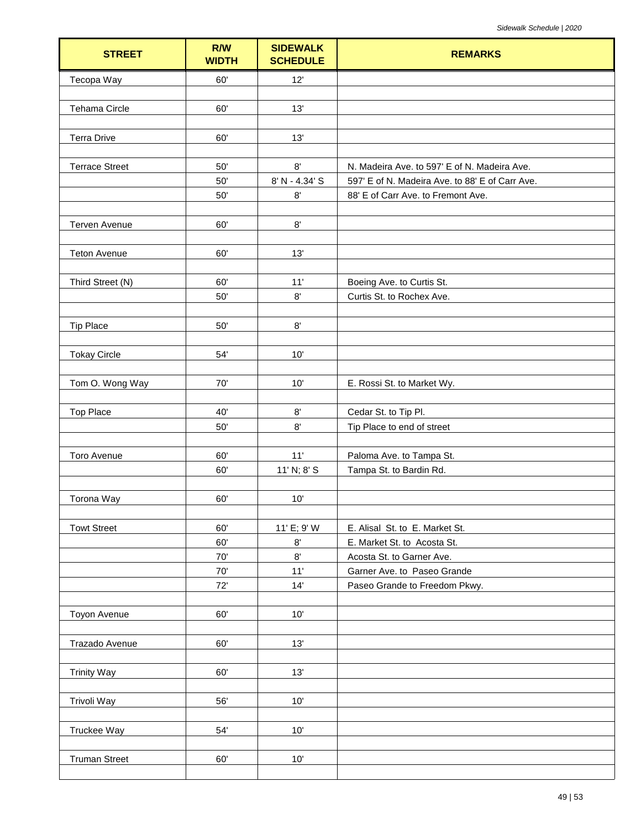| <b>STREET</b>         | R/W<br><b>WIDTH</b> | <b>SIDEWALK</b><br><b>SCHEDULE</b> | <b>REMARKS</b>                                  |
|-----------------------|---------------------|------------------------------------|-------------------------------------------------|
| Tecopa Way            | 60'                 | 12'                                |                                                 |
|                       |                     |                                    |                                                 |
| <b>Tehama Circle</b>  | 60'                 | 13'                                |                                                 |
|                       |                     |                                    |                                                 |
| <b>Terra Drive</b>    | 60'                 | 13'                                |                                                 |
|                       |                     |                                    |                                                 |
| <b>Terrace Street</b> | 50'                 | $8^\circ$                          | N. Madeira Ave. to 597' E of N. Madeira Ave.    |
|                       | 50'                 | 8' N - 4.34' S                     | 597' E of N. Madeira Ave. to 88' E of Carr Ave. |
|                       | 50'                 | $8^\circ$                          | 88' E of Carr Ave. to Fremont Ave.              |
| Terven Avenue         | 60'                 | $8^\circ$                          |                                                 |
|                       |                     |                                    |                                                 |
| <b>Teton Avenue</b>   | 60'                 | 13'                                |                                                 |
|                       |                     |                                    |                                                 |
| Third Street (N)      | 60'                 | 11'                                | Boeing Ave. to Curtis St.                       |
|                       | 50'                 | 8'                                 | Curtis St. to Rochex Ave.                       |
|                       |                     |                                    |                                                 |
| <b>Tip Place</b>      | 50'                 | $8^\circ$                          |                                                 |
|                       |                     |                                    |                                                 |
| <b>Tokay Circle</b>   | 54'                 | 10'                                |                                                 |
|                       |                     |                                    |                                                 |
| Tom O. Wong Way       | 70'                 | 10'                                | E. Rossi St. to Market Wy.                      |
|                       |                     |                                    |                                                 |
| <b>Top Place</b>      | 40'                 | 8'                                 | Cedar St. to Tip Pl.                            |
|                       | 50'                 | 8'                                 | Tip Place to end of street                      |
|                       |                     |                                    |                                                 |
| Toro Avenue           | 60'                 | 11'                                | Paloma Ave. to Tampa St.                        |
|                       | 60'                 | 11' N; 8' S                        | Tampa St. to Bardin Rd.                         |
|                       | 60'                 | 10'                                |                                                 |
| Torona Way            |                     |                                    |                                                 |
| <b>Towt Street</b>    | 60'                 | 11' E; 9' W                        | E. Alisal St. to E. Market St.                  |
|                       | 60'                 | $8^\circ$                          | E. Market St. to Acosta St.                     |
|                       | $70'$               | 8'                                 | Acosta St. to Garner Ave.                       |
|                       | 70'                 | 11'                                | Garner Ave. to Paseo Grande                     |
|                       | 72'                 | 14'                                | Paseo Grande to Freedom Pkwy.                   |
|                       |                     |                                    |                                                 |
| Toyon Avenue          | 60'                 | 10'                                |                                                 |
|                       |                     |                                    |                                                 |
| Trazado Avenue        | 60'                 | 13'                                |                                                 |
|                       |                     |                                    |                                                 |
| <b>Trinity Way</b>    | 60'                 | 13'                                |                                                 |
|                       |                     |                                    |                                                 |
| Trivoli Way           | 56'                 | 10'                                |                                                 |
|                       |                     |                                    |                                                 |
| Truckee Way           | 54'                 | 10'                                |                                                 |
|                       |                     |                                    |                                                 |
| <b>Truman Street</b>  | 60'                 | 10'                                |                                                 |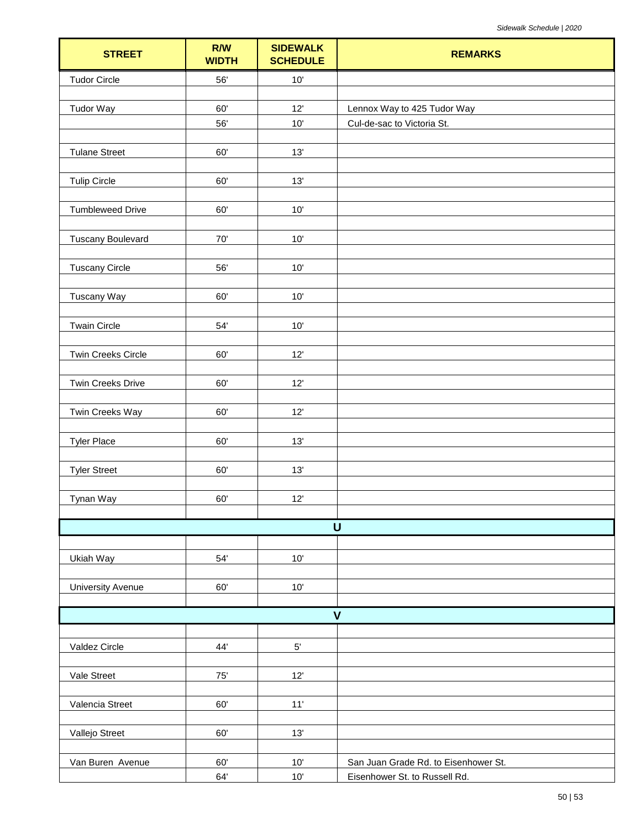| <b>STREET</b>            | R/W<br><b>WIDTH</b> | <b>SIDEWALK</b><br><b>SCHEDULE</b> | <b>REMARKS</b>                       |
|--------------------------|---------------------|------------------------------------|--------------------------------------|
| <b>Tudor Circle</b>      | 56'                 | $10'$                              |                                      |
|                          |                     |                                    |                                      |
| <b>Tudor Way</b>         | 60'                 | 12'                                | Lennox Way to 425 Tudor Way          |
|                          | 56'                 | 10'                                | Cul-de-sac to Victoria St.           |
| <b>Tulane Street</b>     | 60'                 | 13'                                |                                      |
|                          |                     |                                    |                                      |
| <b>Tulip Circle</b>      | 60'                 | 13'                                |                                      |
|                          |                     |                                    |                                      |
| <b>Tumbleweed Drive</b>  | 60'                 | 10'                                |                                      |
|                          |                     |                                    |                                      |
| <b>Tuscany Boulevard</b> | $70^\circ$          | $10'$                              |                                      |
| <b>Tuscany Circle</b>    | 56'                 | $10'$                              |                                      |
|                          |                     |                                    |                                      |
| Tuscany Way              | 60'                 | 10'                                |                                      |
|                          |                     |                                    |                                      |
| <b>Twain Circle</b>      | $54'$               | $10'$                              |                                      |
|                          |                     |                                    |                                      |
| Twin Creeks Circle       | 60'                 | 12'                                |                                      |
| Twin Creeks Drive        | 60'                 | 12'                                |                                      |
|                          |                     |                                    |                                      |
| Twin Creeks Way          | 60'                 | 12'                                |                                      |
|                          |                     |                                    |                                      |
| <b>Tyler Place</b>       | 60'                 | 13'                                |                                      |
|                          |                     |                                    |                                      |
| <b>Tyler Street</b>      | 60'                 | 13'                                |                                      |
| Tynan Way                | 60'                 | 12'                                |                                      |
|                          |                     |                                    |                                      |
|                          |                     |                                    | $\cup$                               |
|                          |                     |                                    |                                      |
| Ukiah Way                | 54'                 | 10'                                |                                      |
|                          |                     |                                    |                                      |
| <b>University Avenue</b> | 60'                 | $10'$                              |                                      |
|                          |                     |                                    | $\mathsf{V}$                         |
|                          |                     |                                    |                                      |
| Valdez Circle            | 44'                 | $5^\circ$                          |                                      |
|                          |                     |                                    |                                      |
| Vale Street              | $75^\circ$          | 12'                                |                                      |
|                          |                     |                                    |                                      |
| Valencia Street          | 60'                 | 11'                                |                                      |
| Vallejo Street           | 60'                 | 13'                                |                                      |
|                          |                     |                                    |                                      |
| Van Buren Avenue         | 60'                 | $10'$                              | San Juan Grade Rd. to Eisenhower St. |
|                          | 64'                 | $10'$                              | Eisenhower St. to Russell Rd.        |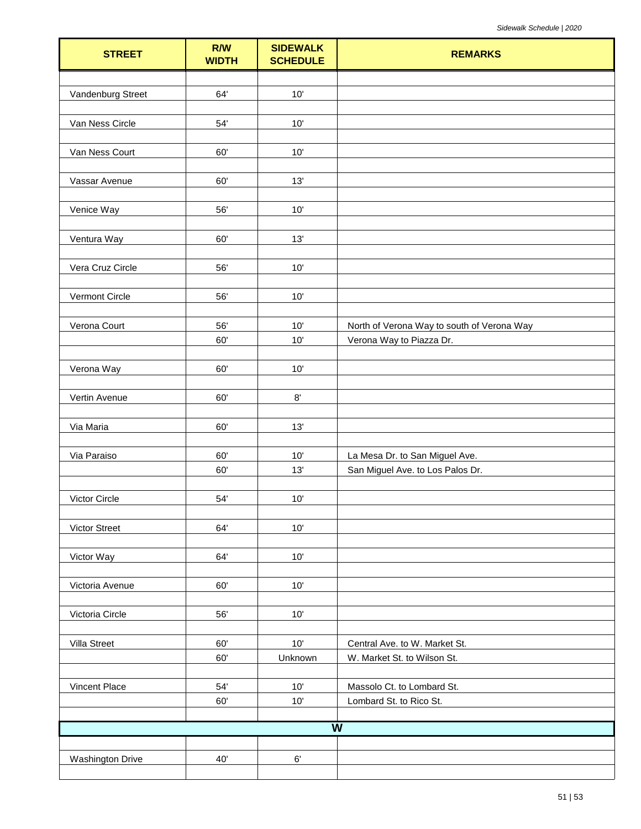| <b>STREET</b>           | R/W<br><b>WIDTH</b> | <b>SIDEWALK</b><br><b>SCHEDULE</b> | <b>REMARKS</b>                             |
|-------------------------|---------------------|------------------------------------|--------------------------------------------|
|                         |                     |                                    |                                            |
| Vandenburg Street       | 64'                 | 10'                                |                                            |
| Van Ness Circle         | 54'                 | $10'$                              |                                            |
| Van Ness Court          | 60'                 | 10'                                |                                            |
|                         |                     |                                    |                                            |
| Vassar Avenue           | 60'                 | 13'                                |                                            |
| Venice Way              | 56'                 | 10'                                |                                            |
| Ventura Way             | 60'                 | 13'                                |                                            |
|                         |                     |                                    |                                            |
| Vera Cruz Circle        | 56'                 | $10'$                              |                                            |
| Vermont Circle          | 56'                 | 10'                                |                                            |
| Verona Court            | 56'                 | 10'                                | North of Verona Way to south of Verona Way |
|                         | 60'                 | 10'                                | Verona Way to Piazza Dr.                   |
|                         |                     |                                    |                                            |
| Verona Way              | 60'                 | $10'$                              |                                            |
| Vertin Avenue           | 60'                 | $8^\circ$                          |                                            |
|                         |                     |                                    |                                            |
| Via Maria               | 60'                 | 13'                                |                                            |
| Via Paraiso             | 60'                 | 10'                                | La Mesa Dr. to San Miguel Ave.             |
|                         | 60'                 | 13'                                | San Miguel Ave. to Los Palos Dr.           |
|                         |                     |                                    |                                            |
| Victor Circle           | 54'                 | 10'                                |                                            |
| Victor Street           | 64'                 | 10'                                |                                            |
| Victor Way              | 64'                 | $10'$                              |                                            |
|                         |                     |                                    |                                            |
| Victoria Avenue         | 60'                 | $10'$                              |                                            |
| Victoria Circle         | 56'                 | 10'                                |                                            |
| Villa Street            | 60'                 | 10'                                | Central Ave. to W. Market St.              |
|                         | 60'                 | Unknown                            | W. Market St. to Wilson St.                |
|                         |                     |                                    |                                            |
| Vincent Place           | 54'                 | 10'                                | Massolo Ct. to Lombard St.                 |
|                         | 60'                 | $10'$                              | Lombard St. to Rico St.                    |
|                         |                     |                                    | $\overline{\mathsf{W}}$                    |
|                         |                     |                                    |                                            |
| <b>Washington Drive</b> | 40'                 | $6^\circ$                          |                                            |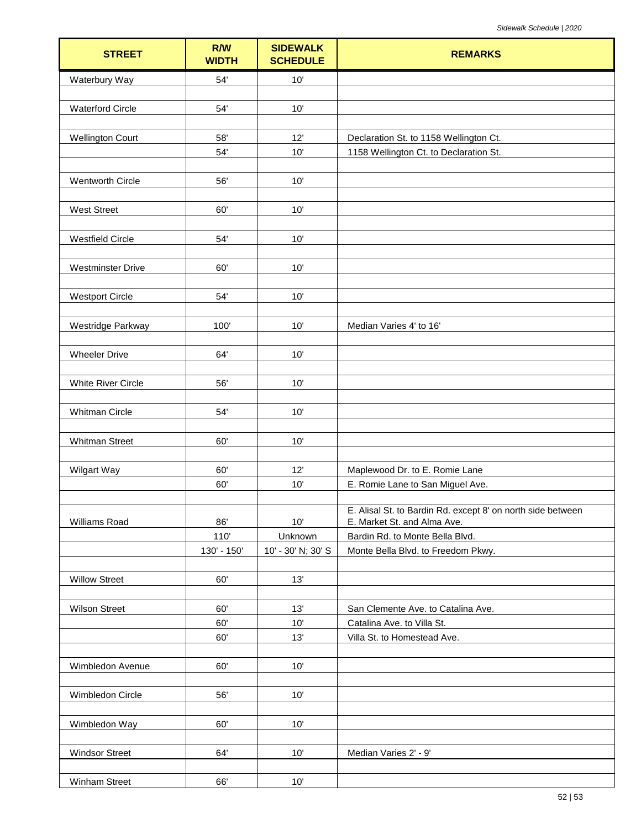| <b>STREET</b>            | R/W<br><b>WIDTH</b> | <b>SIDEWALK</b><br><b>SCHEDULE</b> | <b>REMARKS</b>                                                                             |
|--------------------------|---------------------|------------------------------------|--------------------------------------------------------------------------------------------|
| Waterbury Way            | 54'                 | 10'                                |                                                                                            |
|                          |                     |                                    |                                                                                            |
| <b>Waterford Circle</b>  | 54'                 | 10'                                |                                                                                            |
| <b>Wellington Court</b>  | 58'                 | 12'                                | Declaration St. to 1158 Wellington Ct.                                                     |
|                          | 54'                 | 10'                                | 1158 Wellington Ct. to Declaration St.                                                     |
|                          |                     |                                    |                                                                                            |
| <b>Wentworth Circle</b>  | 56'                 | 10'                                |                                                                                            |
|                          |                     |                                    |                                                                                            |
| <b>West Street</b>       | 60'                 | 10'                                |                                                                                            |
|                          | 54'                 |                                    |                                                                                            |
| <b>Westfield Circle</b>  |                     | 10'                                |                                                                                            |
| <b>Westminster Drive</b> | 60'                 | 10'                                |                                                                                            |
|                          |                     |                                    |                                                                                            |
| <b>Westport Circle</b>   | 54'                 | 10'                                |                                                                                            |
|                          |                     |                                    |                                                                                            |
| Westridge Parkway        | 100'                | 10'                                | Median Varies 4' to 16'                                                                    |
| <b>Wheeler Drive</b>     | 64'                 | 10'                                |                                                                                            |
|                          |                     |                                    |                                                                                            |
| White River Circle       | 56'                 | 10'                                |                                                                                            |
|                          |                     |                                    |                                                                                            |
| Whitman Circle           | 54'                 | 10'                                |                                                                                            |
|                          |                     |                                    |                                                                                            |
| <b>Whitman Street</b>    | 60'                 | 10'                                |                                                                                            |
|                          | 60'                 | 12'                                | Maplewood Dr. to E. Romie Lane                                                             |
| Wilgart Way              | 60'                 | 10'                                | E. Romie Lane to San Miguel Ave.                                                           |
|                          |                     |                                    |                                                                                            |
| Williams Road            | 86'                 | 10'                                | E. Alisal St. to Bardin Rd. except 8' on north side between<br>E. Market St. and Alma Ave. |
|                          | 110'                | Unknown                            | Bardin Rd. to Monte Bella Blvd.                                                            |
|                          | 130' - 150'         | 10' - 30' N; 30' S                 | Monte Bella Blvd. to Freedom Pkwy.                                                         |
|                          |                     |                                    |                                                                                            |
| <b>Willow Street</b>     | 60'                 | 13'                                |                                                                                            |
| <b>Wilson Street</b>     | 60'                 | 13'                                | San Clemente Ave. to Catalina Ave.                                                         |
|                          | 60'                 | 10'                                | Catalina Ave. to Villa St.                                                                 |
|                          | 60'                 | 13'                                | Villa St. to Homestead Ave.                                                                |
|                          |                     |                                    |                                                                                            |
| Wimbledon Avenue         | 60'                 | 10'                                |                                                                                            |
|                          |                     |                                    |                                                                                            |
| Wimbledon Circle         | 56'                 | 10'                                |                                                                                            |
|                          |                     |                                    |                                                                                            |
| Wimbledon Way            | 60'                 | 10'                                |                                                                                            |
| <b>Windsor Street</b>    | 64'                 | 10'                                | Median Varies 2' - 9'                                                                      |
|                          |                     |                                    |                                                                                            |
| Winham Street            | 66'                 | 10'                                |                                                                                            |